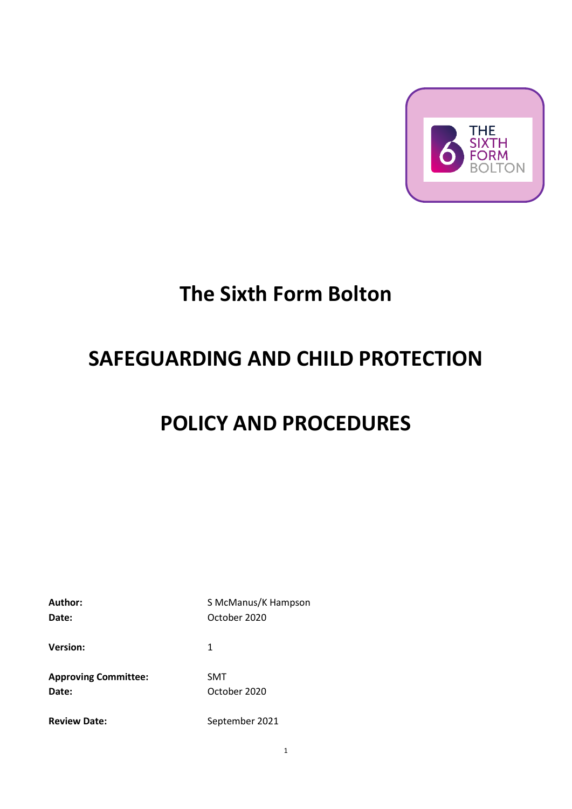

# **The Sixth Form Bolton**

# **SAFEGUARDING AND CHILD PROTECTION**

# **POLICY AND PROCEDURES**

| Author:<br>Date:                     | S McManus/K Hampson<br>October 2020 |
|--------------------------------------|-------------------------------------|
| <b>Version:</b>                      | 1                                   |
| <b>Approving Committee:</b><br>Date: | <b>SMT</b><br>October 2020          |
| <b>Review Date:</b>                  | September 2021                      |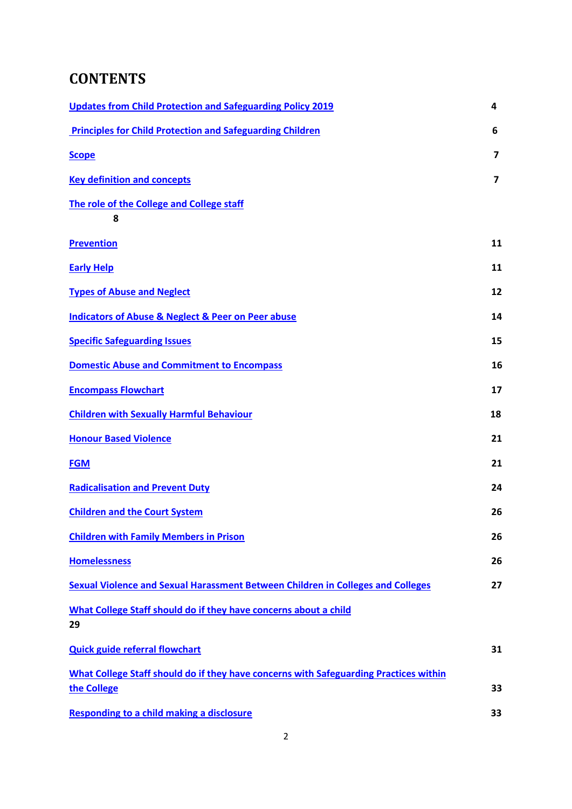# **CONTENTS**

| <b>Updates from Child Protection and Safeguarding Policy 2019</b>                                    | 4  |
|------------------------------------------------------------------------------------------------------|----|
| <b>Principles for Child Protection and Safeguarding Children</b>                                     | 6  |
| <b>Scope</b>                                                                                         | 7  |
| <b>Key definition and concepts</b>                                                                   | 7  |
| The role of the College and College staff<br>8                                                       |    |
| <b>Prevention</b>                                                                                    | 11 |
| <b>Early Help</b>                                                                                    | 11 |
| <b>Types of Abuse and Neglect</b>                                                                    | 12 |
| <b>Indicators of Abuse &amp; Neglect &amp; Peer on Peer abuse</b>                                    | 14 |
| <b>Specific Safeguarding Issues</b>                                                                  | 15 |
| <b>Domestic Abuse and Commitment to Encompass</b>                                                    | 16 |
| <b>Encompass Flowchart</b>                                                                           | 17 |
| <b>Children with Sexually Harmful Behaviour</b>                                                      | 18 |
| <b>Honour Based Violence</b>                                                                         | 21 |
| <b>FGM</b>                                                                                           | 21 |
| <b>Radicalisation and Prevent Duty</b>                                                               | 24 |
| <b>Children and the Court System</b>                                                                 | 26 |
| <b>Children with Family Members in Prison</b>                                                        | 26 |
| <b>Homelessness</b>                                                                                  | 26 |
| <b>Sexual Violence and Sexual Harassment Between Children in Colleges and Colleges</b>               | 27 |
| What College Staff should do if they have concerns about a child<br>29                               |    |
| <b>Quick guide referral flowchart</b>                                                                | 31 |
| What College Staff should do if they have concerns with Safeguarding Practices within<br>the College | 33 |
| <b>Responding to a child making a disclosure</b>                                                     | 33 |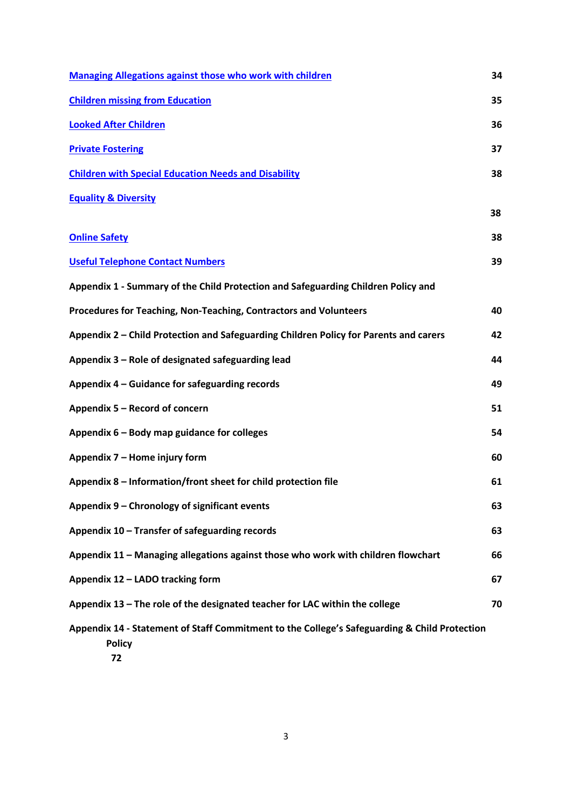| <b>Managing Allegations against those who work with children</b>                                              | 34 |
|---------------------------------------------------------------------------------------------------------------|----|
| <b>Children missing from Education</b>                                                                        | 35 |
| <b>Looked After Children</b>                                                                                  | 36 |
| <b>Private Fostering</b>                                                                                      | 37 |
| <b>Children with Special Education Needs and Disability</b>                                                   | 38 |
| <b>Equality &amp; Diversity</b>                                                                               |    |
|                                                                                                               | 38 |
| <b>Online Safety</b>                                                                                          | 38 |
| <b>Useful Telephone Contact Numbers</b>                                                                       | 39 |
| Appendix 1 - Summary of the Child Protection and Safeguarding Children Policy and                             |    |
| Procedures for Teaching, Non-Teaching, Contractors and Volunteers                                             | 40 |
| Appendix 2 – Child Protection and Safeguarding Children Policy for Parents and carers                         | 42 |
| Appendix 3 – Role of designated safeguarding lead                                                             | 44 |
| Appendix 4 – Guidance for safeguarding records                                                                | 49 |
| Appendix 5 - Record of concern                                                                                | 51 |
| Appendix 6 - Body map guidance for colleges                                                                   | 54 |
| Appendix 7 - Home injury form                                                                                 | 60 |
| Appendix 8 - Information/front sheet for child protection file                                                | 61 |
| Appendix 9 - Chronology of significant events                                                                 | 63 |
| Appendix 10 - Transfer of safeguarding records                                                                | 63 |
| Appendix 11 - Managing allegations against those who work with children flowchart                             | 66 |
| Appendix 12 - LADO tracking form                                                                              | 67 |
| Appendix 13 - The role of the designated teacher for LAC within the college                                   | 70 |
| Appendix 14 - Statement of Staff Commitment to the College's Safeguarding & Child Protection<br><b>Policy</b> |    |

 **72**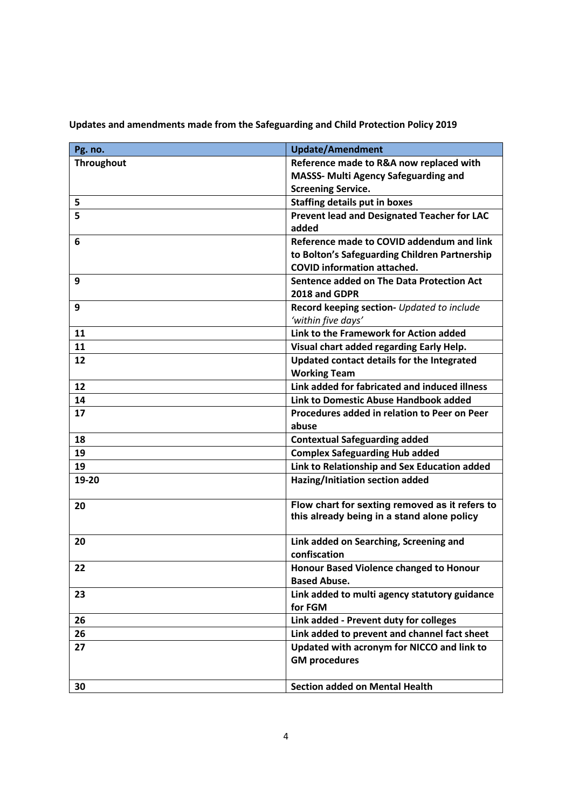| Pg. no.           | <b>Update/Amendment</b>                                                                |
|-------------------|----------------------------------------------------------------------------------------|
| <b>Throughout</b> | Reference made to R&A now replaced with                                                |
|                   | <b>MASSS- Multi Agency Safeguarding and</b>                                            |
|                   | <b>Screening Service.</b>                                                              |
| 5                 | <b>Staffing details put in boxes</b>                                                   |
| 5                 | <b>Prevent lead and Designated Teacher for LAC</b>                                     |
|                   | added                                                                                  |
| 6                 | Reference made to COVID addendum and link                                              |
|                   | to Bolton's Safeguarding Children Partnership                                          |
|                   | <b>COVID information attached.</b>                                                     |
| 9                 | Sentence added on The Data Protection Act                                              |
|                   | 2018 and GDPR                                                                          |
| 9                 | Record keeping section- Updated to include                                             |
|                   | 'within five days'                                                                     |
| 11                | Link to the Framework for Action added                                                 |
| 11                | Visual chart added regarding Early Help.                                               |
| 12                | Updated contact details for the Integrated                                             |
|                   | <b>Working Team</b>                                                                    |
| 12                | Link added for fabricated and induced illness                                          |
| 14                | Link to Domestic Abuse Handbook added                                                  |
| 17                | Procedures added in relation to Peer on Peer                                           |
|                   | abuse                                                                                  |
| 18                | <b>Contextual Safeguarding added</b>                                                   |
| 19                | <b>Complex Safeguarding Hub added</b>                                                  |
| 19                | Link to Relationship and Sex Education added                                           |
| 19-20             | Hazing/Initiation section added                                                        |
| 20                | Flow chart for sexting removed as it refers to                                         |
|                   | this already being in a stand alone policy                                             |
|                   |                                                                                        |
| 20                | Link added on Searching, Screening and<br>confiscation                                 |
|                   |                                                                                        |
| 22                | <b>Honour Based Violence changed to Honour</b>                                         |
|                   | <b>Based Abuse.</b>                                                                    |
| 23                | Link added to multi agency statutory guidance<br>for FGM                               |
|                   |                                                                                        |
| 26                | Link added - Prevent duty for colleges<br>Link added to prevent and channel fact sheet |
| 26                |                                                                                        |
| 27                | Updated with acronym for NICCO and link to<br><b>GM procedures</b>                     |
|                   |                                                                                        |
| 30                | <b>Section added on Mental Health</b>                                                  |
|                   |                                                                                        |

<span id="page-3-0"></span>**Updates and amendments made from the Safeguarding and Child Protection Policy 2019**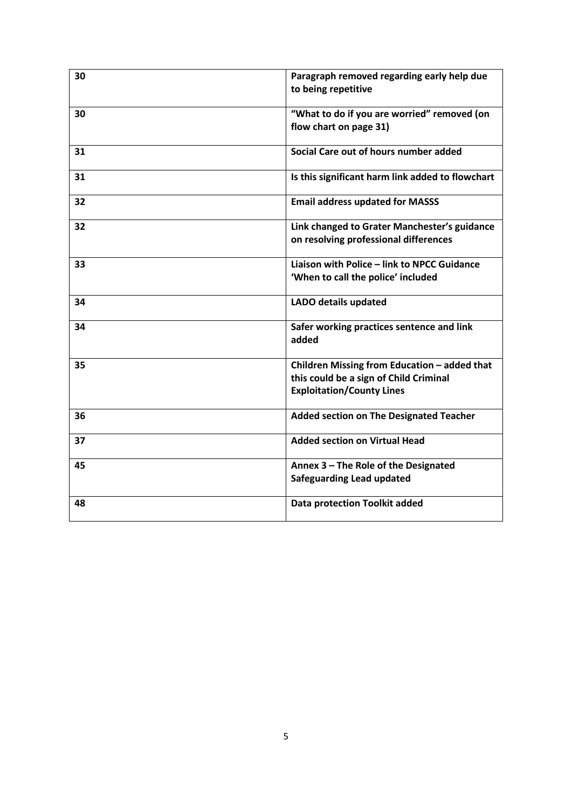| 30 | Paragraph removed regarding early help due<br>to being repetitive                                                          |
|----|----------------------------------------------------------------------------------------------------------------------------|
| 30 | "What to do if you are worried" removed (on<br>flow chart on page 31)                                                      |
| 31 | Social Care out of hours number added                                                                                      |
| 31 | Is this significant harm link added to flowchart                                                                           |
| 32 | <b>Email address updated for MASSS</b>                                                                                     |
| 32 | Link changed to Grater Manchester's guidance<br>on resolving professional differences                                      |
| 33 | Liaison with Police - link to NPCC Guidance<br>'When to call the police' included                                          |
| 34 | LADO details updated                                                                                                       |
| 34 | Safer working practices sentence and link<br>added                                                                         |
| 35 | Children Missing from Education - added that<br>this could be a sign of Child Criminal<br><b>Exploitation/County Lines</b> |
| 36 | <b>Added section on The Designated Teacher</b>                                                                             |
| 37 | <b>Added section on Virtual Head</b>                                                                                       |
| 45 | Annex 3 - The Role of the Designated<br><b>Safeguarding Lead updated</b>                                                   |
| 48 | <b>Data protection Toolkit added</b>                                                                                       |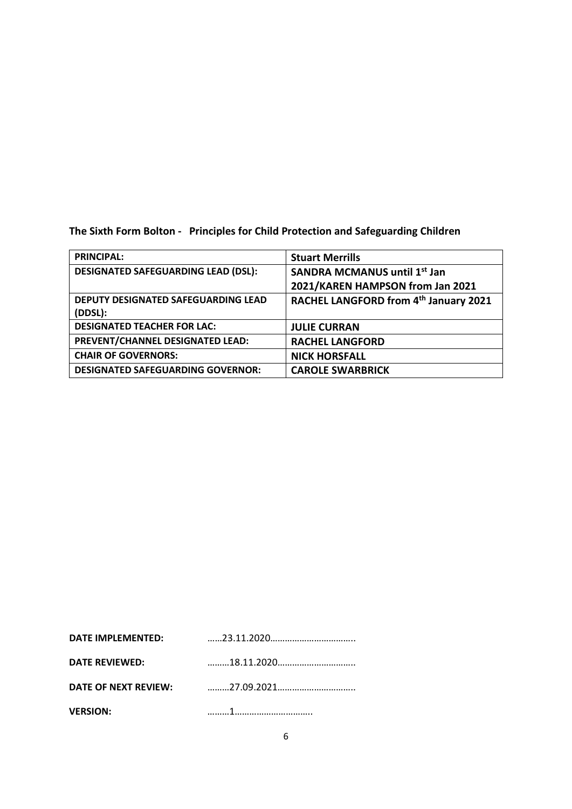<span id="page-5-0"></span>**The Sixth Form Bolton - Principles for Child Protection and Safeguarding Children** 

| <b>PRINCIPAL:</b>                          | <b>Stuart Merrills</b>                |
|--------------------------------------------|---------------------------------------|
| <b>DESIGNATED SAFEGUARDING LEAD (DSL):</b> | <b>SANDRA MCMANUS until 1st Jan</b>   |
|                                            | 2021/KAREN HAMPSON from Jan 2021      |
| DEPUTY DESIGNATED SAFEGUARDING LEAD        | RACHEL LANGFORD from 4th January 2021 |
| (DDSL):                                    |                                       |
| <b>DESIGNATED TEACHER FOR LAC:</b>         | <b>JULIE CURRAN</b>                   |
| PREVENT/CHANNEL DESIGNATED LEAD:           | <b>RACHEL LANGFORD</b>                |
| <b>CHAIR OF GOVERNORS:</b>                 | <b>NICK HORSFALL</b>                  |
| <b>DESIGNATED SAFEGUARDING GOVERNOR:</b>   | <b>CAROLE SWARBRICK</b>               |

| DATE IMPLEMENTED:     |  |
|-----------------------|--|
| <b>DATE REVIEWED:</b> |  |
| DATE OF NEXT REVIEW:  |  |
| <b>VERSION:</b>       |  |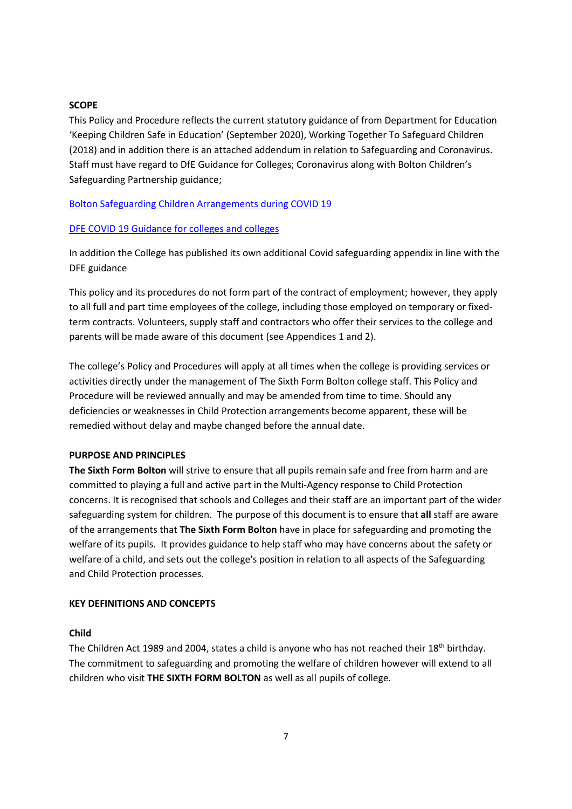#### <span id="page-6-0"></span>**SCOPE**

This Policy and Procedure reflects the current statutory guidance of from Department for Education 'Keeping Children Safe in Education' (September 2020), Working Together To Safeguard Children (2018) and in addition there is an attached addendum in relation to Safeguarding and Coronavirus. Staff must have regard to DfE Guidance for Colleges; Coronavirus along with Bolton Children's Safeguarding Partnership guidance;

#### [Bolton Safeguarding Children Arrangements during COVID 19](https://www.boltonsafeguardingchildren.org.uk/downloads/file/170/bolton-safeguarding-children-arrangements-during-covid-19)

#### [DFE COVID 19 Guidance for colleges and colleges](https://www.gov.uk/government/publications/covid-19-safeguarding-in-schools-colleges-and-other-providers)

In addition the College has published its own additional Covid safeguarding appendix in line with the DFE guidance

This policy and its procedures do not form part of the contract of employment; however, they apply to all full and part time employees of the college, including those employed on temporary or fixedterm contracts. Volunteers, supply staff and contractors who offer their services to the college and parents will be made aware of this document (see Appendices 1 and 2).

The college's Policy and Procedures will apply at all times when the college is providing services or activities directly under the management of The Sixth Form Bolton college staff. This Policy and Procedure will be reviewed annually and may be amended from time to time. Should any deficiencies or weaknesses in Child Protection arrangements become apparent, these will be remedied without delay and maybe changed before the annual date.

#### **PURPOSE AND PRINCIPLES**

**The Sixth Form Bolton** will strive to ensure that all pupils remain safe and free from harm and are committed to playing a full and active part in the Multi-Agency response to Child Protection concerns. It is recognised that schools and Colleges and their staff are an important part of the wider safeguarding system for children. The purpose of this document is to ensure that **all** staff are aware of the arrangements that **The Sixth Form Bolton** have in place for safeguarding and promoting the welfare of its pupils. It provides guidance to help staff who may have concerns about the safety or welfare of a child, and sets out the college's position in relation to all aspects of the Safeguarding and Child Protection processes.

#### <span id="page-6-1"></span>**KEY DEFINITIONS AND CONCEPTS**

#### **Child**

The Children Act 1989 and 2004, states a child is anyone who has not reached their 18<sup>th</sup> birthday. The commitment to safeguarding and promoting the welfare of children however will extend to all children who visit **THE SIXTH FORM BOLTON** as well as all pupils of college.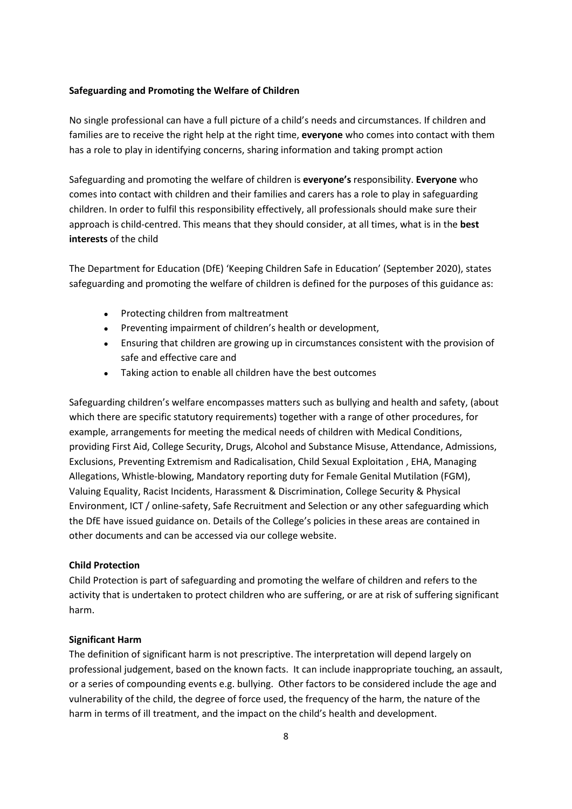#### **Safeguarding and Promoting the Welfare of Children**

No single professional can have a full picture of a child's needs and circumstances. If children and families are to receive the right help at the right time, **everyone** who comes into contact with them has a role to play in identifying concerns, sharing information and taking prompt action

Safeguarding and promoting the welfare of children is **everyone's** responsibility. **Everyone** who comes into contact with children and their families and carers has a role to play in safeguarding children. In order to fulfil this responsibility effectively, all professionals should make sure their approach is child-centred. This means that they should consider, at all times, what is in the **best interests** of the child

The Department for Education (DfE) 'Keeping Children Safe in Education' (September 2020), states safeguarding and promoting the welfare of children is defined for the purposes of this guidance as:

- Protecting children from maltreatment
- Preventing impairment of children's health or development,
- Ensuring that children are growing up in circumstances consistent with the provision of safe and effective care and
- Taking action to enable all children have the best outcomes

Safeguarding children's welfare encompasses matters such as bullying and health and safety, (about which there are specific statutory requirements) together with a range of other procedures, for example, arrangements for meeting the medical needs of children with Medical Conditions, providing First Aid, College Security, Drugs, Alcohol and Substance Misuse, Attendance, Admissions, Exclusions, Preventing Extremism and Radicalisation, Child Sexual Exploitation , EHA, Managing Allegations, Whistle-blowing, Mandatory reporting duty for Female Genital Mutilation (FGM), Valuing Equality, Racist Incidents, Harassment & Discrimination, College Security & Physical Environment, ICT / online-safety, Safe Recruitment and Selection or any other safeguarding which the DfE have issued guidance on. Details of the College's policies in these areas are contained in other documents and can be accessed via our college website.

#### **Child Protection**

Child Protection is part of safeguarding and promoting the welfare of children and refers to the activity that is undertaken to protect children who are suffering, or are at risk of suffering significant harm.

#### **Significant Harm**

The definition of significant harm is not prescriptive. The interpretation will depend largely on professional judgement, based on the known facts. It can include inappropriate touching, an assault, or a series of compounding events e.g. bullying. Other factors to be considered include the age and vulnerability of the child, the degree of force used, the frequency of the harm, the nature of the harm in terms of ill treatment, and the impact on the child's health and development.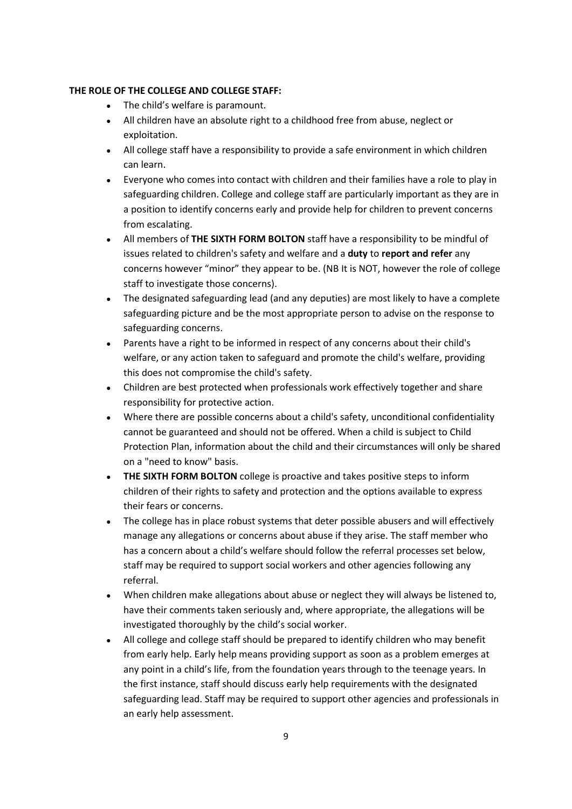# <span id="page-8-0"></span>**THE ROLE OF THE COLLEGE AND COLLEGE STAFF:**

- The child's welfare is paramount.
- All children have an absolute right to a childhood free from abuse, neglect or exploitation.
- All college staff have a responsibility to provide a safe environment in which children can learn.
- Everyone who comes into contact with children and their families have a role to play in safeguarding children. College and college staff are particularly important as they are in a position to identify concerns early and provide help for children to prevent concerns from escalating.
- All members of **THE SIXTH FORM BOLTON** staff have a responsibility to be mindful of issues related to children's safety and welfare and a **duty** to **report and refer** any concerns however "minor" they appear to be. (NB It is NOT, however the role of college staff to investigate those concerns).
- The designated safeguarding lead (and any deputies) are most likely to have a complete safeguarding picture and be the most appropriate person to advise on the response to safeguarding concerns.
- Parents have a right to be informed in respect of any concerns about their child's welfare, or any action taken to safeguard and promote the child's welfare, providing this does not compromise the child's safety.
- Children are best protected when professionals work effectively together and share responsibility for protective action.
- Where there are possible concerns about a child's safety, unconditional confidentiality cannot be guaranteed and should not be offered. When a child is subject to Child Protection Plan, information about the child and their circumstances will only be shared on a "need to know" basis.
- **THE SIXTH FORM BOLTON** college is proactive and takes positive steps to inform children of their rights to safety and protection and the options available to express their fears or concerns.
- The college has in place robust systems that deter possible abusers and will effectively manage any allegations or concerns about abuse if they arise. The staff member who has a concern about a child's welfare should follow the referral processes set below, staff may be required to support social workers and other agencies following any referral.
- When children make allegations about abuse or neglect they will always be listened to, have their comments taken seriously and, where appropriate, the allegations will be investigated thoroughly by the child's social worker.
- All college and college staff should be prepared to identify children who may benefit from early help. Early help means providing support as soon as a problem emerges at any point in a child's life, from the foundation years through to the teenage years. In the first instance, staff should discuss early help requirements with the designated safeguarding lead. Staff may be required to support other agencies and professionals in an early help assessment.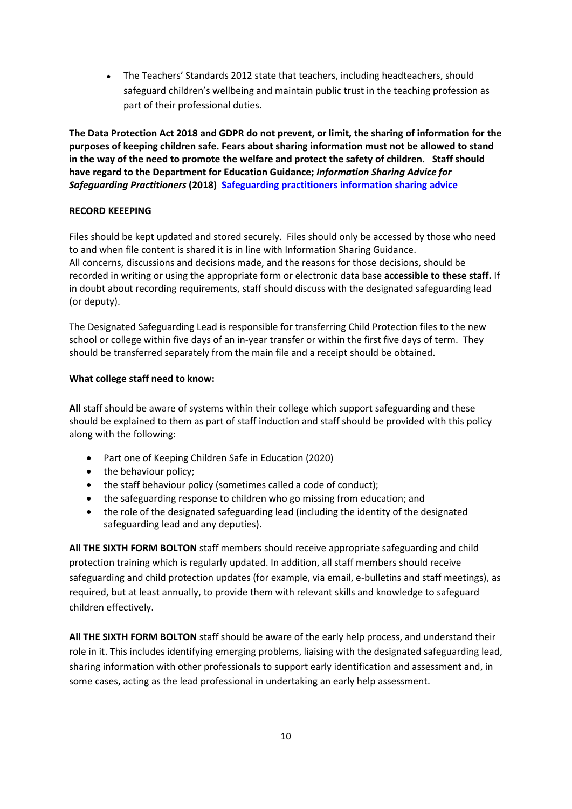● The Teachers' Standards 2012 state that teachers, including headteachers, should safeguard children's wellbeing and maintain public trust in the teaching profession as part of their professional duties.

**The Data Protection Act 2018 and GDPR do not prevent, or limit, the sharing of information for the purposes of keeping children safe. Fears about sharing information must not be allowed to stand in the way of the need to promote the welfare and protect the safety of children. Staff should have regard to the Department for Education Guidance;** *Information Sharing Advice for Safeguarding Practitioners* **(2018) [Safeguarding practitioners information sharing advice](https://www.gov.uk/government/publications/safeguarding-practitioners-information-sharing-advice)**

# **RECORD KEEEPING**

Files should be kept updated and stored securely. Files should only be accessed by those who need to and when file content is shared it is in line with Information Sharing Guidance. All concerns, discussions and decisions made, and the reasons for those decisions, should be recorded in writing or using the appropriate form or electronic data base **accessible to these staff.** If in doubt about recording requirements, staff should discuss with the designated safeguarding lead (or deputy).

The Designated Safeguarding Lead is responsible for transferring Child Protection files to the new school or college within five days of an in-year transfer or within the first five days of term. They should be transferred separately from the main file and a receipt should be obtained.

# **What college staff need to know:**

**All** staff should be aware of systems within their college which support safeguarding and these should be explained to them as part of staff induction and staff should be provided with this policy along with the following:

- Part one of Keeping Children Safe in Education (2020)
- the behaviour policy;
- the staff behaviour policy (sometimes called a code of conduct);
- the safeguarding response to children who go missing from education; and
- the role of the designated safeguarding lead (including the identity of the designated safeguarding lead and any deputies).

**All THE SIXTH FORM BOLTON** staff members should receive appropriate safeguarding and child protection training which is regularly updated. In addition, all staff members should receive safeguarding and child protection updates (for example, via email, e-bulletins and staff meetings), as required, but at least annually, to provide them with relevant skills and knowledge to safeguard children effectively.

**All THE SIXTH FORM BOLTON** staff should be aware of the early help process, and understand their role in it. This includes identifying emerging problems, liaising with the designated safeguarding lead, sharing information with other professionals to support early identification and assessment and, in some cases, acting as the lead professional in undertaking an early help assessment.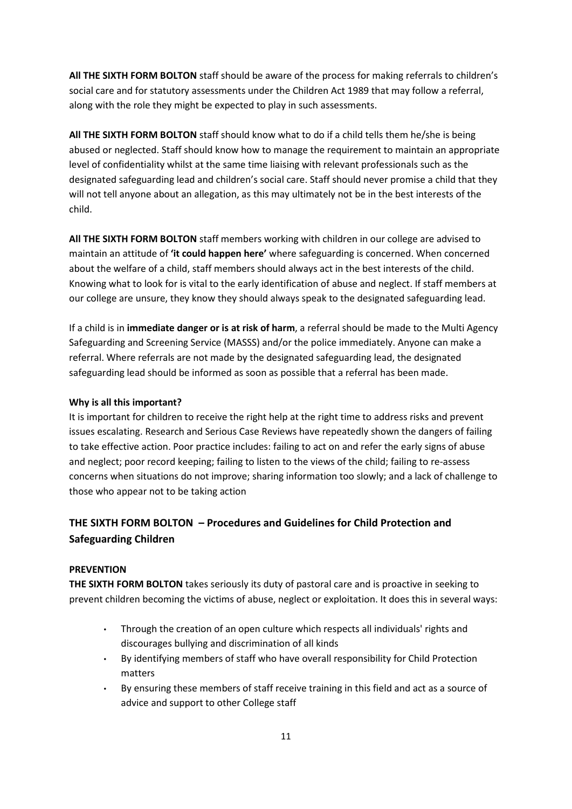**All THE SIXTH FORM BOLTON** staff should be aware of the process for making referrals to children's social care and for statutory assessments under the Children Act 1989 that may follow a referral, along with the role they might be expected to play in such assessments.

**All THE SIXTH FORM BOLTON** staff should know what to do if a child tells them he/she is being abused or neglected. Staff should know how to manage the requirement to maintain an appropriate level of confidentiality whilst at the same time liaising with relevant professionals such as the designated safeguarding lead and children's social care. Staff should never promise a child that they will not tell anyone about an allegation, as this may ultimately not be in the best interests of the child.

**All THE SIXTH FORM BOLTON** staff members working with children in our college are advised to maintain an attitude of **'it could happen here'** where safeguarding is concerned. When concerned about the welfare of a child, staff members should always act in the best interests of the child. Knowing what to look for is vital to the early identification of abuse and neglect. If staff members at our college are unsure, they know they should always speak to the designated safeguarding lead.

If a child is in **immediate danger or is at risk of harm**, a referral should be made to the Multi Agency Safeguarding and Screening Service (MASSS) and/or the police immediately. Anyone can make a referral. Where referrals are not made by the designated safeguarding lead, the designated safeguarding lead should be informed as soon as possible that a referral has been made.

# **Why is all this important?**

It is important for children to receive the right help at the right time to address risks and prevent issues escalating. Research and Serious Case Reviews have repeatedly shown the dangers of failing to take effective action. Poor practice includes: failing to act on and refer the early signs of abuse and neglect; poor record keeping; failing to listen to the views of the child; failing to re-assess concerns when situations do not improve; sharing information too slowly; and a lack of challenge to those who appear not to be taking action

# **THE SIXTH FORM BOLTON – Procedures and Guidelines for Child Protection and Safeguarding Children**

# <span id="page-10-0"></span>**PREVENTION**

**THE SIXTH FORM BOLTON** takes seriously its duty of pastoral care and is proactive in seeking to prevent children becoming the victims of abuse, neglect or exploitation. It does this in several ways:

- Through the creation of an open culture which respects all individuals' rights and discourages bullying and discrimination of all kinds
- By identifying members of staff who have overall responsibility for Child Protection matters
- By ensuring these members of staff receive training in this field and act as a source of advice and support to other College staff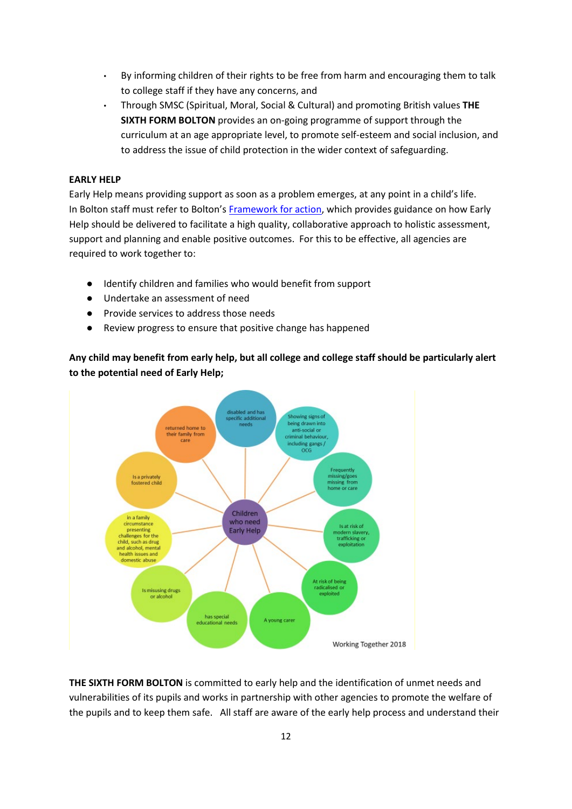- By informing children of their rights to be free from harm and encouraging them to talk to college staff if they have any concerns, and
- Through SMSC (Spiritual, Moral, Social & Cultural) and promoting British values **THE SIXTH FORM BOLTON** provides an on-going programme of support through the curriculum at an age appropriate level, to promote self-esteem and social inclusion, and to address the issue of child protection in the wider context of safeguarding.

# <span id="page-11-0"></span>**EARLY HELP**

Early Help means providing support as soon as a problem emerges, at any point in a child's life. In Bolton staff must refer to Bolton's [Framework for action,](https://www.boltonsafeguardingchildren.org.uk/downloads/file/36/framework-for-action) which provides guidance on how Early Help should be delivered to facilitate a high quality, collaborative approach to holistic assessment, support and planning and enable positive outcomes. For this to be effective, all agencies are required to work together to:

- Identify children and families who would benefit from support
- Undertake an assessment of need
- Provide services to address those needs
- Review progress to ensure that positive change has happened

**Any child may benefit from early help, but all college and college staff should be particularly alert to the potential need of Early Help;**



**THE SIXTH FORM BOLTON** is committed to early help and the identification of unmet needs and vulnerabilities of its pupils and works in partnership with other agencies to promote the welfare of the pupils and to keep them safe. All staff are aware of the early help process and understand their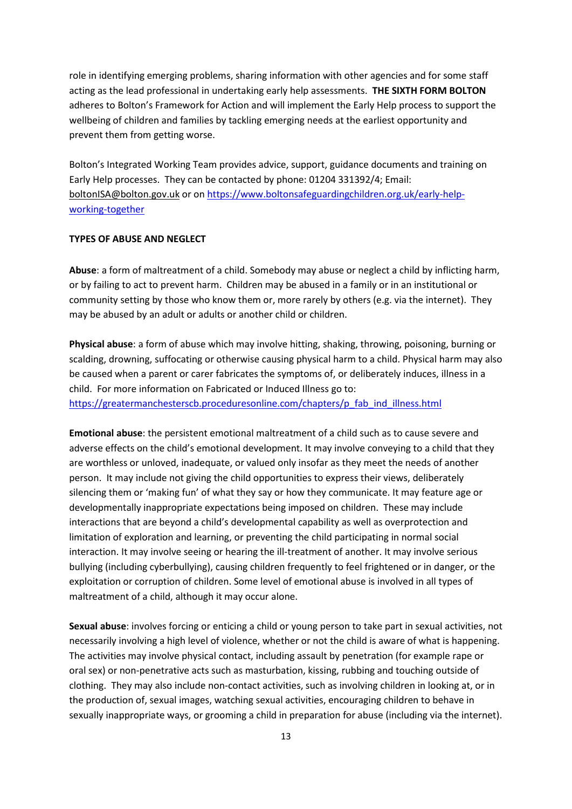role in identifying emerging problems, sharing information with other agencies and for some staff acting as the lead professional in undertaking early help assessments. **THE SIXTH FORM BOLTON** adheres to Bolton's Framework for Action and will implement the Early Help process to support the wellbeing of children and families by tackling emerging needs at the earliest opportunity and prevent them from getting worse.

Bolton's Integrated Working Team provides advice, support, guidance documents and training on Early Help processes. They can be contacted by phone: 01204 331392/4; Email: [boltonISA@bolton.gov.uk](mailto:boltonISA@bolton.gov.uk) or o[n https://www.boltonsafeguardingchildren.org.uk/early-help](https://www.boltonsafeguardingchildren.org.uk/early-help-working-together)[working-together](https://www.boltonsafeguardingchildren.org.uk/early-help-working-together)

#### <span id="page-12-0"></span>**TYPES OF ABUSE AND NEGLECT**

**Abuse**: a form of maltreatment of a child. Somebody may abuse or neglect a child by inflicting harm, or by failing to act to prevent harm. Children may be abused in a family or in an institutional or community setting by those who know them or, more rarely by others (e.g. via the internet). They may be abused by an adult or adults or another child or children.

**Physical abuse**: a form of abuse which may involve hitting, shaking, throwing, poisoning, burning or scalding, drowning, suffocating or otherwise causing physical harm to a child. Physical harm may also be caused when a parent or carer fabricates the symptoms of, or deliberately induces, illness in a child. For more information on Fabricated or Induced Illness go to: [https://greatermanchesterscb.proceduresonline.com/chapters/p\\_fab\\_ind\\_illness.html](https://greatermanchesterscb.proceduresonline.com/chapters/p_fab_ind_illness.html)

**Emotional abuse**: the persistent emotional maltreatment of a child such as to cause severe and adverse effects on the child's emotional development. It may involve conveying to a child that they are worthless or unloved, inadequate, or valued only insofar as they meet the needs of another person. It may include not giving the child opportunities to express their views, deliberately silencing them or 'making fun' of what they say or how they communicate. It may feature age or developmentally inappropriate expectations being imposed on children. These may include interactions that are beyond a child's developmental capability as well as overprotection and limitation of exploration and learning, or preventing the child participating in normal social interaction. It may involve seeing or hearing the ill-treatment of another. It may involve serious bullying (including cyberbullying), causing children frequently to feel frightened or in danger, or the exploitation or corruption of children. Some level of emotional abuse is involved in all types of maltreatment of a child, although it may occur alone.

**Sexual abuse**: involves forcing or enticing a child or young person to take part in sexual activities, not necessarily involving a high level of violence, whether or not the child is aware of what is happening. The activities may involve physical contact, including assault by penetration (for example rape or oral sex) or non-penetrative acts such as masturbation, kissing, rubbing and touching outside of clothing. They may also include non-contact activities, such as involving children in looking at, or in the production of, sexual images, watching sexual activities, encouraging children to behave in sexually inappropriate ways, or grooming a child in preparation for abuse (including via the internet).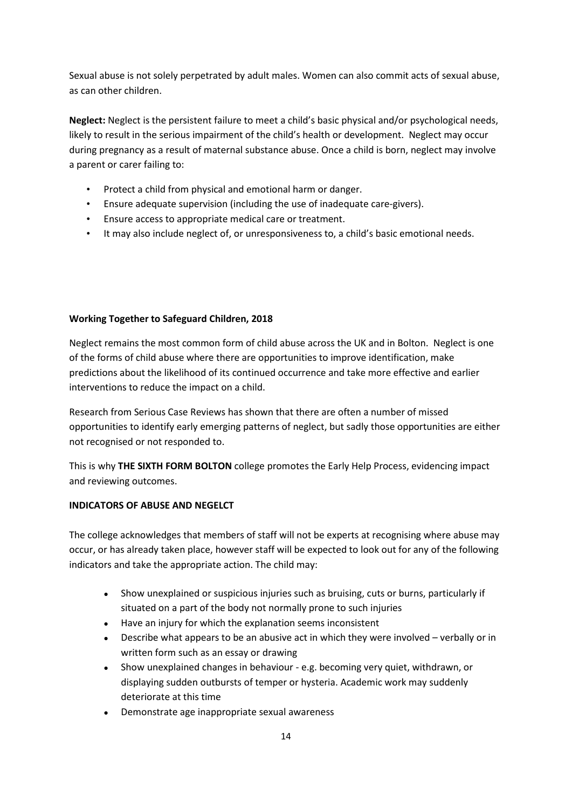Sexual abuse is not solely perpetrated by adult males. Women can also commit acts of sexual abuse, as can other children.

**Neglect:** Neglect is the persistent failure to meet a child's basic physical and/or psychological needs, likely to result in the serious impairment of the child's health or development. Neglect may occur during pregnancy as a result of maternal substance abuse. Once a child is born, neglect may involve a parent or carer failing to:

- Protect a child from physical and emotional harm or danger.
- Ensure adequate supervision (including the use of inadequate care-givers).
- Ensure access to appropriate medical care or treatment.
- It may also include neglect of, or unresponsiveness to, a child's basic emotional needs.

# **Working Together to Safeguard Children, 2018**

Neglect remains the most common form of child abuse across the UK and in Bolton. Neglect is one of the forms of child abuse where there are opportunities to improve identification, make predictions about the likelihood of its continued occurrence and take more effective and earlier interventions to reduce the impact on a child.

Research from Serious Case Reviews has shown that there are often a number of missed opportunities to identify early emerging patterns of neglect, but sadly those opportunities are either not recognised or not responded to.

This is why **THE SIXTH FORM BOLTON** college promotes the Early Help Process, evidencing impact and reviewing outcomes.

# <span id="page-13-0"></span>**INDICATORS OF ABUSE AND NEGELCT**

The college acknowledges that members of staff will not be experts at recognising where abuse may occur, or has already taken place, however staff will be expected to look out for any of the following indicators and take the appropriate action. The child may:

- Show unexplained or suspicious injuries such as bruising, cuts or burns, particularly if situated on a part of the body not normally prone to such injuries
- Have an injury for which the explanation seems inconsistent
- Describe what appears to be an abusive act in which they were involved verbally or in written form such as an essay or drawing
- Show unexplained changes in behaviour e.g. becoming very quiet, withdrawn, or displaying sudden outbursts of temper or hysteria. Academic work may suddenly deteriorate at this time
- Demonstrate age inappropriate sexual awareness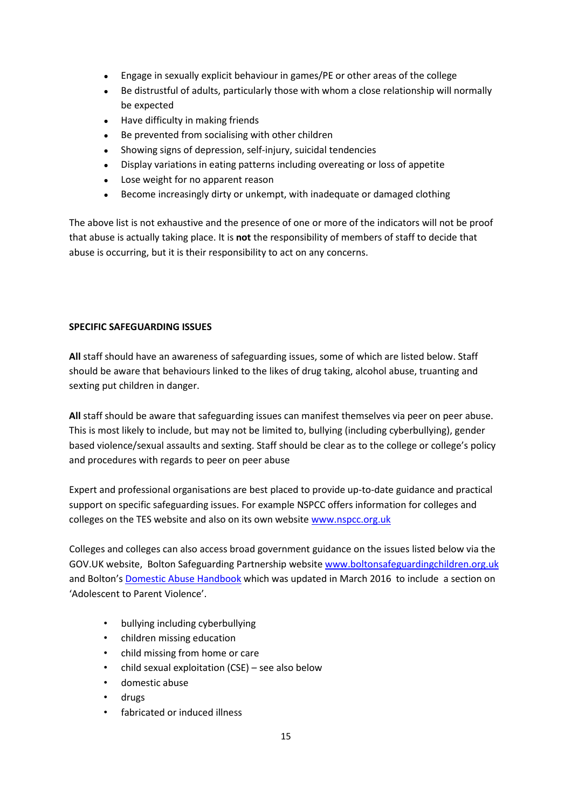- Engage in sexually explicit behaviour in games/PE or other areas of the college
- Be distrustful of adults, particularly those with whom a close relationship will normally be expected
- Have difficulty in making friends
- Be prevented from socialising with other children
- Showing signs of depression, self-injury, suicidal tendencies
- Display variations in eating patterns including overeating or loss of appetite
- Lose weight for no apparent reason
- Become increasingly dirty or unkempt, with inadequate or damaged clothing

The above list is not exhaustive and the presence of one or more of the indicators will not be proof that abuse is actually taking place. It is **not** the responsibility of members of staff to decide that abuse is occurring, but it is their responsibility to act on any concerns.

# <span id="page-14-0"></span>**SPECIFIC SAFEGUARDING ISSUES**

**All** staff should have an awareness of safeguarding issues, some of which are listed below. Staff should be aware that behaviours linked to the likes of drug taking, alcohol abuse, truanting and sexting put children in danger.

**All** staff should be aware that safeguarding issues can manifest themselves via peer on peer abuse. This is most likely to include, but may not be limited to, bullying (including cyberbullying), gender based violence/sexual assaults and sexting. Staff should be clear as to the college or college's policy and procedures with regards to peer on peer abuse

Expert and professional organisations are best placed to provide up-to-date guidance and practical support on specific safeguarding issues. For example NSPCC offers information for colleges and colleges on the TES website and also on its own website [www.nspcc.org.uk](http://www.nspcc.org.uk/)

Colleges and colleges can also access broad government guidance on the issues listed below via the GOV.UK website, Bolton Safeguarding Partnership website [www.boltonsafeguardingchildren.org.uk](http://www.boltonsafeguardingchildren.org.uk/)  and Bolton'[s Domestic Abuse Handbook](https://www.boltonsafeguardingchildren.org.uk/downloads/file/114/bolton-domestic-abuse-handbook-2017) which was updated in March 2016 to include a section on 'Adolescent to Parent Violence'.

- bullying including cyberbullying
- children missing education
- child missing from home or care
- child sexual exploitation  $(CSE)$  see also below
- domestic abuse
- drugs
- fabricated or induced illness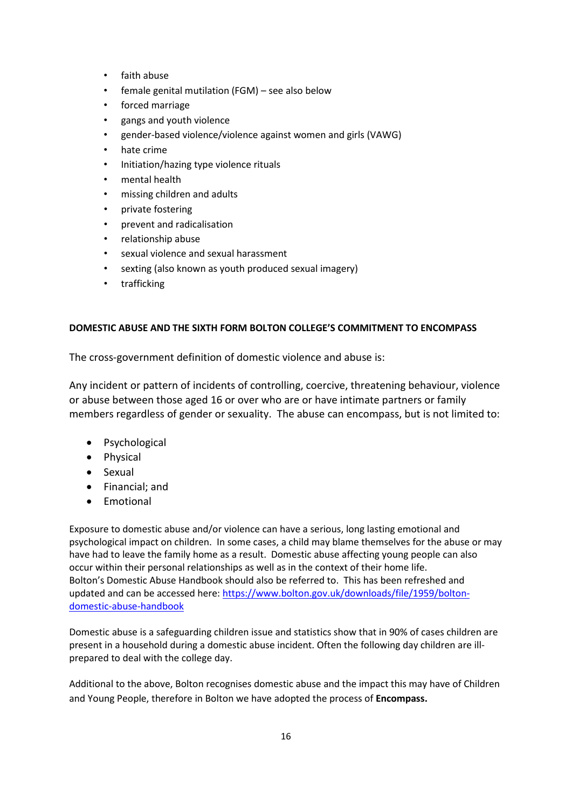- faith abuse
- female genital mutilation (FGM) see also below
- forced marriage
- gangs and youth violence
- gender-based violence/violence against women and girls (VAWG)
- hate crime
- Initiation/hazing type violence rituals
- mental health
- missing children and adults
- private fostering
- prevent and radicalisation
- relationship abuse
- sexual violence and sexual harassment
- sexting (also known as youth produced sexual imagery)
- trafficking

# <span id="page-15-0"></span>**DOMESTIC ABUSE AND THE SIXTH FORM BOLTON COLLEGE'S COMMITMENT TO ENCOMPASS**

The cross-government definition of domestic violence and abuse is:

Any incident or pattern of incidents of controlling, coercive, threatening behaviour, violence or abuse between those aged 16 or over who are or have intimate partners or family members regardless of gender or sexuality. The abuse can encompass, but is not limited to:

- Psychological
- Physical
- Sexual
- Financial; and
- Emotional

Exposure to domestic abuse and/or violence can have a serious, long lasting emotional and psychological impact on children. In some cases, a child may blame themselves for the abuse or may have had to leave the family home as a result. Domestic abuse affecting young people can also occur within their personal relationships as well as in the context of their home life. Bolton's Domestic Abuse Handbook should also be referred to. This has been refreshed and updated and can be accessed here[: https://www.bolton.gov.uk/downloads/file/1959/bolton](https://www.bolton.gov.uk/downloads/file/1959/bolton-domestic-abuse-handbook)[domestic-abuse-handbook](https://www.bolton.gov.uk/downloads/file/1959/bolton-domestic-abuse-handbook)

Domestic abuse is a safeguarding children issue and statistics show that in 90% of cases children are present in a household during a domestic abuse incident. Often the following day children are illprepared to deal with the college day.

Additional to the above, Bolton recognises domestic abuse and the impact this may have of Children and Young People, therefore in Bolton we have adopted the process of **Encompass.**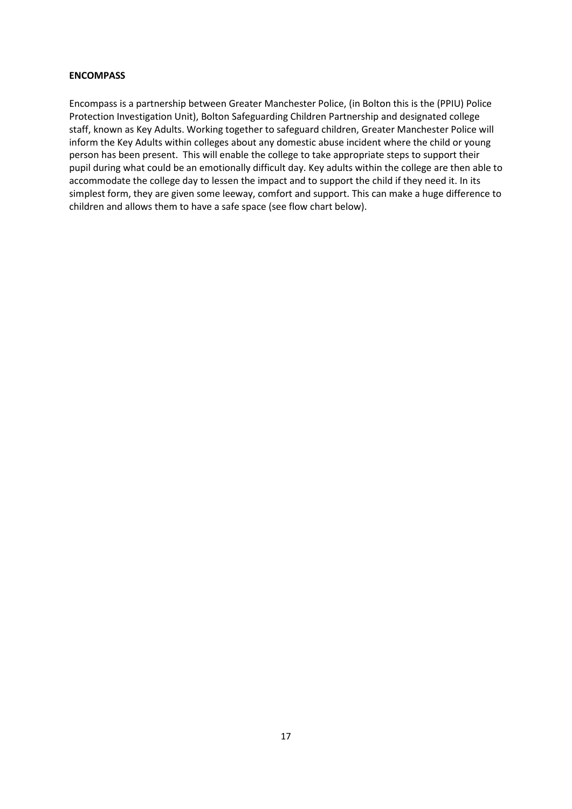#### **ENCOMPASS**

Encompass is a partnership between Greater Manchester Police, (in Bolton this is the (PPIU) Police Protection Investigation Unit), Bolton Safeguarding Children Partnership and designated college staff, known as Key Adults. Working together to safeguard children, Greater Manchester Police will inform the Key Adults within colleges about any domestic abuse incident where the child or young person has been present. This will enable the college to take appropriate steps to support their pupil during what could be an emotionally difficult day. Key adults within the college are then able to accommodate the college day to lessen the impact and to support the child if they need it. In its simplest form, they are given some leeway, comfort and support. This can make a huge difference to children and allows them to have a safe space (see flow chart below).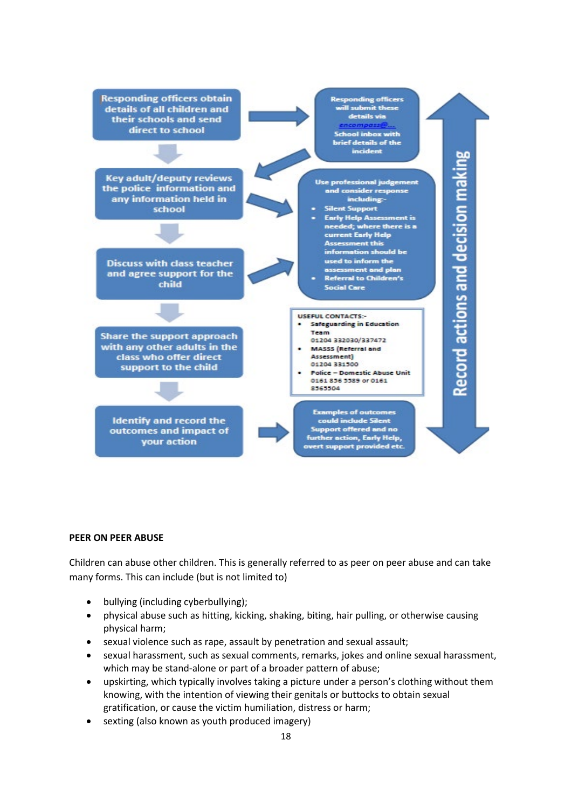<span id="page-17-0"></span>

#### **PEER ON PEER ABUSE**

Children can abuse other children. This is generally referred to as peer on peer abuse and can take many forms. This can include (but is not limited to)

- bullying (including cyberbullying);
- physical abuse such as hitting, kicking, shaking, biting, hair pulling, or otherwise causing physical harm;
- sexual violence such as rape, assault by penetration and sexual assault;
- sexual harassment, such as sexual comments, remarks, jokes and online sexual harassment, which may be stand-alone or part of a broader pattern of abuse;
- upskirting, which typically involves taking a picture under a person's clothing without them knowing, with the intention of viewing their genitals or buttocks to obtain sexual gratification, or cause the victim humiliation, distress or harm;
- sexting (also known as youth produced imagery)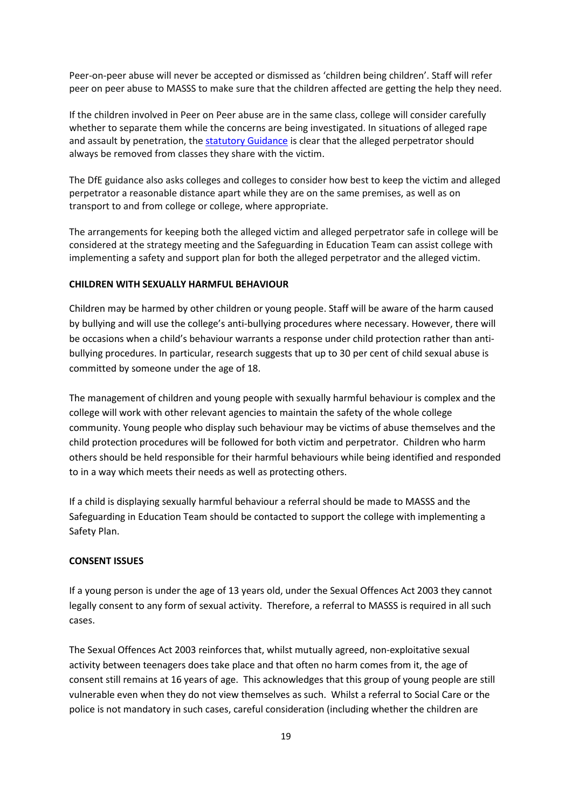Peer-on-peer abuse will never be accepted or dismissed as 'children being children'. Staff will refer peer on peer abuse to MASSS to make sure that the children affected are getting the help they need.

If the children involved in Peer on Peer abuse are in the same class, college will consider carefully whether to separate them while the concerns are being investigated. In situations of alleged rape and assault by penetration, the [statutory Guidance](https://www.gov.uk/government/publications/sexual-violence-and-sexual-harassment-between-children-in-schools-and-colleges) is clear that the alleged perpetrator should always be removed from classes they share with the victim.

The DfE guidance also asks colleges and colleges to consider how best to keep the victim and alleged perpetrator a reasonable distance apart while they are on the same premises, as well as on transport to and from college or college, where appropriate.

The arrangements for keeping both the alleged victim and alleged perpetrator safe in college will be considered at the strategy meeting and the Safeguarding in Education Team can assist college with implementing a safety and support plan for both the alleged perpetrator and the alleged victim.

#### <span id="page-18-0"></span>**CHILDREN WITH SEXUALLY HARMFUL BEHAVIOUR**

Children may be harmed by other children or young people. Staff will be aware of the harm caused by bullying and will use the college's anti-bullying procedures where necessary. However, there will be occasions when a child's behaviour warrants a response under child protection rather than antibullying procedures. In particular, research suggests that up to 30 per cent of child sexual abuse is committed by someone under the age of 18.

The management of children and young people with sexually harmful behaviour is complex and the college will work with other relevant agencies to maintain the safety of the whole college community. Young people who display such behaviour may be victims of abuse themselves and the child protection procedures will be followed for both victim and perpetrator. Children who harm others should be held responsible for their harmful behaviours while being identified and responded to in a way which meets their needs as well as protecting others.

If a child is displaying sexually harmful behaviour a referral should be made to MASSS and the Safeguarding in Education Team should be contacted to support the college with implementing a Safety Plan.

# **CONSENT ISSUES**

If a young person is under the age of 13 years old, under the Sexual Offences Act 2003 they cannot legally consent to any form of sexual activity. Therefore, a referral to MASSS is required in all such cases.

The Sexual Offences Act 2003 reinforces that, whilst mutually agreed, non-exploitative sexual activity between teenagers does take place and that often no harm comes from it, the age of consent still remains at 16 years of age. This acknowledges that this group of young people are still vulnerable even when they do not view themselves as such. Whilst a referral to Social Care or the police is not mandatory in such cases, careful consideration (including whether the children are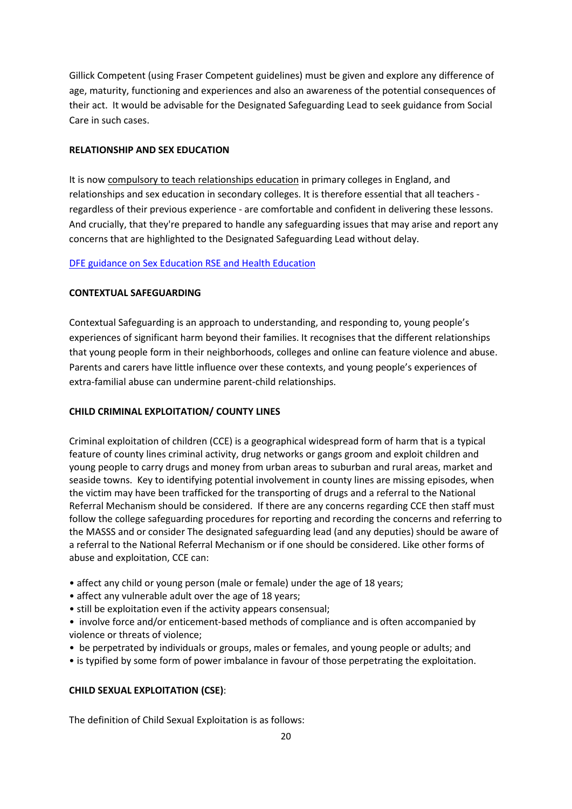Gillick Competent (using Fraser Competent guidelines) must be given and explore any difference of age, maturity, functioning and experiences and also an awareness of the potential consequences of their act. It would be advisable for the Designated Safeguarding Lead to seek guidance from Social Care in such cases.

#### **RELATIONSHIP AND SEX EDUCATION**

It is now [compulsory to teach relationships education](https://www.gov.uk/government/news/new-relationships-and-health-education-in-schools) in primary colleges in England, and relationships and sex education in secondary colleges. It is therefore essential that all teachers regardless of their previous experience - are comfortable and confident in delivering these lessons. And crucially, that they're prepared to handle any safeguarding issues that may arise and report any concerns that are highlighted to the Designated Safeguarding Lead without delay.

#### [DFE guidance on Sex Education RSE and Health Education](https://www.gov.uk/government/publications/relationships-education-relationships-and-sex-education-rse-and-health-education)

#### **CONTEXTUAL SAFEGUARDING**

Contextual Safeguarding is an approach to understanding, and responding to, young people's experiences of significant harm beyond their families. It recognises that the different relationships that young people form in their neighborhoods, colleges and online can feature violence and abuse. Parents and carers have little influence over these contexts, and young people's experiences of extra-familial abuse can undermine parent-child relationships.

#### **CHILD CRIMINAL EXPLOITATION/ COUNTY LINES**

Criminal exploitation of children (CCE) is a geographical widespread form of harm that is a typical feature of county lines criminal activity, drug networks or gangs groom and exploit children and young people to carry drugs and money from urban areas to suburban and rural areas, market and seaside towns. Key to identifying potential involvement in county lines are missing episodes, when the victim may have been trafficked for the transporting of drugs and a referral to the National Referral Mechanism should be considered. If there are any concerns regarding CCE then staff must follow the college safeguarding procedures for reporting and recording the concerns and referring to the MASSS and or consider The designated safeguarding lead (and any deputies) should be aware of a referral to the National Referral Mechanism or if one should be considered. Like other forms of abuse and exploitation, CCE can:

- affect any child or young person (male or female) under the age of 18 years;
- affect any vulnerable adult over the age of 18 years;
- still be exploitation even if the activity appears consensual;
- involve force and/or enticement-based methods of compliance and is often accompanied by violence or threats of violence;
- be perpetrated by individuals or groups, males or females, and young people or adults; and
- is typified by some form of power imbalance in favour of those perpetrating the exploitation.

# **CHILD SEXUAL EXPLOITATION (CSE)**:

The definition of Child Sexual Exploitation is as follows: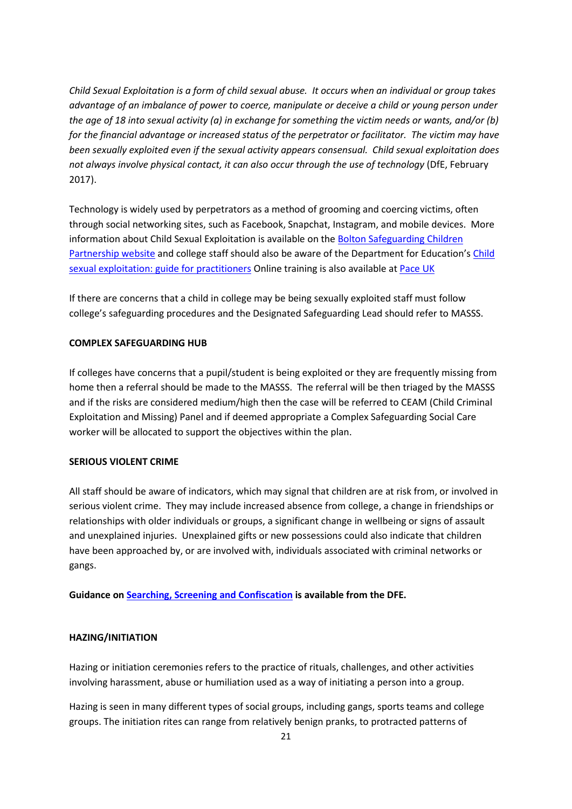*Child Sexual Exploitation is a form of child sexual abuse. It occurs when an individual or group takes advantage of an imbalance of power to coerce, manipulate or deceive a child or young person under the age of 18 into sexual activity (a) in exchange for something the victim needs or wants, and/or (b) for the financial advantage or increased status of the perpetrator or facilitator. The victim may have been sexually exploited even if the sexual activity appears consensual. Child sexual exploitation does not always involve physical contact, it can also occur through the use of technology* (DfE, February 2017).

Technology is widely used by perpetrators as a method of grooming and coercing victims, often through social networking sites, such as Facebook, Snapchat, Instagram, and mobile devices. More information about Child Sexual Exploitation is available on th[e Bolton Safeguarding Children](https://www.boltonsafeguardingchildren.org.uk/working-children-young-people)  [Partnership](https://www.boltonsafeguardingchildren.org.uk/working-children-young-people) website and college staff should also be aware of the Department for Education'[s Child](https://www.gov.uk/government/publications/child-sexual-exploitation-definition-and-guide-for-practitioners)  [sexual exploitation: guide for practitioners](https://www.gov.uk/government/publications/child-sexual-exploitation-definition-and-guide-for-practitioners) Online training is also available at [Pace UK](http://www.paceuk.info/the-problem/keep-them-safe/)

If there are concerns that a child in college may be being sexually exploited staff must follow college's safeguarding procedures and the Designated Safeguarding Lead should refer to MASSS.

#### **COMPLEX SAFEGUARDING HUB**

If colleges have concerns that a pupil/student is being exploited or they are frequently missing from home then a referral should be made to the MASSS. The referral will be then triaged by the MASSS and if the risks are considered medium/high then the case will be referred to CEAM (Child Criminal Exploitation and Missing) Panel and if deemed appropriate a Complex Safeguarding Social Care worker will be allocated to support the objectives within the plan.

#### **SERIOUS VIOLENT CRIME**

All staff should be aware of indicators, which may signal that children are at risk from, or involved in serious violent crime. They may include increased absence from college, a change in friendships or relationships with older individuals or groups, a significant change in wellbeing or signs of assault and unexplained injuries. Unexplained gifts or new possessions could also indicate that children have been approached by, or are involved with, individuals associated with criminal networks or gangs.

**Guidance on [Searching, Screening and Confiscation](https://www.gov.uk/government/publications/searching-screening-and-confiscation) is available from the DFE.** 

#### **HAZING/INITIATION**

Hazing or initiation ceremonies refers to the practice of rituals, challenges, and other activities involving harassment, abuse or humiliation used as a way of initiating a person into a group.

Hazing is seen in many different types of social groups, including gangs, sports teams and college groups. The initiation rites can range from relatively benign pranks, to protracted patterns of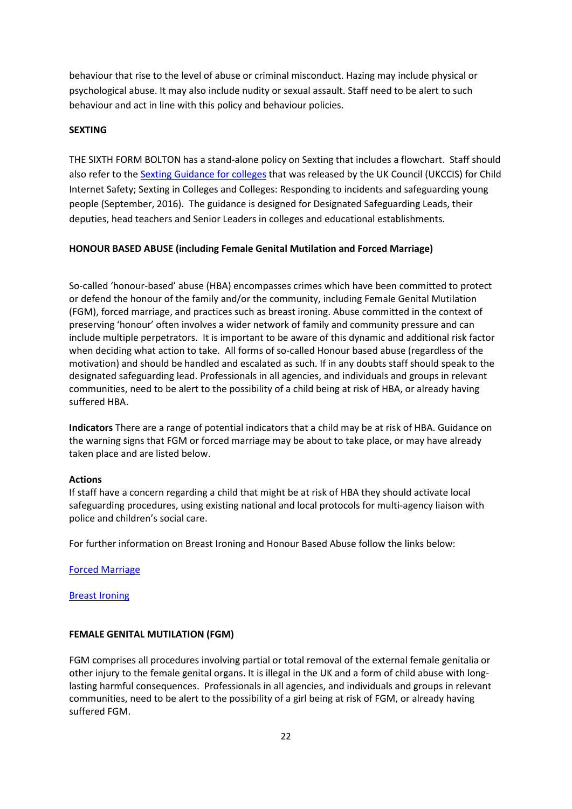behaviour that rise to the level of abuse or criminal misconduct. Hazing may include physical or psychological abuse. It may also include nudity or sexual assault. Staff need to be alert to such behaviour and act in line with this policy and behaviour policies.

#### **SEXTING**

THE SIXTH FORM BOLTON has a stand-alone policy on Sexting that includes a flowchart. Staff should also refer to the [Sexting Guidance for colleges](https://www.gov.uk/government/publications/sexting-in-schools-and-colleges) that was released by the UK Council (UKCCIS) for Child Internet Safety; Sexting in Colleges and Colleges: Responding to incidents and safeguarding young people (September, 2016). The guidance is designed for Designated Safeguarding Leads, their deputies, head teachers and Senior Leaders in colleges and educational establishments.

#### <span id="page-21-0"></span>**HONOUR BASED ABUSE (including Female Genital Mutilation and Forced Marriage)**

So-called 'honour-based' abuse (HBA) encompasses crimes which have been committed to protect or defend the honour of the family and/or the community, including Female Genital Mutilation (FGM), forced marriage, and practices such as breast ironing. Abuse committed in the context of preserving 'honour' often involves a wider network of family and community pressure and can include multiple perpetrators. It is important to be aware of this dynamic and additional risk factor when deciding what action to take. All forms of so-called Honour based abuse (regardless of the motivation) and should be handled and escalated as such. If in any doubts staff should speak to the designated safeguarding lead. Professionals in all agencies, and individuals and groups in relevant communities, need to be alert to the possibility of a child being at risk of HBA, or already having suffered HBA.

**Indicators** There are a range of potential indicators that a child may be at risk of HBA. Guidance on the warning signs that FGM or forced marriage may be about to take place, or may have already taken place and are listed below.

#### **Actions**

If staff have a concern regarding a child that might be at risk of HBA they should activate local safeguarding procedures, using existing national and local protocols for multi-agency liaison with police and children's social care.

For further information on Breast Ironing and Honour Based Abuse follow the links below:

[Forced Marriage](http://greatermanchesterscb.proceduresonline.com/chapters/p_force_marriage.html)

[Breast Ironing](http://greatermanchesterscb.proceduresonline.com/chapters/p_breast_ironing.html)

#### <span id="page-21-1"></span>**FEMALE GENITAL MUTILATION (FGM)**

FGM comprises all procedures involving partial or total removal of the external female genitalia or other injury to the female genital organs. It is illegal in the UK and a form of child abuse with longlasting harmful consequences. Professionals in all agencies, and individuals and groups in relevant communities, need to be alert to the possibility of a girl being at risk of FGM, or already having suffered FGM.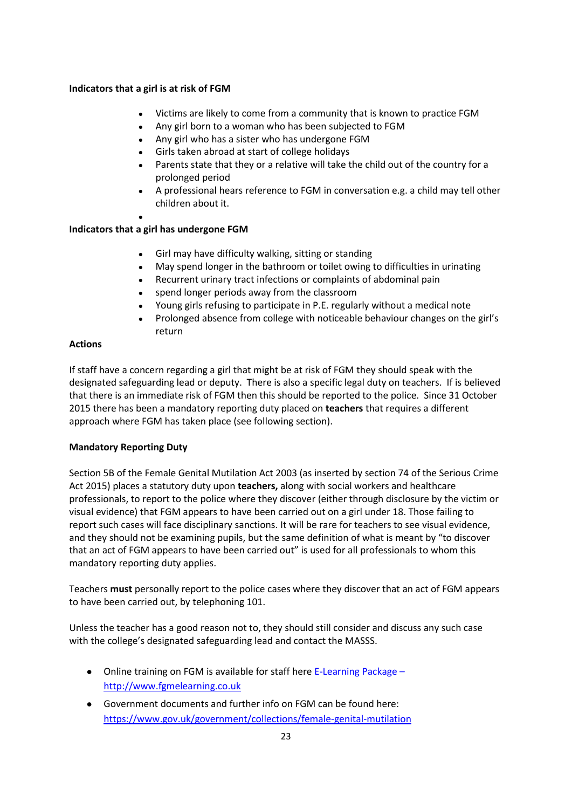# **Indicators that a girl is at risk of FGM**

- Victims are likely to come from a community that is known to practice FGM
- Any girl born to a woman who has been subjected to FGM
- Any girl who has a sister who has undergone FGM
- Girls taken abroad at start of college holidays
- Parents state that they or a relative will take the child out of the country for a prolonged period
- A professional hears reference to FGM in conversation e.g. a child may tell other children about it.
- ●

# **Indicators that a girl has undergone FGM**

- Girl may have difficulty walking, sitting or standing
- May spend longer in the bathroom or toilet owing to difficulties in urinating
- Recurrent urinary tract infections or complaints of abdominal pain
- spend longer periods away from the classroom
- Young girls refusing to participate in P.E. regularly without a medical note
- Prolonged absence from college with noticeable behaviour changes on the girl's return

# **Actions**

If staff have a concern regarding a girl that might be at risk of FGM they should speak with the designated safeguarding lead or deputy. There is also a specific legal duty on teachers. If is believed that there is an immediate risk of FGM then this should be reported to the police. Since 31 October 2015 there has been a mandatory reporting duty placed on **teachers** that requires a different approach where FGM has taken place (see following section).

# **Mandatory Reporting Duty**

Section 5B of the Female Genital Mutilation Act 2003 (as inserted by section 74 of the Serious Crime Act 2015) places a statutory duty upon **teachers,** along with social workers and healthcare professionals, to report to the police where they discover (either through disclosure by the victim or visual evidence) that FGM appears to have been carried out on a girl under 18. Those failing to report such cases will face disciplinary sanctions. It will be rare for teachers to see visual evidence, and they should not be examining pupils, but the same definition of what is meant by "to discover that an act of FGM appears to have been carried out" is used for all professionals to whom this mandatory reporting duty applies.

Teachers **must** personally report to the police cases where they discover that an act of FGM appears to have been carried out, by telephoning 101.

Unless the teacher has a good reason not to, they should still consider and discuss any such case with the college's designated safeguarding lead and contact the MASSS.

- Online training on FGM is available for staff here E-Learning Package [http://www.fgmelearning.co.uk](http://www.fgmelearning.co.uk/)
- Government documents and further info on FGM can be found here: <https://www.gov.uk/government/collections/female-genital-mutilation>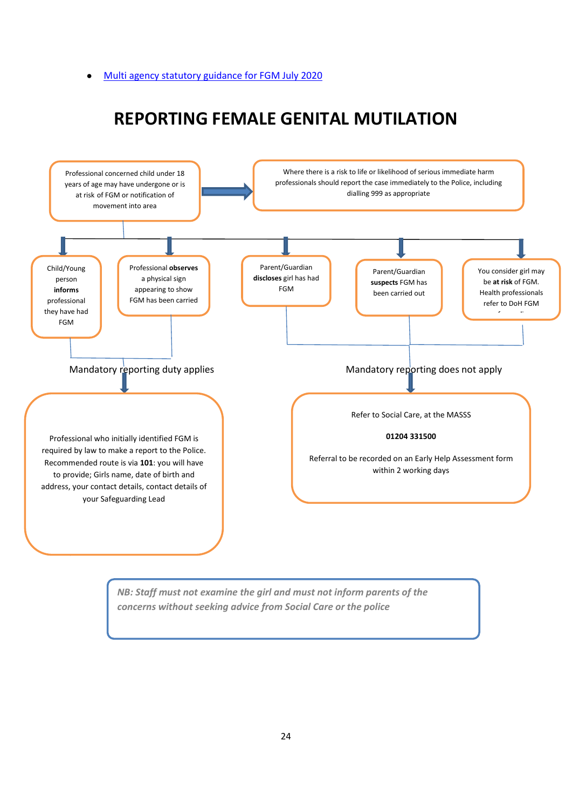#### [Multi agency statutory guidance for FGM July 2020](https://assets.publishing.service.gov.uk/government/uploads/system/uploads/attachment_data/file/905125/6-1914-HO-Multi_Agency_Statutory_Guidance_on_FGM__-_MASTER_V7_-_FINAL__July_2020.pdf)

# **REPORTING FEMALE GENITAL MUTILATION**



*NB: Staff must not examine the girl and must not inform parents of the concerns without seeking advice from Social Care or the police*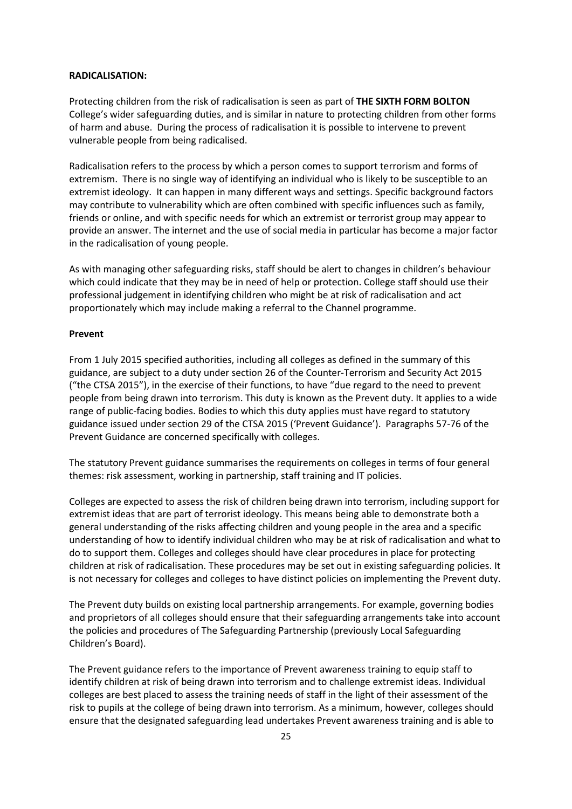#### <span id="page-24-0"></span>**RADICALISATION:**

Protecting children from the risk of radicalisation is seen as part of **THE SIXTH FORM BOLTON** College's wider safeguarding duties, and is similar in nature to protecting children from other forms of harm and abuse. During the process of radicalisation it is possible to intervene to prevent vulnerable people from being radicalised.

Radicalisation refers to the process by which a person comes to support terrorism and forms of extremism. There is no single way of identifying an individual who is likely to be susceptible to an extremist ideology. It can happen in many different ways and settings. Specific background factors may contribute to vulnerability which are often combined with specific influences such as family, friends or online, and with specific needs for which an extremist or terrorist group may appear to provide an answer. The internet and the use of social media in particular has become a major factor in the radicalisation of young people.

As with managing other safeguarding risks, staff should be alert to changes in children's behaviour which could indicate that they may be in need of help or protection. College staff should use their professional judgement in identifying children who might be at risk of radicalisation and act proportionately which may include making a referral to the Channel programme.

#### **Prevent**

From 1 July 2015 specified authorities, including all colleges as defined in the summary of this guidance, are subject to a duty under section 26 of the Counter-Terrorism and Security Act 2015 ("the CTSA 2015"), in the exercise of their functions, to have "due regard to the need to prevent people from being drawn into terrorism. This duty is known as the Prevent duty. It applies to a wide range of public-facing bodies. Bodies to which this duty applies must have regard to statutory guidance issued under section 29 of the CTSA 2015 ('Prevent Guidance'). Paragraphs 57-76 of the Prevent Guidance are concerned specifically with colleges.

The statutory Prevent guidance summarises the requirements on colleges in terms of four general themes: risk assessment, working in partnership, staff training and IT policies.

Colleges are expected to assess the risk of children being drawn into terrorism, including support for extremist ideas that are part of terrorist ideology. This means being able to demonstrate both a general understanding of the risks affecting children and young people in the area and a specific understanding of how to identify individual children who may be at risk of radicalisation and what to do to support them. Colleges and colleges should have clear procedures in place for protecting children at risk of radicalisation. These procedures may be set out in existing safeguarding policies. It is not necessary for colleges and colleges to have distinct policies on implementing the Prevent duty.

The Prevent duty builds on existing local partnership arrangements. For example, governing bodies and proprietors of all colleges should ensure that their safeguarding arrangements take into account the policies and procedures of The Safeguarding Partnership (previously Local Safeguarding Children's Board).

The Prevent guidance refers to the importance of Prevent awareness training to equip staff to identify children at risk of being drawn into terrorism and to challenge extremist ideas. Individual colleges are best placed to assess the training needs of staff in the light of their assessment of the risk to pupils at the college of being drawn into terrorism. As a minimum, however, colleges should ensure that the designated safeguarding lead undertakes Prevent awareness training and is able to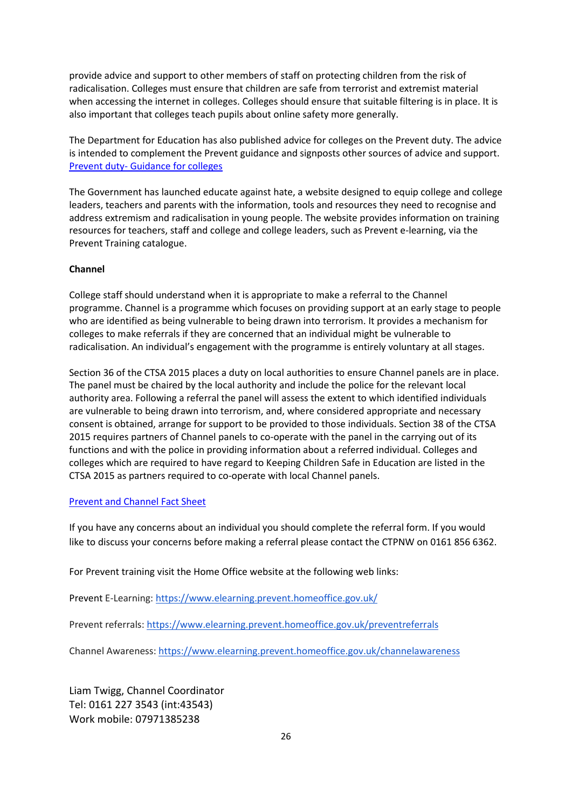provide advice and support to other members of staff on protecting children from the risk of radicalisation. Colleges must ensure that children are safe from terrorist and extremist material when accessing the internet in colleges. Colleges should ensure that suitable filtering is in place. It is also important that colleges teach pupils about online safety more generally.

The Department for Education has also published advice for colleges on the Prevent duty. The advice is intended to complement the Prevent guidance and signposts other sources of advice and support. Prevent duty- [Guidance for colleges](https://www.gov.uk/government/publications/protecting-children-from-radicalisation-the-prevent-duty)

The Government has launched educate against hate, a website designed to equip college and college leaders, teachers and parents with the information, tools and resources they need to recognise and address extremism and radicalisation in young people. The website provides information on training resources for teachers, staff and college and college leaders, such as Prevent e-learning, via the Prevent Training catalogue.

#### **Channel**

College staff should understand when it is appropriate to make a referral to the Channel programme. Channel is a programme which focuses on providing support at an early stage to people who are identified as being vulnerable to being drawn into terrorism. It provides a mechanism for colleges to make referrals if they are concerned that an individual might be vulnerable to radicalisation. An individual's engagement with the programme is entirely voluntary at all stages.

Section 36 of the CTSA 2015 places a duty on local authorities to ensure Channel panels are in place. The panel must be chaired by the local authority and include the police for the relevant local authority area. Following a referral the panel will assess the extent to which identified individuals are vulnerable to being drawn into terrorism, and, where considered appropriate and necessary consent is obtained, arrange for support to be provided to those individuals. Section 38 of the CTSA 2015 requires partners of Channel panels to co-operate with the panel in the carrying out of its functions and with the police in providing information about a referred individual. Colleges and colleges which are required to have regard to Keeping Children Safe in Education are listed in the CTSA 2015 as partners required to co-operate with local Channel panels.

#### [Prevent and Channel Fact Sheet](https://homeofficemedia.blog.gov.uk/2019/12/19/prevent-and-channel-factsheet/#:%7E:text=A%20referral%20to%20Channel%20can%20come%20from%20anyone,to%20see%20if%20they%20are%20suitable%20for%20Channel.)

If you have any concerns about an individual you should complete the referral form. If you would like to discuss your concerns before making a referral please contact the CTPNW on 0161 856 6362.

For Prevent training visit the Home Office website at the following web links:

Prevent E-Learning:<https://www.elearning.prevent.homeoffice.gov.uk/>

Prevent referrals[: https://www.elearning.prevent.homeoffice.gov.uk/preventreferrals](https://www.elearning.prevent.homeoffice.gov.uk/preventreferrals)

Channel Awareness:<https://www.elearning.prevent.homeoffice.gov.uk/channelawareness>

Liam Twigg, Channel Coordinator Tel: 0161 227 3543 (int:43543) Work mobile: 07971385238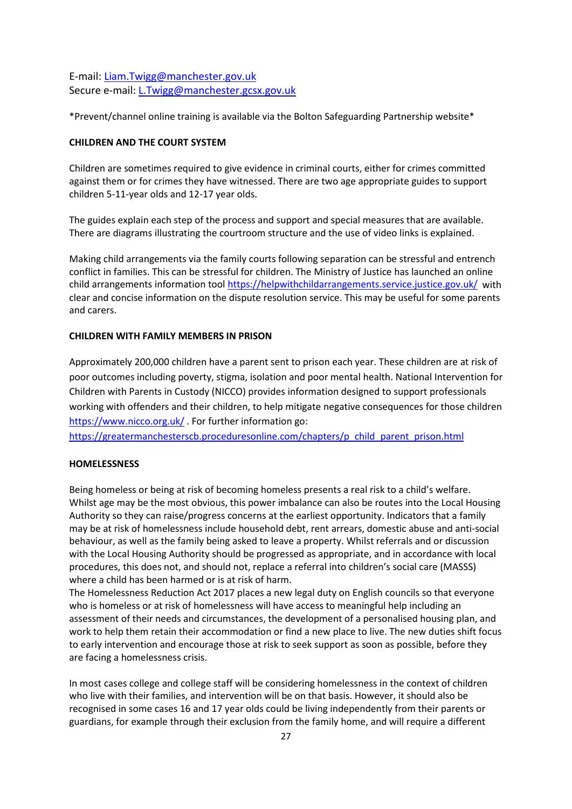E-mail: [Liam.Twigg@manchester.gov.uk](mailto:Liam.Twigg@manchester.gov.uk) Secure e-mail: [L.Twigg@manchester.gcsx.gov.uk](mailto:L.Twigg@manchester.gcsx.gov.uk)

\*Prevent/channel online training is available via the Bolton Safeguarding Partnership website\*

#### <span id="page-26-0"></span>**CHILDREN AND THE COURT SYSTEM**

Children are sometimes required to give evidence in criminal courts, either for crimes committed against them or for crimes they have witnessed. There are two age appropriate guides to support children 5-11-year olds and 12-17 year olds.

The guides explain each step of the process and support and special measures that are available. There are diagrams illustrating the courtroom structure and the use of video links is explained.

Making child arrangements via the family courts following separation can be stressful and entrench conflict in families. This can be stressful for children. The Ministry of Justice has launched an online child arrangements information tool <https://helpwithchildarrangements.service.justice.gov.uk/> with clear and concise information on the dispute resolution service. This may be useful for some parents and carers.

#### <span id="page-26-1"></span>**CHILDREN WITH FAMILY MEMBERS IN PRISON**

Approximately 200,000 children have a parent sent to prison each year. These children are at risk of poor outcomes including poverty, stigma, isolation and poor mental health. National Intervention for Children with Parents in Custody (NICCO) provides information designed to support professionals working with offenders and their children, to help mitigate negative consequences for those children <https://www.nicco.org.uk/> . For further information go:

[https://greatermanchesterscb.proceduresonline.com/chapters/p\\_child\\_parent\\_prison.html](https://greatermanchesterscb.proceduresonline.com/chapters/p_child_parent_prison.html)

# <span id="page-26-2"></span>**HOMELESSNESS**

Being homeless or being at risk of becoming homeless presents a real risk to a child's welfare. Whilst age may be the most obvious, this power imbalance can also be routes into the Local Housing Authority so they can raise/progress concerns at the earliest opportunity. Indicators that a family may be at risk of homelessness include household debt, rent arrears, domestic abuse and anti-social behaviour, as well as the family being asked to leave a property. Whilst referrals and or discussion with the Local Housing Authority should be progressed as appropriate, and in accordance with local procedures, this does not, and should not, replace a referral into children's social care (MASSS) where a child has been harmed or is at risk of harm.

The Homelessness Reduction Act 2017 places a new legal duty on English councils so that everyone who is homeless or at risk of homelessness will have access to meaningful help including an assessment of their needs and circumstances, the development of a personalised housing plan, and work to help them retain their accommodation or find a new place to live. The new duties shift focus to early intervention and encourage those at risk to seek support as soon as possible, before they are facing a homelessness crisis.

In most cases college and college staff will be considering homelessness in the context of children who live with their families, and intervention will be on that basis. However, it should also be recognised in some cases 16 and 17 year olds could be living independently from their parents or guardians, for example through their exclusion from the family home, and will require a different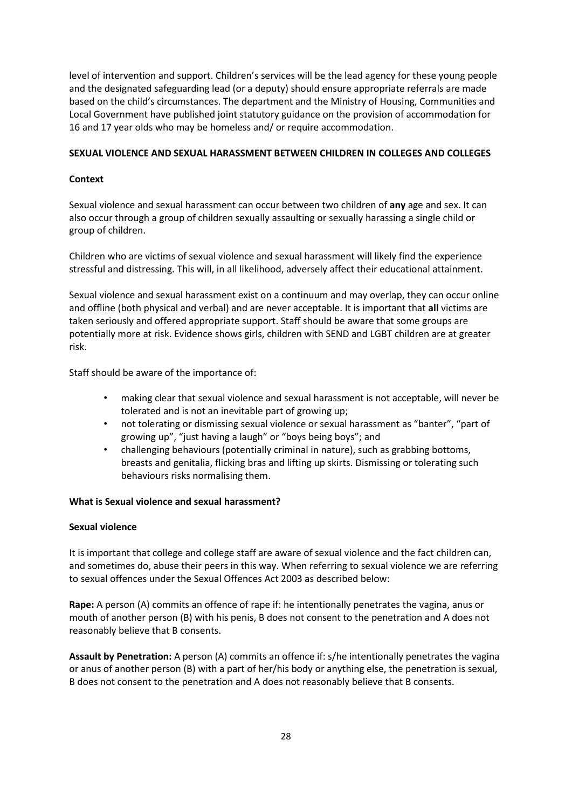level of intervention and support. Children's services will be the lead agency for these young people and the designated safeguarding lead (or a deputy) should ensure appropriate referrals are made based on the child's circumstances. The department and the Ministry of Housing, Communities and Local Government have published joint statutory guidance on the provision of accommodation for 16 and 17 year olds who may be homeless and/ or require accommodation.

#### <span id="page-27-0"></span>**SEXUAL VIOLENCE AND SEXUAL HARASSMENT BETWEEN CHILDREN IN COLLEGES AND COLLEGES**

# **Context**

Sexual violence and sexual harassment can occur between two children of **any** age and sex. It can also occur through a group of children sexually assaulting or sexually harassing a single child or group of children.

Children who are victims of sexual violence and sexual harassment will likely find the experience stressful and distressing. This will, in all likelihood, adversely affect their educational attainment.

Sexual violence and sexual harassment exist on a continuum and may overlap, they can occur online and offline (both physical and verbal) and are never acceptable. It is important that **all** victims are taken seriously and offered appropriate support. Staff should be aware that some groups are potentially more at risk. Evidence shows girls, children with SEND and LGBT children are at greater risk.

Staff should be aware of the importance of:

- making clear that sexual violence and sexual harassment is not acceptable, will never be tolerated and is not an inevitable part of growing up;
- not tolerating or dismissing sexual violence or sexual harassment as "banter", "part of growing up", "just having a laugh" or "boys being boys"; and
- challenging behaviours (potentially criminal in nature), such as grabbing bottoms, breasts and genitalia, flicking bras and lifting up skirts. Dismissing or tolerating such behaviours risks normalising them.

# **What is Sexual violence and sexual harassment?**

# **Sexual violence**

It is important that college and college staff are aware of sexual violence and the fact children can, and sometimes do, abuse their peers in this way. When referring to sexual violence we are referring to sexual offences under the Sexual Offences Act 2003 as described below:

**Rape:** A person (A) commits an offence of rape if: he intentionally penetrates the vagina, anus or mouth of another person (B) with his penis, B does not consent to the penetration and A does not reasonably believe that B consents.

**Assault by Penetration:** A person (A) commits an offence if: s/he intentionally penetrates the vagina or anus of another person (B) with a part of her/his body or anything else, the penetration is sexual, B does not consent to the penetration and A does not reasonably believe that B consents.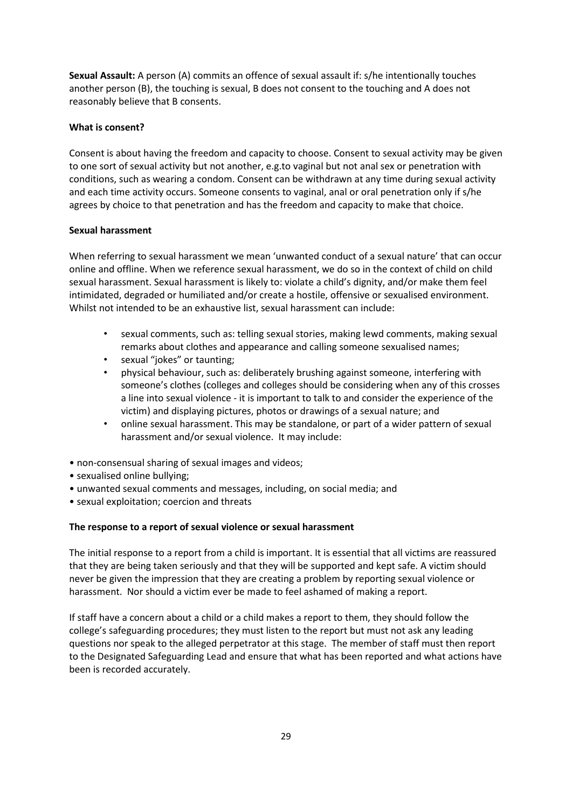**Sexual Assault:** A person (A) commits an offence of sexual assault if: s/he intentionally touches another person (B), the touching is sexual, B does not consent to the touching and A does not reasonably believe that B consents.

#### **What is consent?**

Consent is about having the freedom and capacity to choose. Consent to sexual activity may be given to one sort of sexual activity but not another, e.g.to vaginal but not anal sex or penetration with conditions, such as wearing a condom. Consent can be withdrawn at any time during sexual activity and each time activity occurs. Someone consents to vaginal, anal or oral penetration only if s/he agrees by choice to that penetration and has the freedom and capacity to make that choice.

#### **Sexual harassment**

When referring to sexual harassment we mean 'unwanted conduct of a sexual nature' that can occur online and offline. When we reference sexual harassment, we do so in the context of child on child sexual harassment. Sexual harassment is likely to: violate a child's dignity, and/or make them feel intimidated, degraded or humiliated and/or create a hostile, offensive or sexualised environment. Whilst not intended to be an exhaustive list, sexual harassment can include:

- sexual comments, such as: telling sexual stories, making lewd comments, making sexual remarks about clothes and appearance and calling someone sexualised names;
- sexual "jokes" or taunting;
- physical behaviour, such as: deliberately brushing against someone, interfering with someone's clothes (colleges and colleges should be considering when any of this crosses a line into sexual violence - it is important to talk to and consider the experience of the victim) and displaying pictures, photos or drawings of a sexual nature; and
- online sexual harassment. This may be standalone, or part of a wider pattern of sexual harassment and/or sexual violence. It may include:
- non-consensual sharing of sexual images and videos;
- sexualised online bullying;
- unwanted sexual comments and messages, including, on social media; and
- sexual exploitation; coercion and threats

# **The response to a report of sexual violence or sexual harassment**

The initial response to a report from a child is important. It is essential that all victims are reassured that they are being taken seriously and that they will be supported and kept safe. A victim should never be given the impression that they are creating a problem by reporting sexual violence or harassment. Nor should a victim ever be made to feel ashamed of making a report.

If staff have a concern about a child or a child makes a report to them, they should follow the college's safeguarding procedures; they must listen to the report but must not ask any leading questions nor speak to the alleged perpetrator at this stage. The member of staff must then report to the Designated Safeguarding Lead and ensure that what has been reported and what actions have been is recorded accurately.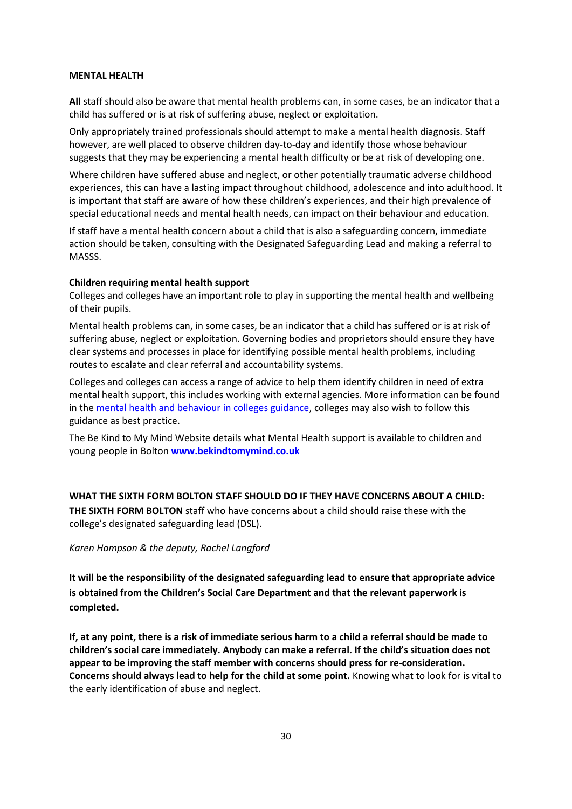#### **MENTAL HEALTH**

**All** staff should also be aware that mental health problems can, in some cases, be an indicator that a child has suffered or is at risk of suffering abuse, neglect or exploitation.

Only appropriately trained professionals should attempt to make a mental health diagnosis. Staff however, are well placed to observe children day-to-day and identify those whose behaviour suggests that they may be experiencing a mental health difficulty or be at risk of developing one.

Where children have suffered abuse and neglect, or other potentially traumatic adverse childhood experiences, this can have a lasting impact throughout childhood, adolescence and into adulthood. It is important that staff are aware of how these children's experiences, and their high prevalence of special educational needs and mental health needs, can impact on their behaviour and education.

If staff have a mental health concern about a child that is also a safeguarding concern, immediate action should be taken, consulting with the Designated Safeguarding Lead and making a referral to MASSS.

#### **Children requiring mental health support**

Colleges and colleges have an important role to play in supporting the mental health and wellbeing of their pupils.

Mental health problems can, in some cases, be an indicator that a child has suffered or is at risk of suffering abuse, neglect or exploitation. Governing bodies and proprietors should ensure they have clear systems and processes in place for identifying possible mental health problems, including routes to escalate and clear referral and accountability systems.

Colleges and colleges can access a range of advice to help them identify children in need of extra mental health support, this includes working with external agencies. More information can be found in the [mental health and behaviour in colleges guidance,](https://www.naht.org.uk/news-and-opinion/news/pupil-support-and-safeguarding-news/updated-guidance-mental-health-and-behaviour-in-schools/) colleges may also wish to follow this guidance as best practice.

The Be Kind to My Mind Website details what Mental Health support is available to children and young people in Bolton **[www.bekindtomymind.co.uk](http://www.bekindtomymind.co.uk/)** 

#### <span id="page-29-0"></span>**WHAT THE SIXTH FORM BOLTON STAFF SHOULD DO IF THEY HAVE CONCERNS ABOUT A CHILD:**

**THE SIXTH FORM BOLTON** staff who have concerns about a child should raise these with the college's designated safeguarding lead (DSL).

#### *Karen Hampson & the deputy, Rachel Langford*

**It will be the responsibility of the designated safeguarding lead to ensure that appropriate advice is obtained from the Children's Social Care Department and that the relevant paperwork is completed.**

**If, at any point, there is a risk of immediate serious harm to a child a referral should be made to children's social care immediately. Anybody can make a referral. If the child's situation does not appear to be improving the staff member with concerns should press for re-consideration. Concerns should always lead to help for the child at some point.** Knowing what to look for is vital to the early identification of abuse and neglect.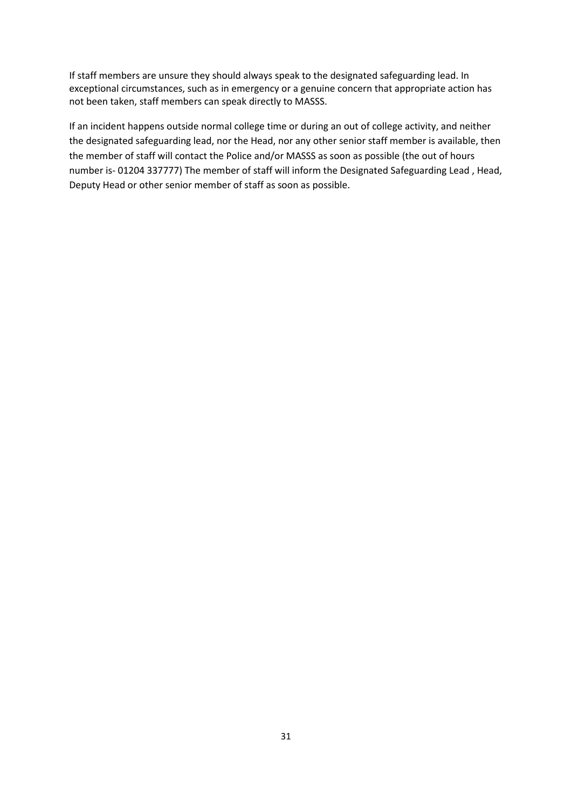If staff members are unsure they should always speak to the designated safeguarding lead. In exceptional circumstances, such as in emergency or a genuine concern that appropriate action has not been taken, staff members can speak directly to MASSS.

If an incident happens outside normal college time or during an out of college activity, and neither the designated safeguarding lead, nor the Head, nor any other senior staff member is available, then the member of staff will contact the Police and/or MASSS as soon as possible (the out of hours number is- 01204 337777) The member of staff will inform the Designated Safeguarding Lead , Head, Deputy Head or other senior member of staff as soon as possible.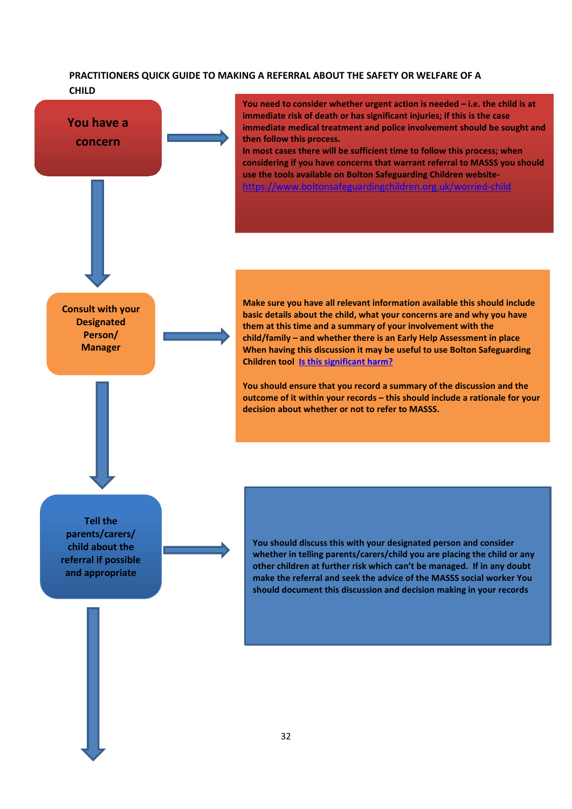# <span id="page-31-0"></span>**PRACTITIONERS QUICK GUIDE TO MAKING A REFERRAL ABOUT THE SAFETY OR WELFARE OF A CHILD**

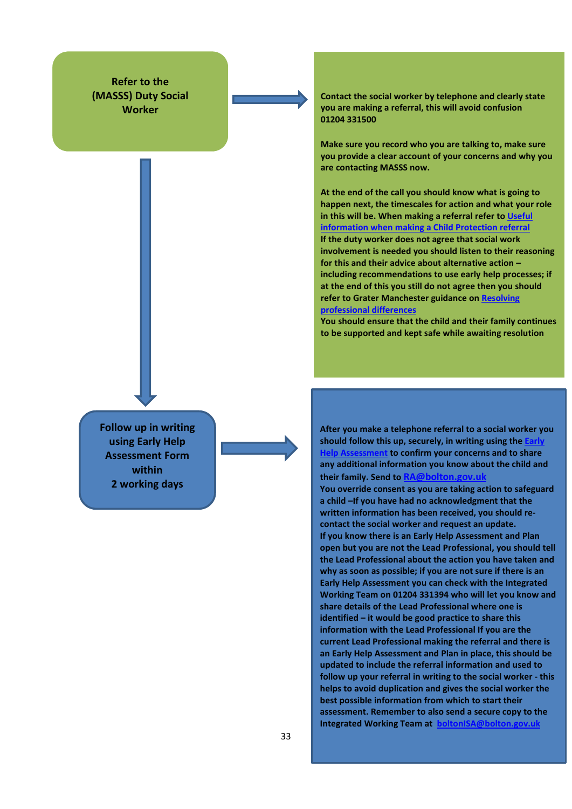**Refer to the (MASSS) Duty Social Worker**

**Follow up in writing using Early Help Assessment Form within 2 working days**

**Contact the social worker by telephone and clearly state you are making a referral, this will avoid confusion 01204 331500**

**Make sure you record who you are talking to, make sure you provide a clear account of your concerns and why you are contacting MASSS now.**

**At the end of the call you should know what is going to happen next, the timescales for action and what your role in this will be. When making a referral refer t[o Useful](https://www.boltonsafeguardingchildren.org.uk/bscb-assessment-tools)  [information when making a Child Protection referral](https://www.boltonsafeguardingchildren.org.uk/bscb-assessment-tools) If the duty worker does not agree that social work involvement is needed you should listen to their reasoning for this and their advice about alternative action – including recommendations to use early help processes; if at the end of this you still do not agree then you should refer to Grater Manchester guidance o[n Resolving](https://greatermanchesterscb.proceduresonline.com/chapters/p_resolv_prof_dis.html?zoom_highlight=resolving+professional+dif#resolve)  [professional differences](https://greatermanchesterscb.proceduresonline.com/chapters/p_resolv_prof_dis.html?zoom_highlight=resolving+professional+dif#resolve)**

**You should ensure that the child and their family continues to be supported and kept safe while awaiting resolution** 

**After you make a telephone referral to a social worker you**  should follow this up, securely, in writing using the **Early to confirm your concerns and to share any additional information you know about the child and their family. Send to RA@bolton.gov.uk**

**You override consent as you are taking action to safeguard a child –If you have had no acknowledgment that the written information has been received, you should recontact the social worker and request an update. If you know there is an Early Help Assessment and Plan open but you are not the Lead Professional, you should tell the Lead Professional about the action you have taken and why as soon as possible; if you are not sure if there is an Early Help Assessment you can check with the Integrated Working Team on 01204 331394 who will let you know and share details of the Lead Professional where one is identified – it would be good practice to share this information with the Lead Professional If you are the current Lead Professional making the referral and there is an Early Help Assessment and Plan in place, this should be updated to include the referral information and used to follow up your referral in writing to the social worker - this helps to avoid duplication and gives the social worker the best possible information from which to start their assessment. Remember to also send a secure copy to the Integrated Working Team at boltonISA@bolton.gov.uk**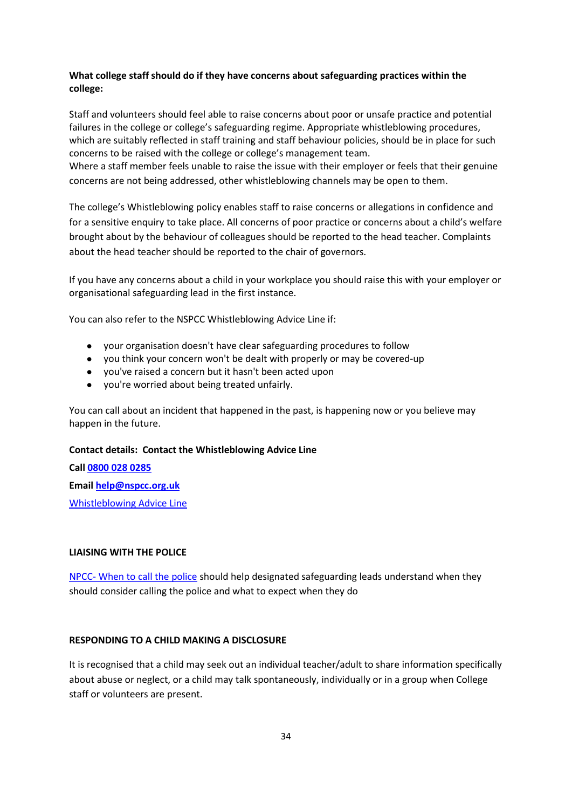# <span id="page-33-0"></span>**What college staff should do if they have concerns about safeguarding practices within the college:**

Staff and volunteers should feel able to raise concerns about poor or unsafe practice and potential failures in the college or college's safeguarding regime. Appropriate whistleblowing procedures, which are suitably reflected in staff training and staff behaviour policies, should be in place for such concerns to be raised with the college or college's management team.

Where a staff member feels unable to raise the issue with their employer or feels that their genuine concerns are not being addressed, other whistleblowing channels may be open to them.

The college's Whistleblowing policy enables staff to raise concerns or allegations in confidence and for a sensitive enquiry to take place. All concerns of poor practice or concerns about a child's welfare brought about by the behaviour of colleagues should be reported to the head teacher. Complaints about the head teacher should be reported to the chair of governors.

If you have any concerns about a child in your workplace you should raise this with your employer or organisational safeguarding lead in the first instance.

You can also refer to the NSPCC Whistleblowing Advice Line if:

- your organisation doesn't have clear safeguarding procedures to follow
- you think your concern won't be dealt with properly or may be covered-up
- you've raised a concern but it hasn't been acted upon
- you're worried about being treated unfairly.

You can call about an incident that happened in the past, is happening now or you believe may happen in the future.

#### **Contact details: Contact the Whistleblowing Advice Line**

**Call [0800 028 0285](about:blank) Email [help@nspcc.org.uk](mailto:help@nspcc.org.uk)** [Whistleblowing Advice Line](https://www.nspcc.org.uk/what-you-can-do/report-abuse/dedicated-helplines/whistleblowing-advice-line/)

# **LIAISING WITH THE POLICE**

NPCC- [When to call the police](https://www.npcc.police.uk/documents/Children%20and%20Young%20people/When%20to%20call%20the%20police%20guidance%20for%20schools%20and%20colleges.pdf) should help designated safeguarding leads understand when they should consider calling the police and what to expect when they do

# <span id="page-33-1"></span>**RESPONDING TO A CHILD MAKING A DISCLOSURE**

It is recognised that a child may seek out an individual teacher/adult to share information specifically about abuse or neglect, or a child may talk spontaneously, individually or in a group when College staff or volunteers are present.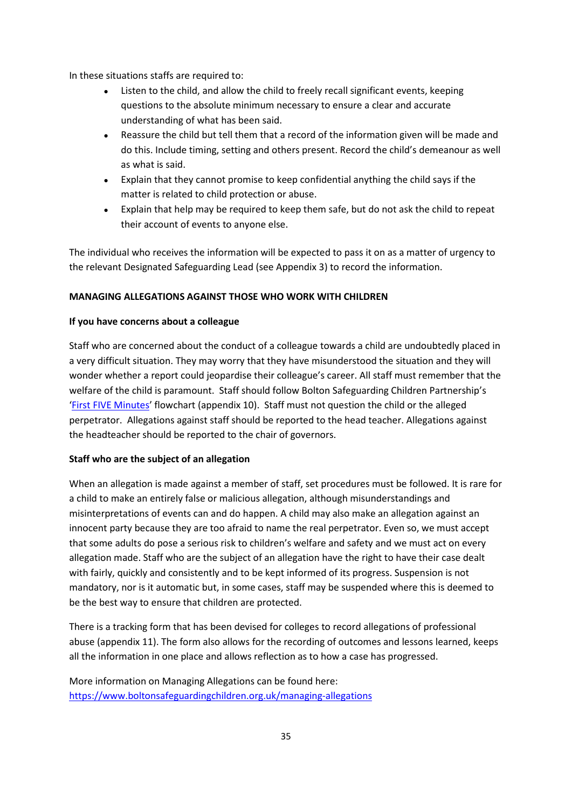In these situations staffs are required to:

- Listen to the child, and allow the child to freely recall significant events, keeping questions to the absolute minimum necessary to ensure a clear and accurate understanding of what has been said.
- Reassure the child but tell them that a record of the information given will be made and do this. Include timing, setting and others present. Record the child's demeanour as well as what is said.
- Explain that they cannot promise to keep confidential anything the child says if the matter is related to child protection or abuse.
- Explain that help may be required to keep them safe, but do not ask the child to repeat their account of events to anyone else.

The individual who receives the information will be expected to pass it on as a matter of urgency to the relevant Designated Safeguarding Lead (see Appendix 3) to record the information.

# <span id="page-34-0"></span>**MANAGING ALLEGATIONS AGAINST THOSE WHO WORK WITH CHILDREN**

# **If you have concerns about a colleague**

Staff who are concerned about the conduct of a colleague towards a child are undoubtedly placed in a very difficult situation. They may worry that they have misunderstood the situation and they will wonder whether a report could jeopardise their colleague's career. All staff must remember that the welfare of the child is paramount. Staff should follow Bolton Safeguarding Children Partnership's ['First FIVE Minutes'](https://www.boltonsafeguardingchildren.org.uk/downloads/file/132/first-five-minutes) flowchart (appendix 10). Staff must not question the child or the alleged perpetrator. Allegations against staff should be reported to the head teacher. Allegations against the headteacher should be reported to the chair of governors.

# **Staff who are the subject of an allegation**

When an allegation is made against a member of staff, set procedures must be followed. It is rare for a child to make an entirely false or malicious allegation, although misunderstandings and misinterpretations of events can and do happen. A child may also make an allegation against an innocent party because they are too afraid to name the real perpetrator. Even so, we must accept that some adults do pose a serious risk to children's welfare and safety and we must act on every allegation made. Staff who are the subject of an allegation have the right to have their case dealt with fairly, quickly and consistently and to be kept informed of its progress. Suspension is not mandatory, nor is it automatic but, in some cases, staff may be suspended where this is deemed to be the best way to ensure that children are protected.

There is a tracking form that has been devised for colleges to record allegations of professional abuse (appendix 11). The form also allows for the recording of outcomes and lessons learned, keeps all the information in one place and allows reflection as to how a case has progressed.

More information on Managing Allegations can be found here: <https://www.boltonsafeguardingchildren.org.uk/managing-allegations>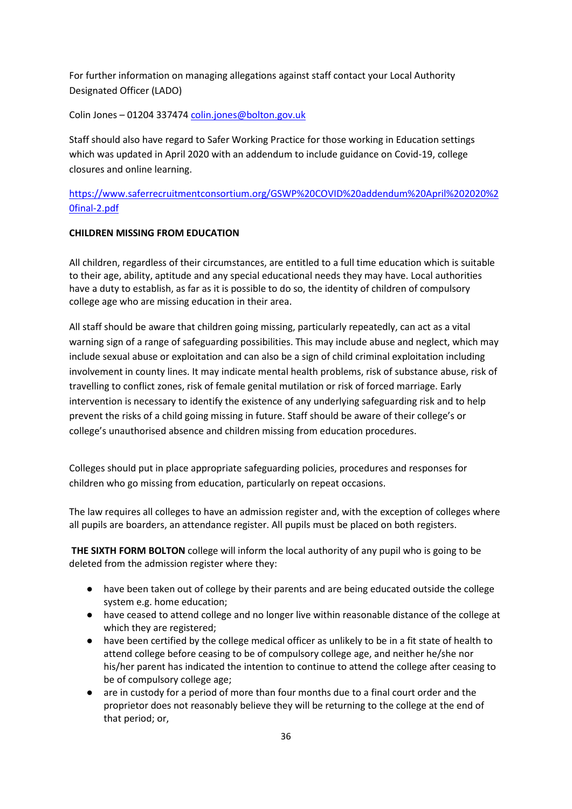For further information on managing allegations against staff contact your Local Authority Designated Officer (LADO)

Colin Jones – 01204 33747[4 colin.jones@bolton.gov.uk](mailto:colin.jones@bolton.gov.uk)

Staff should also have regard to Safer Working Practice for those working in Education settings which was updated in April 2020 with an addendum to include guidance on Covid-19, college closures and online learning.

# <span id="page-35-0"></span>[https://www.saferrecruitmentconsortium.org/GSWP%20COVID%20addendum%20April%202020%2](https://www.saferrecruitmentconsortium.org/GSWP%20COVID%20addendum%20April%202020%20final-2.pdf) [0final-2.pdf](https://www.saferrecruitmentconsortium.org/GSWP%20COVID%20addendum%20April%202020%20final-2.pdf)

#### **CHILDREN MISSING FROM EDUCATION**

All children, regardless of their circumstances, are entitled to a full time education which is suitable to their age, ability, aptitude and any special educational needs they may have. Local authorities have a duty to establish, as far as it is possible to do so, the identity of children of compulsory college age who are missing education in their area.

All staff should be aware that children going missing, particularly repeatedly, can act as a vital warning sign of a range of safeguarding possibilities. This may include abuse and neglect, which may include sexual abuse or exploitation and can also be a sign of child criminal exploitation including involvement in county lines. It may indicate mental health problems, risk of substance abuse, risk of travelling to conflict zones, risk of female genital mutilation or risk of forced marriage. Early intervention is necessary to identify the existence of any underlying safeguarding risk and to help prevent the risks of a child going missing in future. Staff should be aware of their college's or college's unauthorised absence and children missing from education procedures.

Colleges should put in place appropriate safeguarding policies, procedures and responses for children who go missing from education, particularly on repeat occasions.

The law requires all colleges to have an admission register and, with the exception of colleges where all pupils are boarders, an attendance register. All pupils must be placed on both registers.

**THE SIXTH FORM BOLTON** college will inform the local authority of any pupil who is going to be deleted from the admission register where they:

- have been taken out of college by their parents and are being educated outside the college system e.g. home education;
- have ceased to attend college and no longer live within reasonable distance of the college at which they are registered;
- have been certified by the college medical officer as unlikely to be in a fit state of health to attend college before ceasing to be of compulsory college age, and neither he/she nor his/her parent has indicated the intention to continue to attend the college after ceasing to be of compulsory college age;
- are in custody for a period of more than four months due to a final court order and the proprietor does not reasonably believe they will be returning to the college at the end of that period; or,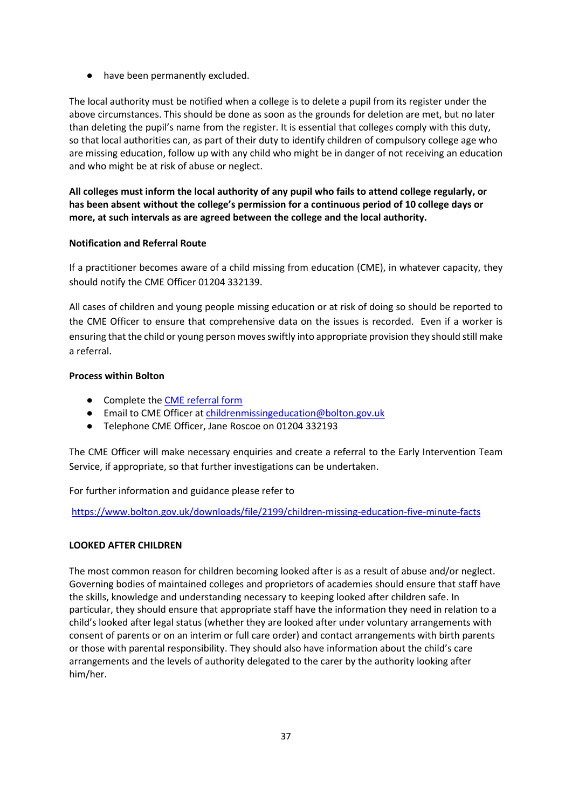● have been permanently excluded.

The local authority must be notified when a college is to delete a pupil from its register under the above circumstances. This should be done as soon as the grounds for deletion are met, but no later than deleting the pupil's name from the register. It is essential that colleges comply with this duty, so that local authorities can, as part of their duty to identify children of compulsory college age who are missing education, follow up with any child who might be in danger of not receiving an education and who might be at risk of abuse or neglect.

**All colleges must inform the local authority of any pupil who fails to attend college regularly, or has been absent without the college's permission for a continuous period of 10 college days or more, at such intervals as are agreed between the college and the local authority.**

### **Notification and Referral Route**

If a practitioner becomes aware of a child missing from education (CME), in whatever capacity, they should notify the CME Officer 01204 332139.

All cases of children and young people missing education or at risk of doing so should be reported to the CME Officer to ensure that comprehensive data on the issues is recorded. Even if a worker is ensuring that the child or young person moves swiftly into appropriate provision they should still make a referral.

### **Process within Bolton**

- Complete the [CME referral form](https://boltonchildcare.proceduresonline.com/chapters/p_chi_miss_edu.html#schools)
- Email to CME Officer a[t childrenmissingeducation@bolton.gov.uk](mailto:childrenmissingeducation@bolton.gov.uk)
- Telephone CME Officer, Jane Roscoe on 01204 332193

The CME Officer will make necessary enquiries and create a referral to the Early Intervention Team Service, if appropriate, so that further investigations can be undertaken.

For further information and guidance please refer to

<https://www.bolton.gov.uk/downloads/file/2199/children-missing-education-five-minute-facts>

### **LOOKED AFTER CHILDREN**

The most common reason for children becoming looked after is as a result of abuse and/or neglect. Governing bodies of maintained colleges and proprietors of academies should ensure that staff have the skills, knowledge and understanding necessary to keeping looked after children safe. In particular, they should ensure that appropriate staff have the information they need in relation to a child's looked after legal status (whether they are looked after under voluntary arrangements with consent of parents or on an interim or full care order) and contact arrangements with birth parents or those with parental responsibility. They should also have information about the child's care arrangements and the levels of authority delegated to the carer by the authority looking after him/her.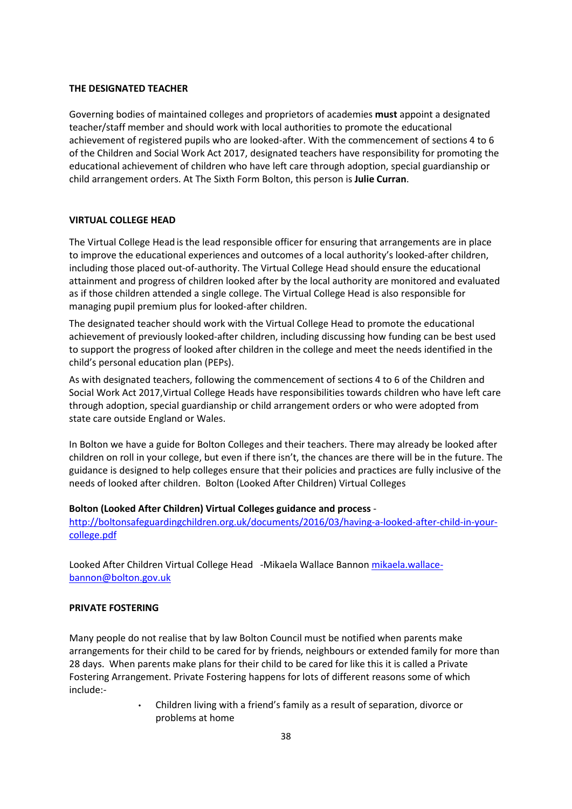#### **THE DESIGNATED TEACHER**

Governing bodies of maintained colleges and proprietors of academies **must** appoint a designated teacher/staff member and should work with local authorities to promote the educational achievement of registered pupils who are looked-after. With the commencement of sections 4 to 6 of the Children and Social Work Act 2017, designated teachers have responsibility for promoting the educational achievement of children who have left care through adoption, special guardianship or child arrangement orders. At The Sixth Form Bolton, this person is **Julie Curran**.

#### **VIRTUAL COLLEGE HEAD**

The Virtual College Head is the lead responsible officer for ensuring that arrangements are in place to improve the educational experiences and outcomes of a local authority's looked-after children, including those placed out-of-authority. The Virtual College Head should ensure the educational attainment and progress of children looked after by the local authority are monitored and evaluated as if those children attended a single college. The Virtual College Head is also responsible for managing pupil premium plus for looked-after children.

The designated teacher should work with the Virtual College Head to promote the educational achievement of previously looked-after children, including discussing how funding can be best used to support the progress of looked after children in the college and meet the needs identified in the child's personal education plan (PEPs).

As with designated teachers, following the commencement of sections 4 to 6 of the Children and Social Work Act 2017,Virtual College Heads have responsibilities towards children who have left care through adoption, special guardianship or child arrangement orders or who were adopted from state care outside England or Wales.

In Bolton we have a guide for Bolton Colleges and their teachers. There may already be looked after children on roll in your college, but even if there isn't, the chances are there will be in the future. The guidance is designed to help colleges ensure that their policies and practices are fully inclusive of the needs of looked after children. Bolton (Looked After Children) Virtual Colleges

#### **Bolton (Looked After Children) Virtual Colleges guidance and process** -

[http://boltonsafeguardingchildren.org.uk/documents/2016/03/having-a-looked-after-child-in-your](about:blank)[college.pdf](about:blank)

Looked After Children Virtual College Head -Mikaela Wallace Bannon [mikaela.wallace](mailto:mikaela.wallace-bannon@bolton.gov.uk)[bannon@bolton.gov.uk](mailto:mikaela.wallace-bannon@bolton.gov.uk)

#### **PRIVATE FOSTERING**

Many people do not realise that by law Bolton Council must be notified when parents make arrangements for their child to be cared for by friends, neighbours or extended family for more than 28 days. When parents make plans for their child to be cared for like this it is called a Private Fostering Arrangement. Private Fostering happens for lots of different reasons some of which include:-

> • Children living with a friend's family as a result of separation, divorce or problems at home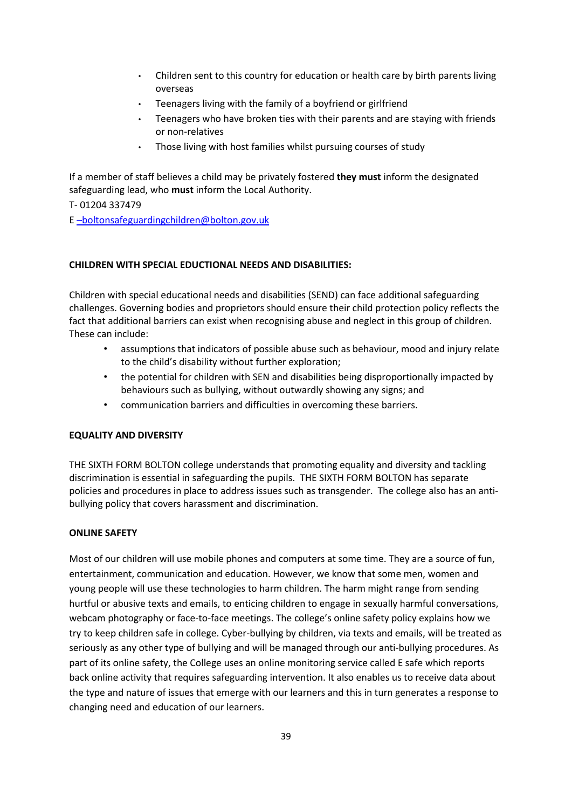- Children sent to this country for education or health care by birth parents living overseas
- Teenagers living with the family of a boyfriend or girlfriend
- Teenagers who have broken ties with their parents and are staying with friends or non-relatives
- Those living with host families whilst pursuing courses of study

If a member of staff believes a child may be privately fostered **they must** inform the designated safeguarding lead, who **must** inform the Local Authority.

T- 01204 337479

E [–boltonsafeguardingchildren@bolton.gov.uk](mailto:%E2%80%93boltonsafeguardingchildren@bolton.gov.uk)

### **CHILDREN WITH SPECIAL EDUCTIONAL NEEDS AND DISABILITIES:**

Children with special educational needs and disabilities (SEND) can face additional safeguarding challenges. Governing bodies and proprietors should ensure their child protection policy reflects the fact that additional barriers can exist when recognising abuse and neglect in this group of children. These can include:

- assumptions that indicators of possible abuse such as behaviour, mood and injury relate to the child's disability without further exploration;
- the potential for children with SEN and disabilities being disproportionally impacted by behaviours such as bullying, without outwardly showing any signs; and
- communication barriers and difficulties in overcoming these barriers.

### **EQUALITY AND DIVERSITY**

THE SIXTH FORM BOLTON college understands that promoting equality and diversity and tackling discrimination is essential in safeguarding the pupils. THE SIXTH FORM BOLTON has separate policies and procedures in place to address issues such as transgender. The college also has an antibullying policy that covers harassment and discrimination.

### **ONLINE SAFETY**

Most of our children will use mobile phones and computers at some time. They are a source of fun, entertainment, communication and education. However, we know that some men, women and young people will use these technologies to harm children. The harm might range from sending hurtful or abusive texts and emails, to enticing children to engage in sexually harmful conversations, webcam photography or face-to-face meetings. The college's online safety policy explains how we try to keep children safe in college. Cyber-bullying by children, via texts and emails, will be treated as seriously as any other type of bullying and will be managed through our anti-bullying procedures. As part of its online safety, the College uses an online monitoring service called E safe which reports back online activity that requires safeguarding intervention. It also enables us to receive data about the type and nature of issues that emerge with our learners and this in turn generates a response to changing need and education of our learners.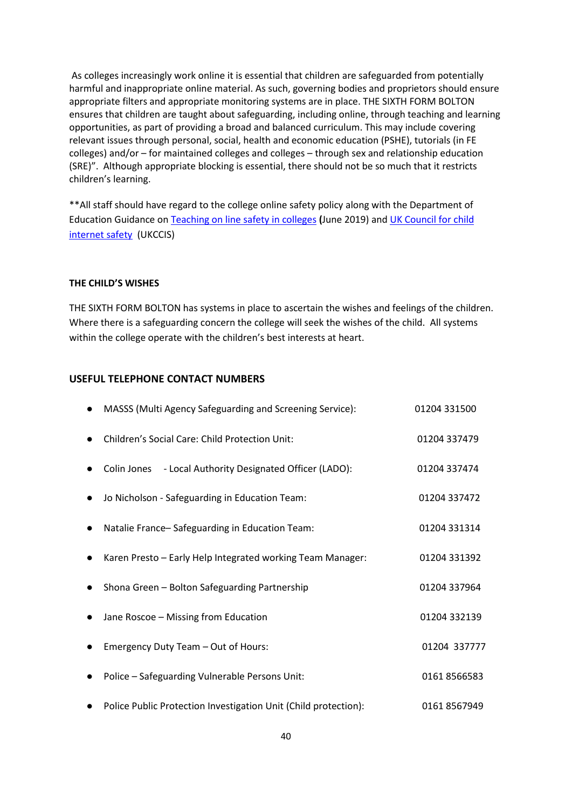As colleges increasingly work online it is essential that children are safeguarded from potentially harmful and inappropriate online material. As such, governing bodies and proprietors should ensure appropriate filters and appropriate monitoring systems are in place. THE SIXTH FORM BOLTON ensures that children are taught about safeguarding, including online, through teaching and learning opportunities, as part of providing a broad and balanced curriculum. This may include covering relevant issues through personal, social, health and economic education (PSHE), tutorials (in FE colleges) and/or – for maintained colleges and colleges – through sex and relationship education (SRE)". Although appropriate blocking is essential, there should not be so much that it restricts children's learning.

\*\*All staff should have regard to the college online safety policy along with the Department of Education Guidance on [Teaching on line safety in colleges](https://www.gov.uk/government/publications/teaching-online-safety-in-schools) **(**June 2019) and [UK Council for child](https://www.gov.uk/government/groups/uk-council-for-child-internet-safety-ukccis)  [internet safety](https://www.gov.uk/government/groups/uk-council-for-child-internet-safety-ukccis) (UKCCIS)

#### **THE CHILD'S WISHES**

THE SIXTH FORM BOLTON has systems in place to ascertain the wishes and feelings of the children. Where there is a safeguarding concern the college will seek the wishes of the child. All systems within the college operate with the children's best interests at heart.

#### **USEFUL TELEPHONE CONTACT NUMBERS**

| MASSS (Multi Agency Safeguarding and Screening Service):        | 01204 331500 |
|-----------------------------------------------------------------|--------------|
| Children's Social Care: Child Protection Unit:                  | 01204 337479 |
| - Local Authority Designated Officer (LADO):<br>Colin Jones     | 01204 337474 |
| Jo Nicholson - Safeguarding in Education Team:                  | 01204 337472 |
| Natalie France-Safeguarding in Education Team:                  | 01204 331314 |
| Karen Presto - Early Help Integrated working Team Manager:      | 01204 331392 |
| Shona Green - Bolton Safeguarding Partnership                   | 01204 337964 |
| Jane Roscoe - Missing from Education                            | 01204 332139 |
| Emergency Duty Team - Out of Hours:                             | 01204 337777 |
| Police - Safeguarding Vulnerable Persons Unit:                  | 01618566583  |
| Police Public Protection Investigation Unit (Child protection): | 01618567949  |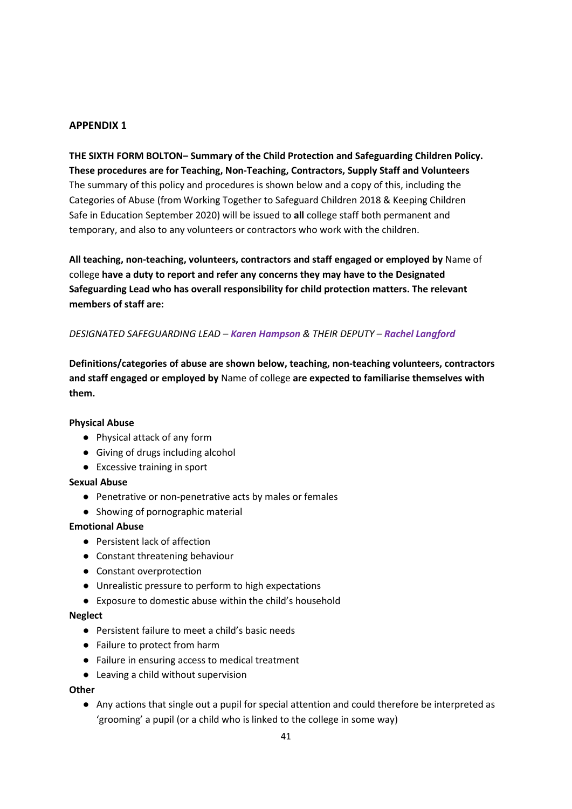**THE SIXTH FORM BOLTON– Summary of the Child Protection and Safeguarding Children Policy. These procedures are for Teaching, Non-Teaching, Contractors, Supply Staff and Volunteers** The summary of this policy and procedures is shown below and a copy of this, including the Categories of Abuse (from Working Together to Safeguard Children 2018 & Keeping Children Safe in Education September 2020) will be issued to **all** college staff both permanent and temporary, and also to any volunteers or contractors who work with the children.

**All teaching, non-teaching, volunteers, contractors and staff engaged or employed by** Name of college **have a duty to report and refer any concerns they may have to the Designated Safeguarding Lead who has overall responsibility for child protection matters. The relevant members of staff are:**

### *DESIGNATED SAFEGUARDING LEAD – Karen Hampson & THEIR DEPUTY – Rachel Langford*

**Definitions/categories of abuse are shown below, teaching, non-teaching volunteers, contractors and staff engaged or employed by** Name of college **are expected to familiarise themselves with them.** 

#### **Physical Abuse**

- Physical attack of any form
- Giving of drugs including alcohol
- Excessive training in sport

#### **Sexual Abuse**

- Penetrative or non-penetrative acts by males or females
- Showing of pornographic material

#### **Emotional Abuse**

- Persistent lack of affection
- Constant threatening behaviour
- Constant overprotection
- Unrealistic pressure to perform to high expectations
- Exposure to domestic abuse within the child's household

#### **Neglect**

- Persistent failure to meet a child's basic needs
- Failure to protect from harm
- Failure in ensuring access to medical treatment
- Leaving a child without supervision

#### **Other**

● Any actions that single out a pupil for special attention and could therefore be interpreted as 'grooming' a pupil (or a child who is linked to the college in some way)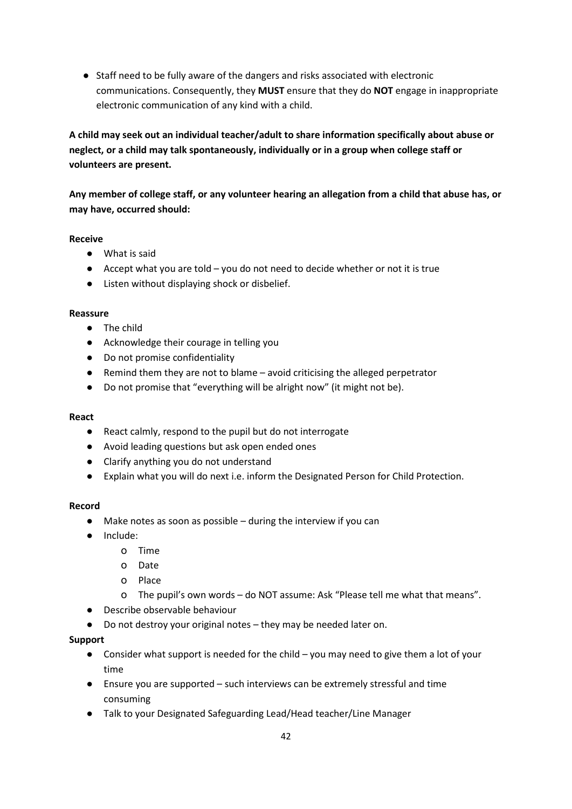● Staff need to be fully aware of the dangers and risks associated with electronic communications. Consequently, they **MUST** ensure that they do **NOT** engage in inappropriate electronic communication of any kind with a child.

**A child may seek out an individual teacher/adult to share information specifically about abuse or neglect, or a child may talk spontaneously, individually or in a group when college staff or volunteers are present.**

**Any member of college staff, or any volunteer hearing an allegation from a child that abuse has, or may have, occurred should:**

### **Receive**

- What is said
- $\bullet$  Accept what you are told you do not need to decide whether or not it is true
- Listen without displaying shock or disbelief.

### **Reassure**

- The child
- Acknowledge their courage in telling you
- Do not promise confidentiality
- Remind them they are not to blame avoid criticising the alleged perpetrator
- Do not promise that "everything will be alright now" (it might not be).

### **React**

- React calmly, respond to the pupil but do not interrogate
- Avoid leading questions but ask open ended ones
- Clarify anything you do not understand
- Explain what you will do next i.e. inform the Designated Person for Child Protection.

### **Record**

- Make notes as soon as possible during the interview if you can
- Include:
	- o Time
	- o Date
	- o Place
	- o The pupil's own words do NOT assume: Ask "Please tell me what that means".
- Describe observable behaviour
- Do not destroy your original notes they may be needed later on.

### **Support**

- $\bullet$  Consider what support is needed for the child you may need to give them a lot of your time
- Ensure you are supported such interviews can be extremely stressful and time consuming
- Talk to your Designated Safeguarding Lead/Head teacher/Line Manager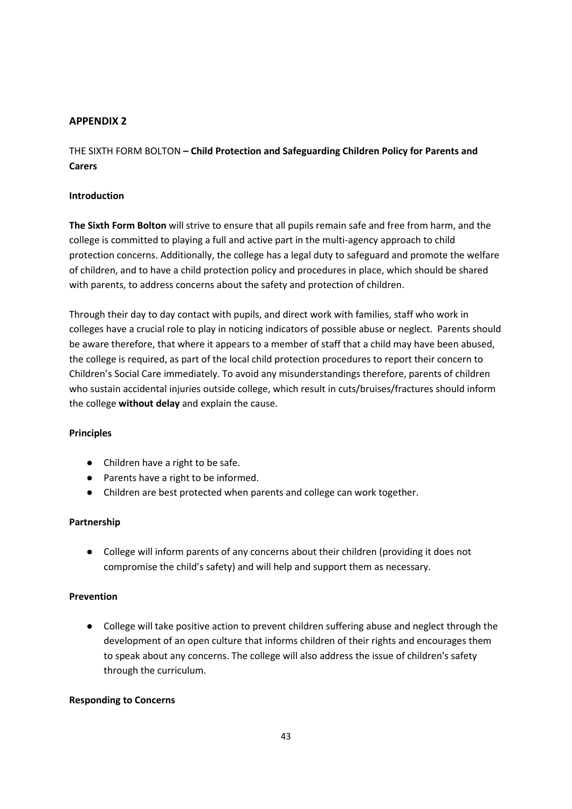THE SIXTH FORM BOLTON **– Child Protection and Safeguarding Children Policy for Parents and Carers**

#### **Introduction**

**The Sixth Form Bolton** will strive to ensure that all pupils remain safe and free from harm, and the college is committed to playing a full and active part in the multi-agency approach to child protection concerns. Additionally, the college has a legal duty to safeguard and promote the welfare of children, and to have a child protection policy and procedures in place, which should be shared with parents, to address concerns about the safety and protection of children.

Through their day to day contact with pupils, and direct work with families, staff who work in colleges have a crucial role to play in noticing indicators of possible abuse or neglect. Parents should be aware therefore, that where it appears to a member of staff that a child may have been abused, the college is required, as part of the local child protection procedures to report their concern to Children's Social Care immediately. To avoid any misunderstandings therefore, parents of children who sustain accidental injuries outside college, which result in cuts/bruises/fractures should inform the college **without delay** and explain the cause.

#### **Principles**

- Children have a right to be safe.
- Parents have a right to be informed.
- Children are best protected when parents and college can work together.

#### **Partnership**

● College will inform parents of any concerns about their children (providing it does not compromise the child's safety) and will help and support them as necessary.

#### **Prevention**

● College will take positive action to prevent children suffering abuse and neglect through the development of an open culture that informs children of their rights and encourages them to speak about any concerns. The college will also address the issue of children's safety through the curriculum.

#### **Responding to Concerns**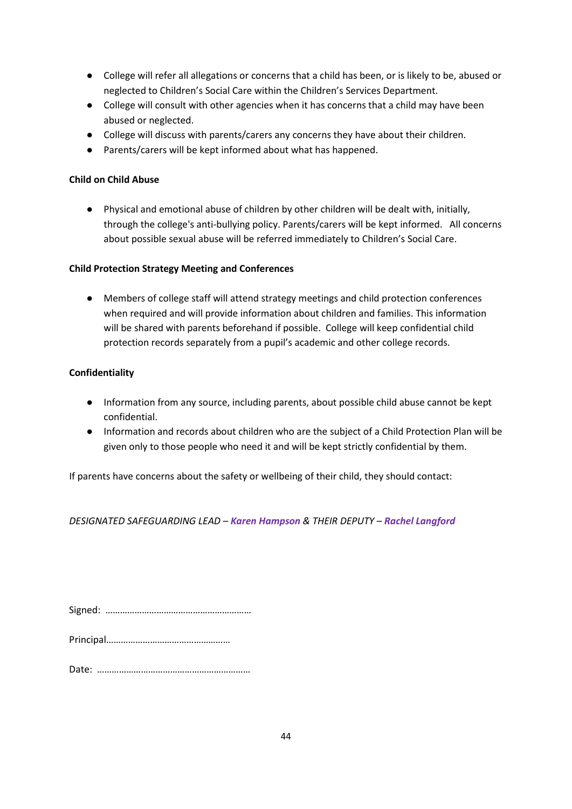- College will refer all allegations or concerns that a child has been, or is likely to be, abused or neglected to Children's Social Care within the Children's Services Department.
- College will consult with other agencies when it has concerns that a child may have been abused or neglected.
- College will discuss with parents/carers any concerns they have about their children.
- Parents/carers will be kept informed about what has happened.

### **Child on Child Abuse**

● Physical and emotional abuse of children by other children will be dealt with, initially, through the college's anti-bullying policy. Parents/carers will be kept informed. All concerns about possible sexual abuse will be referred immediately to Children's Social Care.

### **Child Protection Strategy Meeting and Conferences**

● Members of college staff will attend strategy meetings and child protection conferences when required and will provide information about children and families. This information will be shared with parents beforehand if possible. College will keep confidential child protection records separately from a pupil's academic and other college records.

### **Confidentiality**

- Information from any source, including parents, about possible child abuse cannot be kept confidential.
- Information and records about children who are the subject of a Child Protection Plan will be given only to those people who need it and will be kept strictly confidential by them.

If parents have concerns about the safety or wellbeing of their child, they should contact:

*DESIGNATED SAFEGUARDING LEAD – Karen Hampson & THEIR DEPUTY – Rachel Langford*

Principal……………………………………………

Date: ………………………………………………………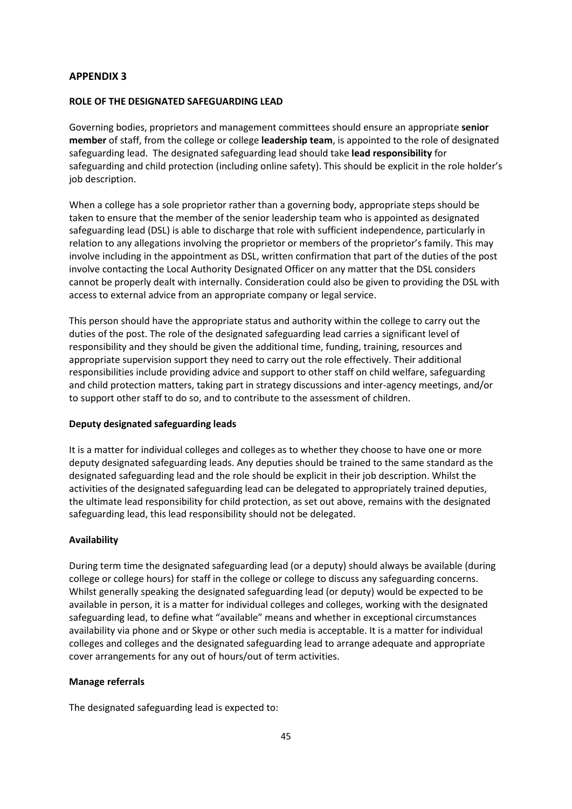#### **ROLE OF THE DESIGNATED SAFEGUARDING LEAD**

Governing bodies, proprietors and management committees should ensure an appropriate **senior member** of staff, from the college or college **leadership team**, is appointed to the role of designated safeguarding lead. The designated safeguarding lead should take **lead responsibility** for safeguarding and child protection (including online safety). This should be explicit in the role holder's job description.

When a college has a sole proprietor rather than a governing body, appropriate steps should be taken to ensure that the member of the senior leadership team who is appointed as designated safeguarding lead (DSL) is able to discharge that role with sufficient independence, particularly in relation to any allegations involving the proprietor or members of the proprietor's family. This may involve including in the appointment as DSL, written confirmation that part of the duties of the post involve contacting the Local Authority Designated Officer on any matter that the DSL considers cannot be properly dealt with internally. Consideration could also be given to providing the DSL with access to external advice from an appropriate company or legal service.

This person should have the appropriate status and authority within the college to carry out the duties of the post. The role of the designated safeguarding lead carries a significant level of responsibility and they should be given the additional time, funding, training, resources and appropriate supervision support they need to carry out the role effectively. Their additional responsibilities include providing advice and support to other staff on child welfare, safeguarding and child protection matters, taking part in strategy discussions and inter-agency meetings, and/or to support other staff to do so, and to contribute to the assessment of children.

#### **Deputy designated safeguarding leads**

It is a matter for individual colleges and colleges as to whether they choose to have one or more deputy designated safeguarding leads. Any deputies should be trained to the same standard as the designated safeguarding lead and the role should be explicit in their job description. Whilst the activities of the designated safeguarding lead can be delegated to appropriately trained deputies, the ultimate lead responsibility for child protection, as set out above, remains with the designated safeguarding lead, this lead responsibility should not be delegated.

#### **Availability**

During term time the designated safeguarding lead (or a deputy) should always be available (during college or college hours) for staff in the college or college to discuss any safeguarding concerns. Whilst generally speaking the designated safeguarding lead (or deputy) would be expected to be available in person, it is a matter for individual colleges and colleges, working with the designated safeguarding lead, to define what "available" means and whether in exceptional circumstances availability via phone and or Skype or other such media is acceptable. It is a matter for individual colleges and colleges and the designated safeguarding lead to arrange adequate and appropriate cover arrangements for any out of hours/out of term activities.

#### **Manage referrals**

The designated safeguarding lead is expected to: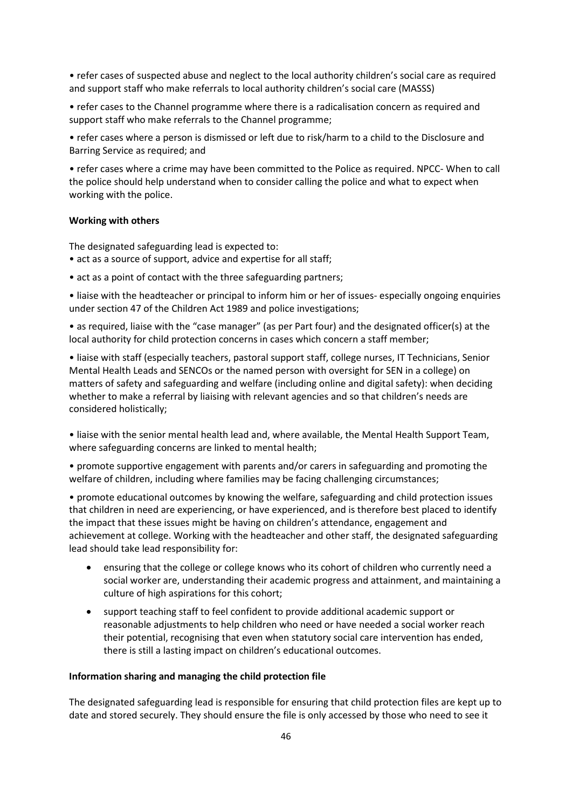• refer cases of suspected abuse and neglect to the local authority children's social care as required and support staff who make referrals to local authority children's social care (MASSS)

• refer cases to the Channel programme where there is a radicalisation concern as required and support staff who make referrals to the Channel programme;

• refer cases where a person is dismissed or left due to risk/harm to a child to the Disclosure and Barring Service as required; and

• refer cases where a crime may have been committed to the Police as required. NPCC- When to call the police should help understand when to consider calling the police and what to expect when working with the police.

#### **Working with others**

The designated safeguarding lead is expected to:

- act as a source of support, advice and expertise for all staff;
- act as a point of contact with the three safeguarding partners;

• liaise with the headteacher or principal to inform him or her of issues- especially ongoing enquiries under section 47 of the Children Act 1989 and police investigations;

• as required, liaise with the "case manager" (as per Part four) and the designated officer(s) at the local authority for child protection concerns in cases which concern a staff member;

• liaise with staff (especially teachers, pastoral support staff, college nurses, IT Technicians, Senior Mental Health Leads and SENCOs or the named person with oversight for SEN in a college) on matters of safety and safeguarding and welfare (including online and digital safety): when deciding whether to make a referral by liaising with relevant agencies and so that children's needs are considered holistically;

• liaise with the senior mental health lead and, where available, the Mental Health Support Team, where safeguarding concerns are linked to mental health;

• promote supportive engagement with parents and/or carers in safeguarding and promoting the welfare of children, including where families may be facing challenging circumstances;

• promote educational outcomes by knowing the welfare, safeguarding and child protection issues that children in need are experiencing, or have experienced, and is therefore best placed to identify the impact that these issues might be having on children's attendance, engagement and achievement at college. Working with the headteacher and other staff, the designated safeguarding lead should take lead responsibility for:

- ensuring that the college or college knows who its cohort of children who currently need a social worker are, understanding their academic progress and attainment, and maintaining a culture of high aspirations for this cohort;
- support teaching staff to feel confident to provide additional academic support or reasonable adjustments to help children who need or have needed a social worker reach their potential, recognising that even when statutory social care intervention has ended, there is still a lasting impact on children's educational outcomes.

#### **Information sharing and managing the child protection file**

The designated safeguarding lead is responsible for ensuring that child protection files are kept up to date and stored securely. They should ensure the file is only accessed by those who need to see it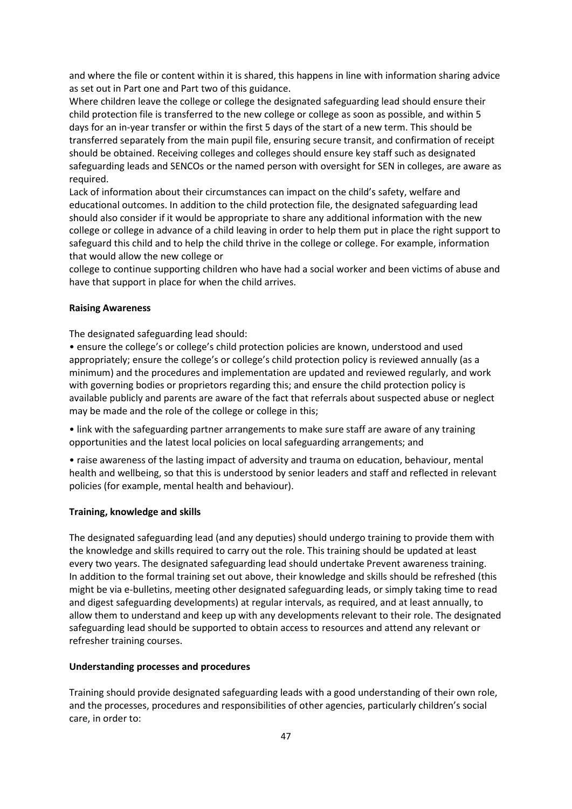and where the file or content within it is shared, this happens in line with information sharing advice as set out in Part one and Part two of this guidance.

Where children leave the college or college the designated safeguarding lead should ensure their child protection file is transferred to the new college or college as soon as possible, and within 5 days for an in-year transfer or within the first 5 days of the start of a new term. This should be transferred separately from the main pupil file, ensuring secure transit, and confirmation of receipt should be obtained. Receiving colleges and colleges should ensure key staff such as designated safeguarding leads and SENCOs or the named person with oversight for SEN in colleges, are aware as required.

Lack of information about their circumstances can impact on the child's safety, welfare and educational outcomes. In addition to the child protection file, the designated safeguarding lead should also consider if it would be appropriate to share any additional information with the new college or college in advance of a child leaving in order to help them put in place the right support to safeguard this child and to help the child thrive in the college or college. For example, information that would allow the new college or

college to continue supporting children who have had a social worker and been victims of abuse and have that support in place for when the child arrives.

#### **Raising Awareness**

The designated safeguarding lead should:

• ensure the college's or college's child protection policies are known, understood and used appropriately; ensure the college's or college's child protection policy is reviewed annually (as a minimum) and the procedures and implementation are updated and reviewed regularly, and work with governing bodies or proprietors regarding this; and ensure the child protection policy is available publicly and parents are aware of the fact that referrals about suspected abuse or neglect may be made and the role of the college or college in this;

• link with the safeguarding partner arrangements to make sure staff are aware of any training opportunities and the latest local policies on local safeguarding arrangements; and

• raise awareness of the lasting impact of adversity and trauma on education, behaviour, mental health and wellbeing, so that this is understood by senior leaders and staff and reflected in relevant policies (for example, mental health and behaviour).

#### **Training, knowledge and skills**

The designated safeguarding lead (and any deputies) should undergo training to provide them with the knowledge and skills required to carry out the role. This training should be updated at least every two years. The designated safeguarding lead should undertake Prevent awareness training. In addition to the formal training set out above, their knowledge and skills should be refreshed (this might be via e-bulletins, meeting other designated safeguarding leads, or simply taking time to read and digest safeguarding developments) at regular intervals, as required, and at least annually, to allow them to understand and keep up with any developments relevant to their role. The designated safeguarding lead should be supported to obtain access to resources and attend any relevant or refresher training courses.

#### **Understanding processes and procedures**

Training should provide designated safeguarding leads with a good understanding of their own role, and the processes, procedures and responsibilities of other agencies, particularly children's social care, in order to: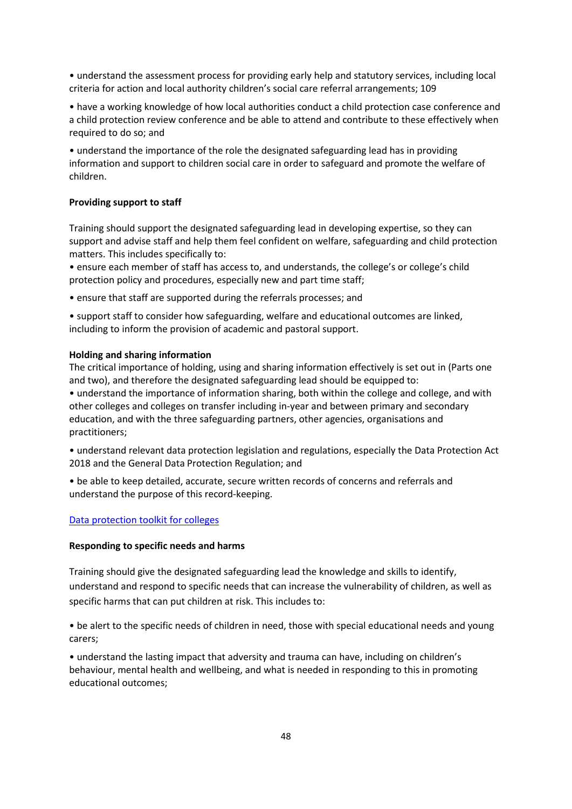• understand the assessment process for providing early help and statutory services, including local criteria for action and local authority children's social care referral arrangements; 109

• have a working knowledge of how local authorities conduct a child protection case conference and a child protection review conference and be able to attend and contribute to these effectively when required to do so; and

• understand the importance of the role the designated safeguarding lead has in providing information and support to children social care in order to safeguard and promote the welfare of children.

#### **Providing support to staff**

Training should support the designated safeguarding lead in developing expertise, so they can support and advise staff and help them feel confident on welfare, safeguarding and child protection matters. This includes specifically to:

• ensure each member of staff has access to, and understands, the college's or college's child protection policy and procedures, especially new and part time staff;

• ensure that staff are supported during the referrals processes; and

• support staff to consider how safeguarding, welfare and educational outcomes are linked, including to inform the provision of academic and pastoral support.

#### **Holding and sharing information**

The critical importance of holding, using and sharing information effectively is set out in (Parts one and two), and therefore the designated safeguarding lead should be equipped to:

• understand the importance of information sharing, both within the college and college, and with other colleges and colleges on transfer including in-year and between primary and secondary education, and with the three safeguarding partners, other agencies, organisations and practitioners;

- understand relevant data protection legislation and regulations, especially the Data Protection Act 2018 and the General Data Protection Regulation; and
- be able to keep detailed, accurate, secure written records of concerns and referrals and understand the purpose of this record-keeping.

#### [Data protection toolkit for colleges](https://www.gov.uk/government/publications/data-protection-toolkit-for-schools)

#### **Responding to specific needs and harms**

Training should give the designated safeguarding lead the knowledge and skills to identify, understand and respond to specific needs that can increase the vulnerability of children, as well as specific harms that can put children at risk. This includes to:

• be alert to the specific needs of children in need, those with special educational needs and young carers;

• understand the lasting impact that adversity and trauma can have, including on children's behaviour, mental health and wellbeing, and what is needed in responding to this in promoting educational outcomes;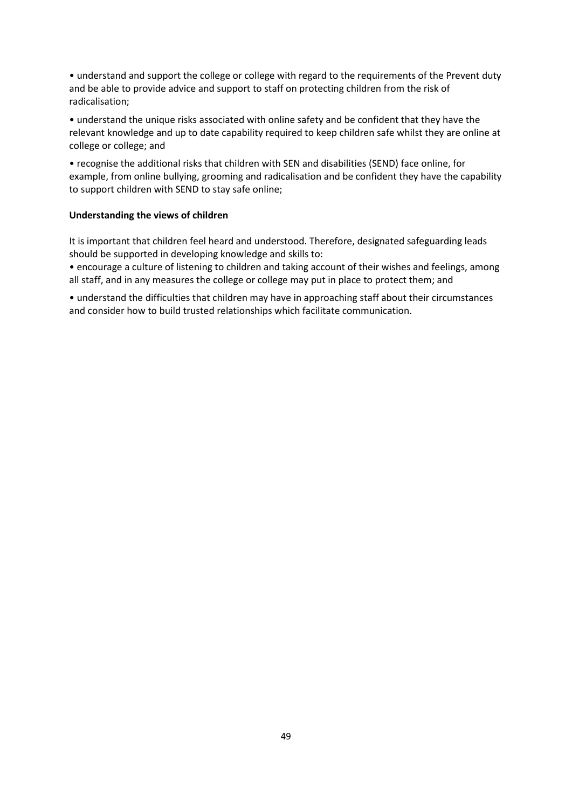• understand and support the college or college with regard to the requirements of the Prevent duty and be able to provide advice and support to staff on protecting children from the risk of radicalisation;

• understand the unique risks associated with online safety and be confident that they have the relevant knowledge and up to date capability required to keep children safe whilst they are online at college or college; and

• recognise the additional risks that children with SEN and disabilities (SEND) face online, for example, from online bullying, grooming and radicalisation and be confident they have the capability to support children with SEND to stay safe online;

#### **Understanding the views of children**

It is important that children feel heard and understood. Therefore, designated safeguarding leads should be supported in developing knowledge and skills to:

• encourage a culture of listening to children and taking account of their wishes and feelings, among all staff, and in any measures the college or college may put in place to protect them; and

• understand the difficulties that children may have in approaching staff about their circumstances and consider how to build trusted relationships which facilitate communication.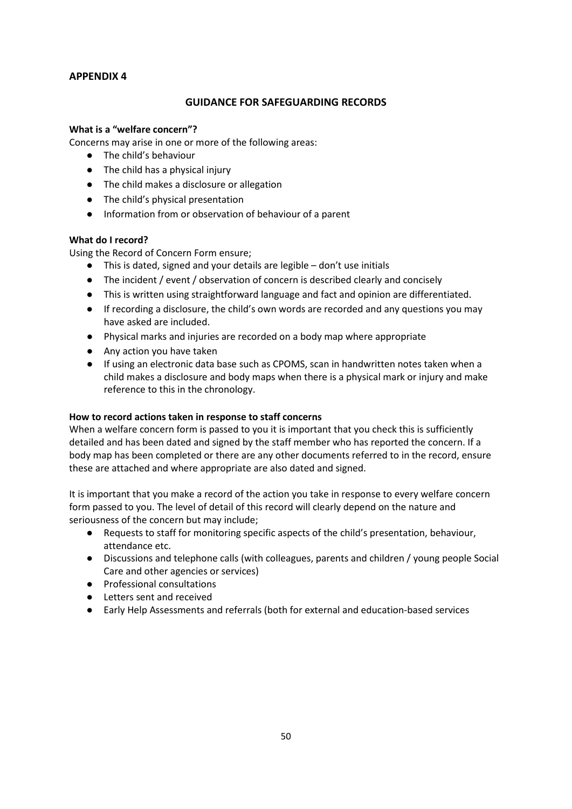### **GUIDANCE FOR SAFEGUARDING RECORDS**

### **What is a "welfare concern"?**

Concerns may arise in one or more of the following areas:

- The child's behaviour
- The child has a physical injury
- The child makes a disclosure or allegation
- The child's physical presentation
- Information from or observation of behaviour of a parent

### **What do I record?**

Using the Record of Concern Form ensure;

- This is dated, signed and your details are legible don't use initials
- The incident / event / observation of concern is described clearly and concisely
- This is written using straightforward language and fact and opinion are differentiated.
- If recording a disclosure, the child's own words are recorded and any questions you may have asked are included.
- Physical marks and injuries are recorded on a body map where appropriate
- Any action you have taken
- If using an electronic data base such as CPOMS, scan in handwritten notes taken when a child makes a disclosure and body maps when there is a physical mark or injury and make reference to this in the chronology.

### **How to record actions taken in response to staff concerns**

When a welfare concern form is passed to you it is important that you check this is sufficiently detailed and has been dated and signed by the staff member who has reported the concern. If a body map has been completed or there are any other documents referred to in the record, ensure these are attached and where appropriate are also dated and signed.

It is important that you make a record of the action you take in response to every welfare concern form passed to you. The level of detail of this record will clearly depend on the nature and seriousness of the concern but may include;

- Requests to staff for monitoring specific aspects of the child's presentation, behaviour, attendance etc.
- Discussions and telephone calls (with colleagues, parents and children / young people Social Care and other agencies or services)
- Professional consultations
- Letters sent and received
- Early Help Assessments and referrals (both for external and education-based services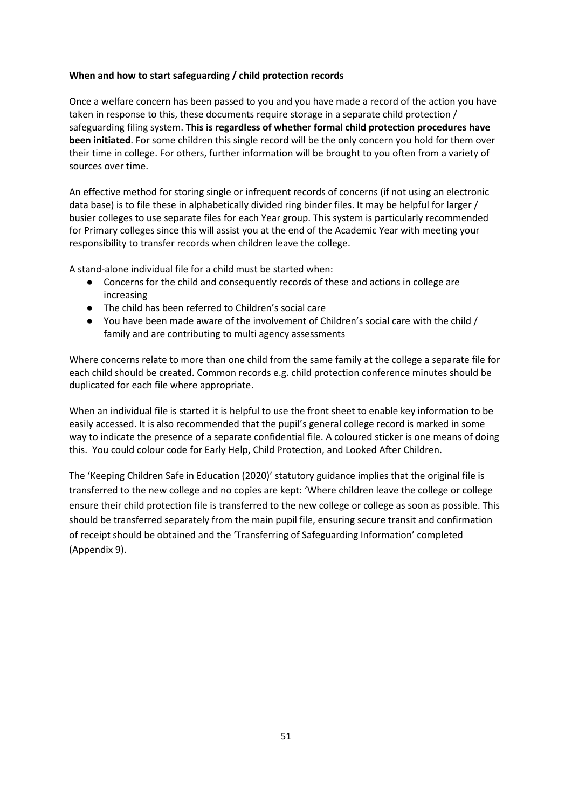### **When and how to start safeguarding / child protection records**

Once a welfare concern has been passed to you and you have made a record of the action you have taken in response to this, these documents require storage in a separate child protection / safeguarding filing system. **This is regardless of whether formal child protection procedures have been initiated**. For some children this single record will be the only concern you hold for them over their time in college. For others, further information will be brought to you often from a variety of sources over time.

An effective method for storing single or infrequent records of concerns (if not using an electronic data base) is to file these in alphabetically divided ring binder files. It may be helpful for larger / busier colleges to use separate files for each Year group. This system is particularly recommended for Primary colleges since this will assist you at the end of the Academic Year with meeting your responsibility to transfer records when children leave the college.

A stand-alone individual file for a child must be started when:

- Concerns for the child and consequently records of these and actions in college are increasing
- The child has been referred to Children's social care
- You have been made aware of the involvement of Children's social care with the child / family and are contributing to multi agency assessments

Where concerns relate to more than one child from the same family at the college a separate file for each child should be created. Common records e.g. child protection conference minutes should be duplicated for each file where appropriate.

When an individual file is started it is helpful to use the front sheet to enable key information to be easily accessed. It is also recommended that the pupil's general college record is marked in some way to indicate the presence of a separate confidential file. A coloured sticker is one means of doing this. You could colour code for Early Help, Child Protection, and Looked After Children.

The 'Keeping Children Safe in Education (2020)' statutory guidance implies that the original file is transferred to the new college and no copies are kept: 'Where children leave the college or college ensure their child protection file is transferred to the new college or college as soon as possible. This should be transferred separately from the main pupil file, ensuring secure transit and confirmation of receipt should be obtained and the 'Transferring of Safeguarding Information' completed (Appendix 9).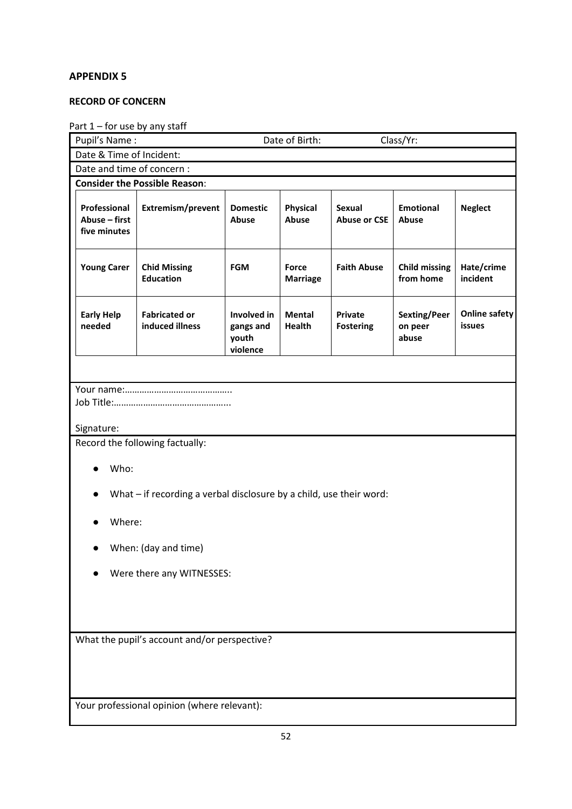### **RECORD OF CONCERN**

# Part 1 – for use by any staff

| Pupil's Name:                                 |                                                                     |                                               | Date of Birth:           |                                      | Class/Yr:                         |                                |
|-----------------------------------------------|---------------------------------------------------------------------|-----------------------------------------------|--------------------------|--------------------------------------|-----------------------------------|--------------------------------|
| Date & Time of Incident:                      |                                                                     |                                               |                          |                                      |                                   |                                |
| Date and time of concern :                    |                                                                     |                                               |                          |                                      |                                   |                                |
|                                               | <b>Consider the Possible Reason:</b>                                |                                               |                          |                                      |                                   |                                |
| Professional<br>Abuse - first<br>five minutes | Extremism/prevent                                                   | <b>Domestic</b><br>Abuse                      | <b>Physical</b><br>Abuse | <b>Sexual</b><br><b>Abuse or CSE</b> | <b>Emotional</b><br>Abuse         | <b>Neglect</b>                 |
| <b>Young Carer</b>                            | <b>Chid Missing</b><br><b>Education</b>                             | <b>FGM</b>                                    | Force<br><b>Marriage</b> | <b>Faith Abuse</b>                   | <b>Child missing</b><br>from home | Hate/crime<br>incident         |
| <b>Early Help</b><br>needed                   | <b>Fabricated or</b><br>induced illness                             | Involved in<br>gangs and<br>youth<br>violence | <b>Mental</b><br>Health  | <b>Private</b><br><b>Fostering</b>   | Sexting/Peer<br>on peer<br>abuse  | <b>Online safety</b><br>issues |
|                                               |                                                                     |                                               |                          |                                      |                                   |                                |
|                                               |                                                                     |                                               |                          |                                      |                                   |                                |
| Signature:                                    |                                                                     |                                               |                          |                                      |                                   |                                |
|                                               | Record the following factually:                                     |                                               |                          |                                      |                                   |                                |
| Who:                                          |                                                                     |                                               |                          |                                      |                                   |                                |
|                                               | What - if recording a verbal disclosure by a child, use their word: |                                               |                          |                                      |                                   |                                |
| Where:                                        |                                                                     |                                               |                          |                                      |                                   |                                |
|                                               | When: (day and time)                                                |                                               |                          |                                      |                                   |                                |
| Were there any WITNESSES:                     |                                                                     |                                               |                          |                                      |                                   |                                |
|                                               |                                                                     |                                               |                          |                                      |                                   |                                |
|                                               |                                                                     |                                               |                          |                                      |                                   |                                |
| What the pupil's account and/or perspective?  |                                                                     |                                               |                          |                                      |                                   |                                |
|                                               |                                                                     |                                               |                          |                                      |                                   |                                |
|                                               |                                                                     |                                               |                          |                                      |                                   |                                |
|                                               | Your professional opinion (where relevant):                         |                                               |                          |                                      |                                   |                                |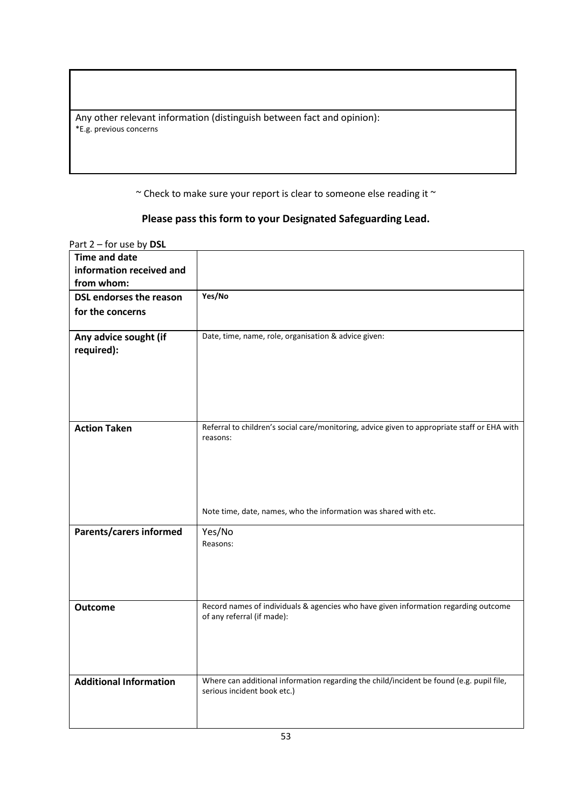Any other relevant information (distinguish between fact and opinion): \*E.g. previous concerns

 $\sim$  Check to make sure your report is clear to someone else reading it  $\sim$ 

# **Please pass this form to your Designated Safeguarding Lead.**

| <b>Time and date</b><br>information received and |                                                                                                                         |
|--------------------------------------------------|-------------------------------------------------------------------------------------------------------------------------|
| from whom:                                       |                                                                                                                         |
| <b>DSL endorses the reason</b>                   | Yes/No                                                                                                                  |
| for the concerns                                 |                                                                                                                         |
| Any advice sought (if<br>required):              | Date, time, name, role, organisation & advice given:                                                                    |
| <b>Action Taken</b>                              | Referral to children's social care/monitoring, advice given to appropriate staff or EHA with<br>reasons:                |
|                                                  | Note time, date, names, who the information was shared with etc.                                                        |
| Parents/carers informed                          | Yes/No<br>Reasons:                                                                                                      |
| <b>Outcome</b>                                   | Record names of individuals & agencies who have given information regarding outcome<br>of any referral (if made):       |
| <b>Additional Information</b>                    | Where can additional information regarding the child/incident be found (e.g. pupil file,<br>serious incident book etc.) |

Part 2 – for use by **DSL**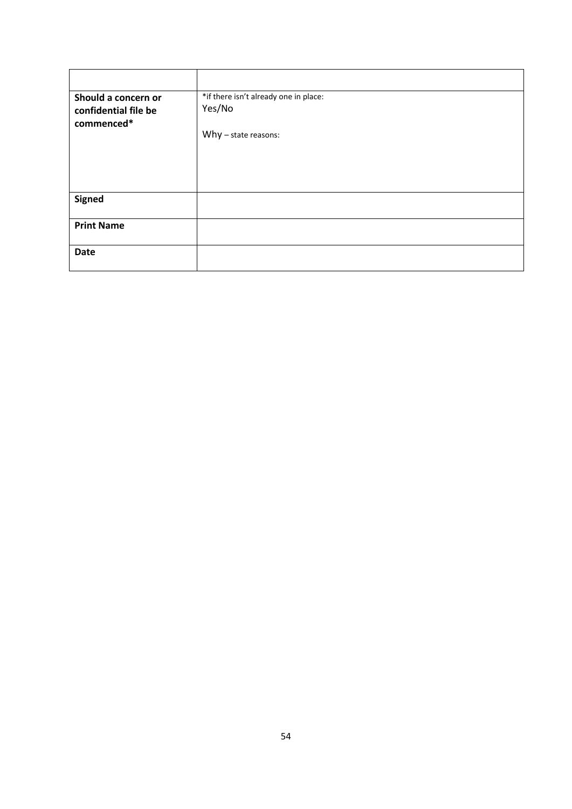| Should a concern or  | *if there isn't already one in place: |
|----------------------|---------------------------------------|
| confidential file be | Yes/No                                |
| commenced*           |                                       |
|                      | Why $-$ state reasons:                |
|                      |                                       |
|                      |                                       |
|                      |                                       |
|                      |                                       |
| <b>Signed</b>        |                                       |
|                      |                                       |
| <b>Print Name</b>    |                                       |
|                      |                                       |
| <b>Date</b>          |                                       |
|                      |                                       |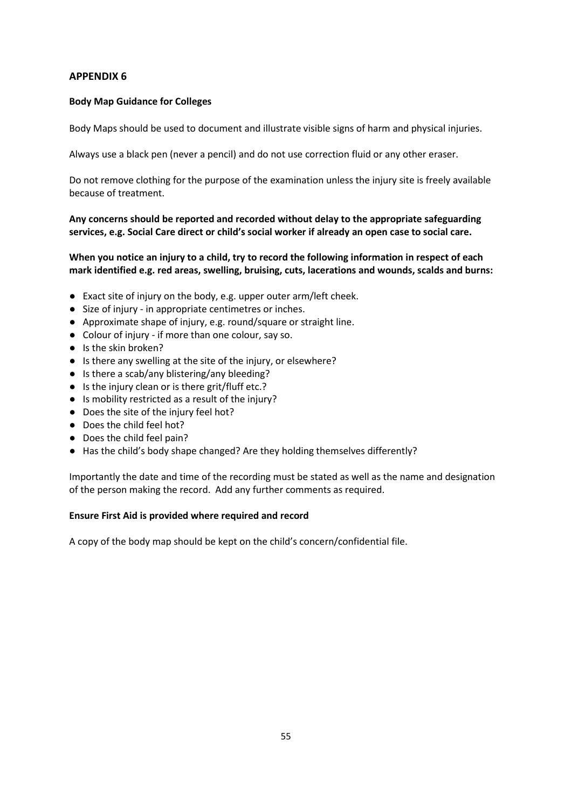### **Body Map Guidance for Colleges**

Body Maps should be used to document and illustrate visible signs of harm and physical injuries.

Always use a black pen (never a pencil) and do not use correction fluid or any other eraser.

Do not remove clothing for the purpose of the examination unless the injury site is freely available because of treatment.

**Any concerns should be reported and recorded without delay to the appropriate safeguarding services, e.g. Social Care direct or child's social worker if already an open case to social care.**

**When you notice an injury to a child, try to record the following information in respect of each mark identified e.g. red areas, swelling, bruising, cuts, lacerations and wounds, scalds and burns:**

- Exact site of injury on the body, e.g. upper outer arm/left cheek.
- Size of injury in appropriate centimetres or inches.
- Approximate shape of injury, e.g. round/square or straight line.
- Colour of injury if more than one colour, say so.
- Is the skin broken?
- Is there any swelling at the site of the injury, or elsewhere?
- Is there a scab/any blistering/any bleeding?
- Is the injury clean or is there grit/fluff etc.?
- Is mobility restricted as a result of the injury?
- Does the site of the injury feel hot?
- Does the child feel hot?
- Does the child feel pain?
- Has the child's body shape changed? Are they holding themselves differently?

Importantly the date and time of the recording must be stated as well as the name and designation of the person making the record. Add any further comments as required.

### **Ensure First Aid is provided where required and record**

A copy of the body map should be kept on the child's concern/confidential file.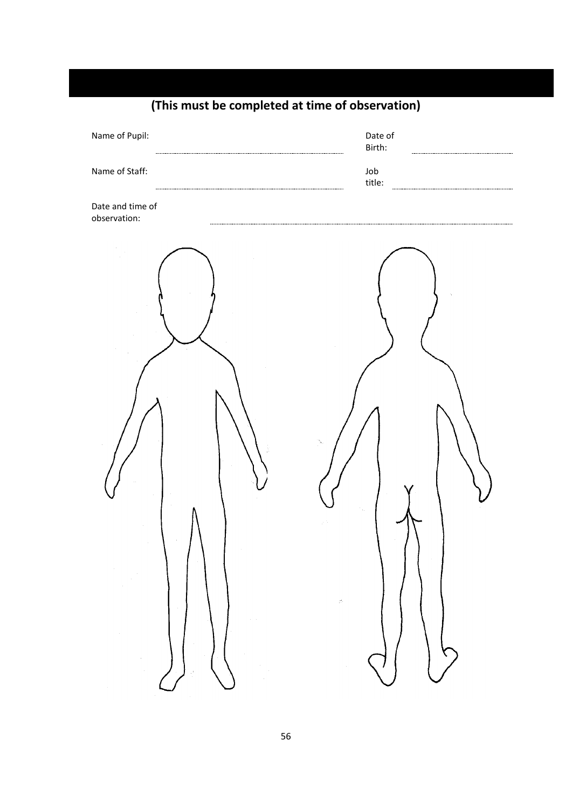| Name of Pupil:                                                                                           | Date of<br>Birth:                         |
|----------------------------------------------------------------------------------------------------------|-------------------------------------------|
| Name of Staff:                                                                                           | Job<br>title:                             |
| Date and time of<br>observation:                                                                         |                                           |
| $\begin{array}{c} \hline \end{array}$<br>$\sim$ 1<br>$\sim 10^{11}$<br>$\sim$<br>ा<br>$\alpha$<br>$\sim$ | $\sim 10^{-1}$<br>$\mathcal{C}$<br>$\sim$ |

# **(This must be completed at time of observation)**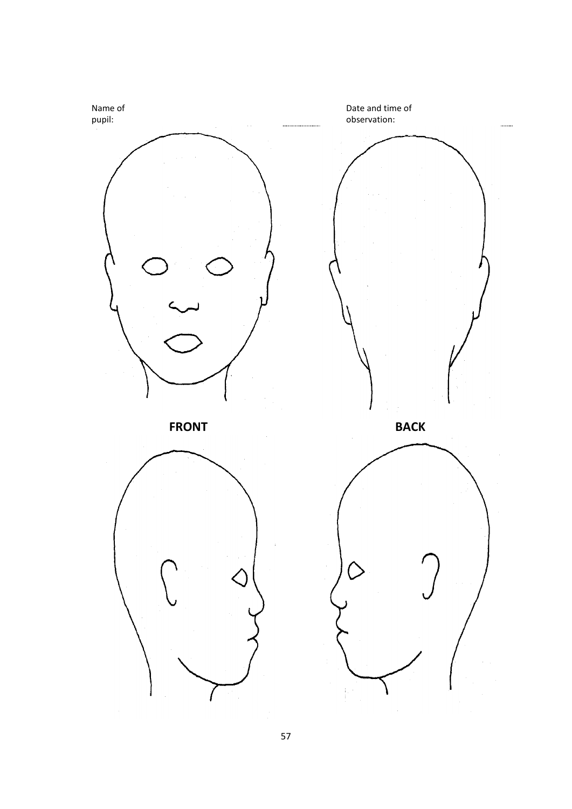

57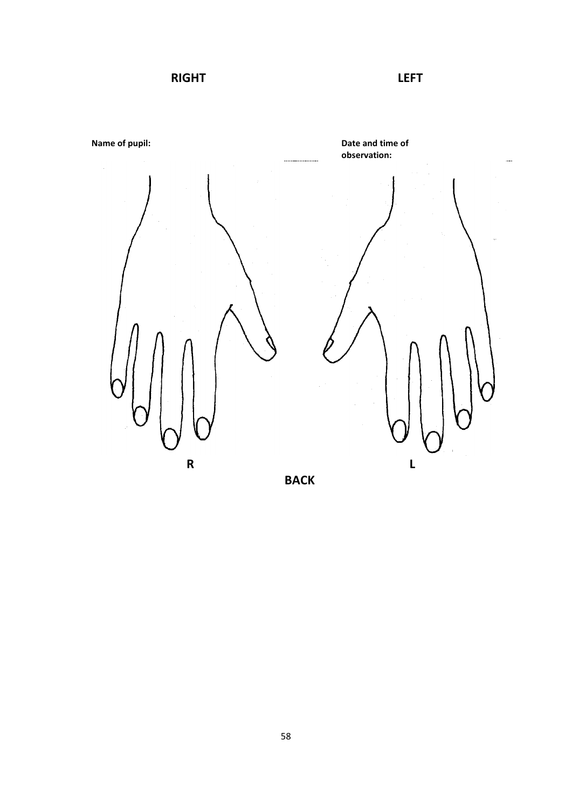**RIGHT LEFT**



**BACK**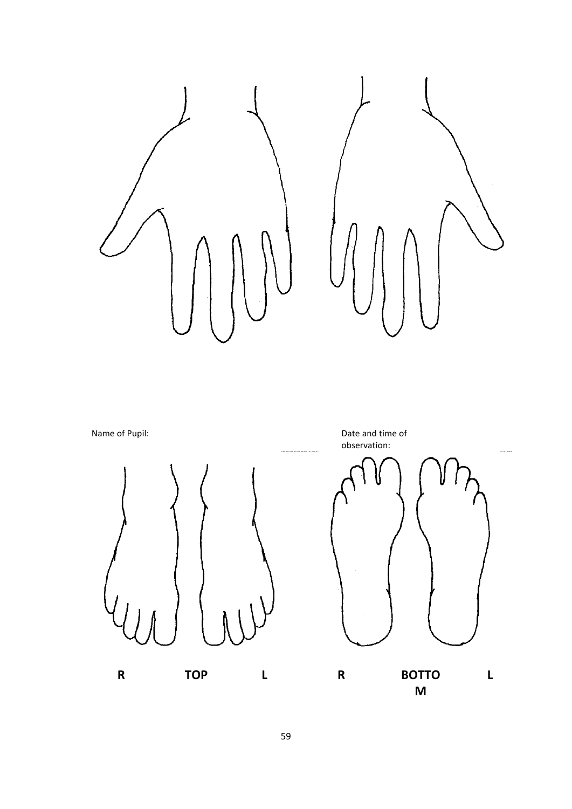

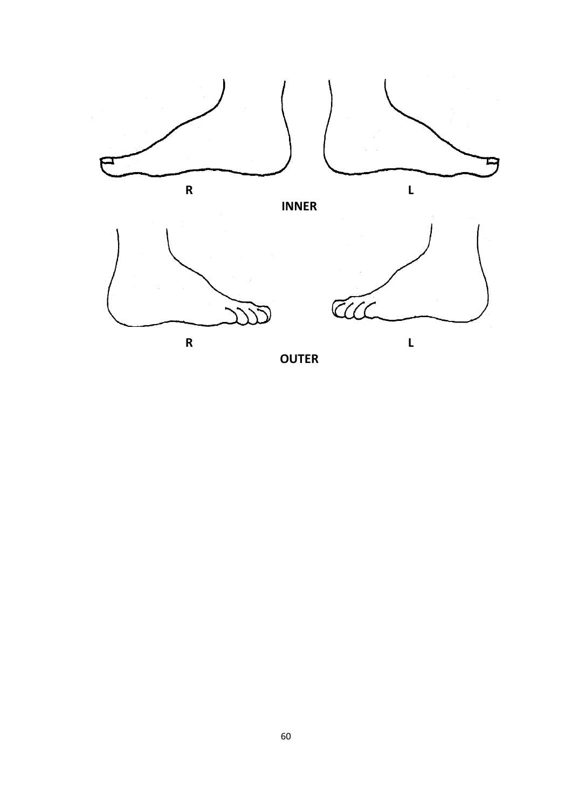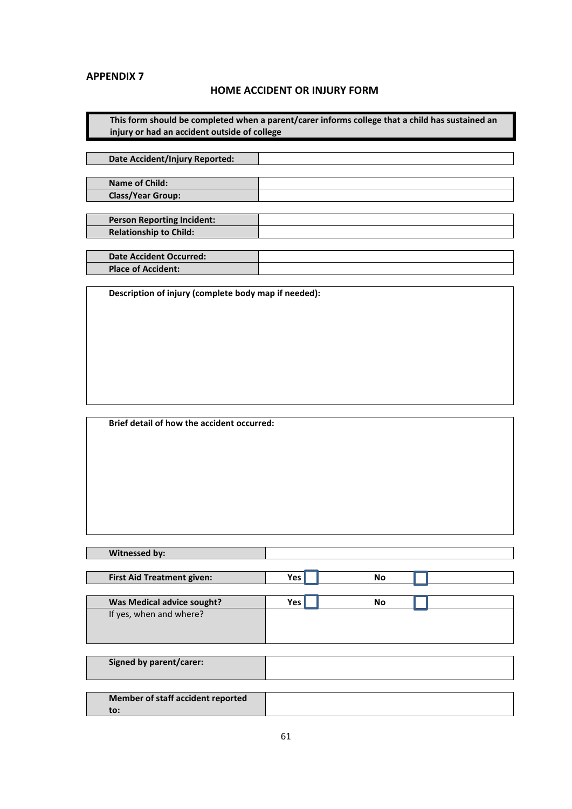### **HOME ACCIDENT OR INJURY FORM**

**This form should be completed when a parent/carer informs college that a child has sustained an injury or had an accident outside of college**

**Date Accident/Injury Reported:**

**Name of Child: Class/Year Group:**

**Person Reporting Incident: Relationship to Child:**

**Date Accident Occurred: Place of Accident:**

**Description of injury (complete body map if needed):**

**Brief detail of how the accident occurred:**

| <b>Witnessed by:</b>              |     |           |  |
|-----------------------------------|-----|-----------|--|
|                                   |     |           |  |
| <b>First Aid Treatment given:</b> | Yes | <b>No</b> |  |
|                                   |     |           |  |
| <b>Was Medical advice sought?</b> | Yes | <b>No</b> |  |
| If yes, when and where?           |     |           |  |
|                                   |     |           |  |
|                                   |     |           |  |
|                                   |     |           |  |
| <b>Signed by parent/carer:</b>    |     |           |  |
|                                   |     |           |  |
|                                   |     |           |  |
| Member of staff accident reported |     |           |  |
| to:                               |     |           |  |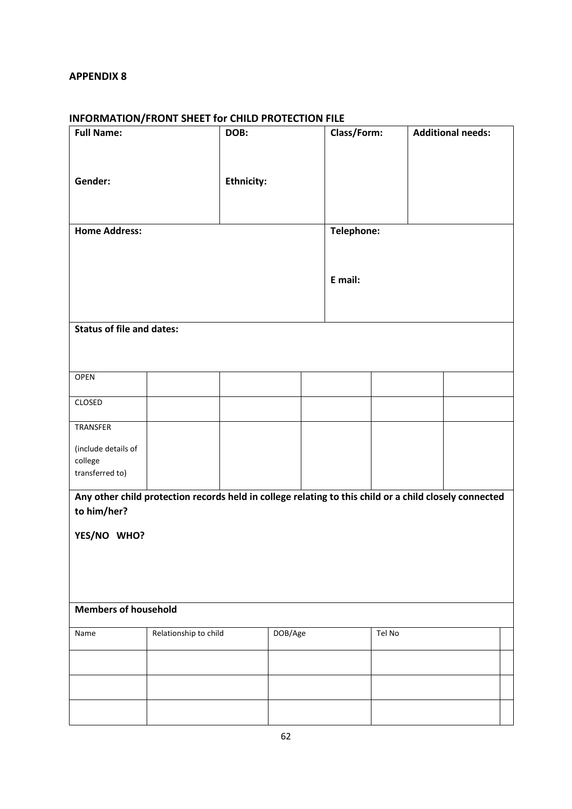### **INFORMATION/FRONT SHEET for CHILD PROTECTION FILE**

| <b>Full Name:</b>                                                                                      |                       | DOB:              |         |  | Class/Form: |        | <b>Additional needs:</b> |  |
|--------------------------------------------------------------------------------------------------------|-----------------------|-------------------|---------|--|-------------|--------|--------------------------|--|
|                                                                                                        |                       |                   |         |  |             |        |                          |  |
|                                                                                                        |                       |                   |         |  |             |        |                          |  |
| Gender:                                                                                                |                       | <b>Ethnicity:</b> |         |  |             |        |                          |  |
|                                                                                                        |                       |                   |         |  |             |        |                          |  |
|                                                                                                        |                       |                   |         |  |             |        |                          |  |
| <b>Home Address:</b>                                                                                   |                       |                   |         |  | Telephone:  |        |                          |  |
|                                                                                                        |                       |                   |         |  |             |        |                          |  |
|                                                                                                        |                       |                   |         |  |             |        |                          |  |
|                                                                                                        |                       |                   |         |  | E mail:     |        |                          |  |
|                                                                                                        |                       |                   |         |  |             |        |                          |  |
|                                                                                                        |                       |                   |         |  |             |        |                          |  |
| <b>Status of file and dates:</b>                                                                       |                       |                   |         |  |             |        |                          |  |
|                                                                                                        |                       |                   |         |  |             |        |                          |  |
|                                                                                                        |                       |                   |         |  |             |        |                          |  |
| OPEN                                                                                                   |                       |                   |         |  |             |        |                          |  |
| CLOSED                                                                                                 |                       |                   |         |  |             |        |                          |  |
|                                                                                                        |                       |                   |         |  |             |        |                          |  |
| TRANSFER                                                                                               |                       |                   |         |  |             |        |                          |  |
| (include details of                                                                                    |                       |                   |         |  |             |        |                          |  |
| college<br>transferred to)                                                                             |                       |                   |         |  |             |        |                          |  |
|                                                                                                        |                       |                   |         |  |             |        |                          |  |
| Any other child protection records held in college relating to this child or a child closely connected |                       |                   |         |  |             |        |                          |  |
| to him/her?                                                                                            |                       |                   |         |  |             |        |                          |  |
| YES/NO WHO?                                                                                            |                       |                   |         |  |             |        |                          |  |
|                                                                                                        |                       |                   |         |  |             |        |                          |  |
|                                                                                                        |                       |                   |         |  |             |        |                          |  |
|                                                                                                        |                       |                   |         |  |             |        |                          |  |
|                                                                                                        |                       |                   |         |  |             |        |                          |  |
| <b>Members of household</b>                                                                            |                       |                   |         |  |             |        |                          |  |
| Name                                                                                                   | Relationship to child |                   | DOB/Age |  |             | Tel No |                          |  |
|                                                                                                        |                       |                   |         |  |             |        |                          |  |
|                                                                                                        |                       |                   |         |  |             |        |                          |  |
|                                                                                                        |                       |                   |         |  |             |        |                          |  |
|                                                                                                        |                       |                   |         |  |             |        |                          |  |
|                                                                                                        |                       |                   |         |  |             |        |                          |  |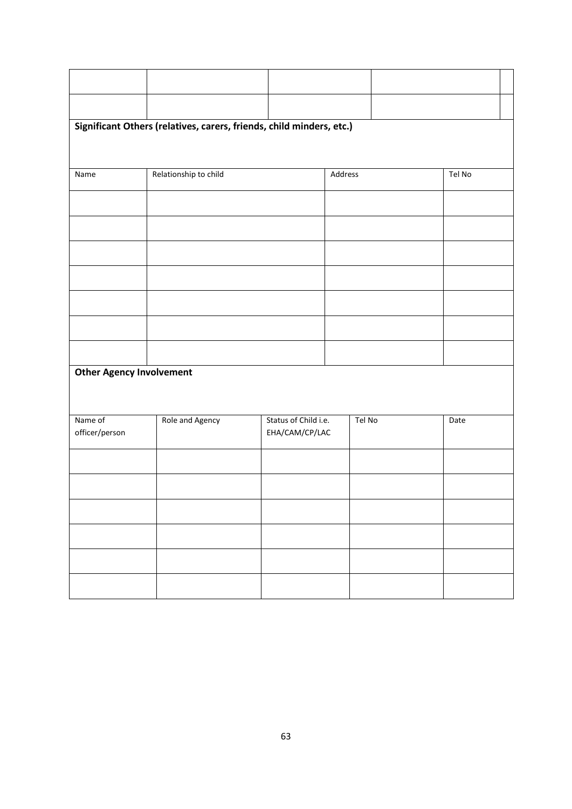| Significant Others (relatives, carers, friends, child minders, etc.) |                       |                                        |         |  |        |  |  |  |  |  |
|----------------------------------------------------------------------|-----------------------|----------------------------------------|---------|--|--------|--|--|--|--|--|
|                                                                      |                       |                                        |         |  |        |  |  |  |  |  |
| Name                                                                 | Relationship to child |                                        | Address |  | Tel No |  |  |  |  |  |
|                                                                      |                       |                                        |         |  |        |  |  |  |  |  |
|                                                                      |                       |                                        |         |  |        |  |  |  |  |  |
|                                                                      |                       |                                        |         |  |        |  |  |  |  |  |
|                                                                      |                       |                                        |         |  |        |  |  |  |  |  |
|                                                                      |                       |                                        |         |  |        |  |  |  |  |  |
|                                                                      |                       |                                        |         |  |        |  |  |  |  |  |
|                                                                      |                       |                                        |         |  |        |  |  |  |  |  |
| <b>Other Agency Involvement</b>                                      |                       |                                        |         |  |        |  |  |  |  |  |
|                                                                      |                       |                                        |         |  |        |  |  |  |  |  |
| Name of<br>officer/person                                            | Role and Agency       | Status of Child i.e.<br>EHA/CAM/CP/LAC | Tel No  |  | Date   |  |  |  |  |  |
|                                                                      |                       |                                        |         |  |        |  |  |  |  |  |
|                                                                      |                       |                                        |         |  |        |  |  |  |  |  |
|                                                                      |                       |                                        |         |  |        |  |  |  |  |  |
|                                                                      |                       |                                        |         |  |        |  |  |  |  |  |
|                                                                      |                       |                                        |         |  |        |  |  |  |  |  |
|                                                                      |                       |                                        |         |  |        |  |  |  |  |  |
|                                                                      |                       |                                        |         |  |        |  |  |  |  |  |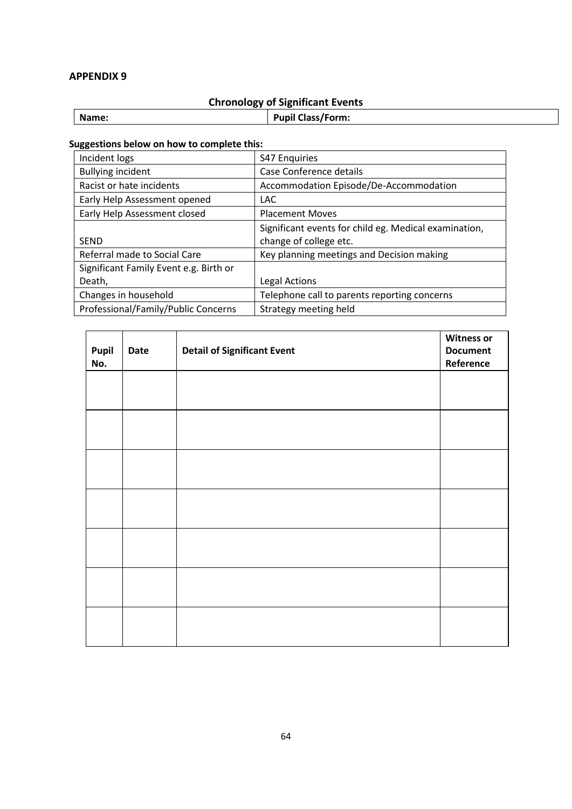# **Chronology of Significant Events**

| ، ن<br>____ |                                       |  |  |  |
|-------------|---------------------------------------|--|--|--|
| Name:       | <b>Pupil C</b><br><b>'Class/Form:</b> |  |  |  |
|             |                                       |  |  |  |

# **Suggestions below on how to complete this:**

| Incident logs                          | <b>S47 Enquiries</b>                                  |
|----------------------------------------|-------------------------------------------------------|
| <b>Bullying incident</b>               | Case Conference details                               |
| Racist or hate incidents               | Accommodation Episode/De-Accommodation                |
| Early Help Assessment opened           | <b>LAC</b>                                            |
| Early Help Assessment closed           | <b>Placement Moves</b>                                |
|                                        | Significant events for child eg. Medical examination, |
| <b>SEND</b>                            | change of college etc.                                |
| Referral made to Social Care           | Key planning meetings and Decision making             |
| Significant Family Event e.g. Birth or |                                                       |
| Death,                                 | Legal Actions                                         |
| Changes in household                   | Telephone call to parents reporting concerns          |
| Professional/Family/Public Concerns    | Strategy meeting held                                 |

| Pupil<br>No. | Date | <b>Detail of Significant Event</b> | <b>Witness or</b><br><b>Document</b><br>Reference |
|--------------|------|------------------------------------|---------------------------------------------------|
|              |      |                                    |                                                   |
|              |      |                                    |                                                   |
|              |      |                                    |                                                   |
|              |      |                                    |                                                   |
|              |      |                                    |                                                   |
|              |      |                                    |                                                   |
|              |      |                                    |                                                   |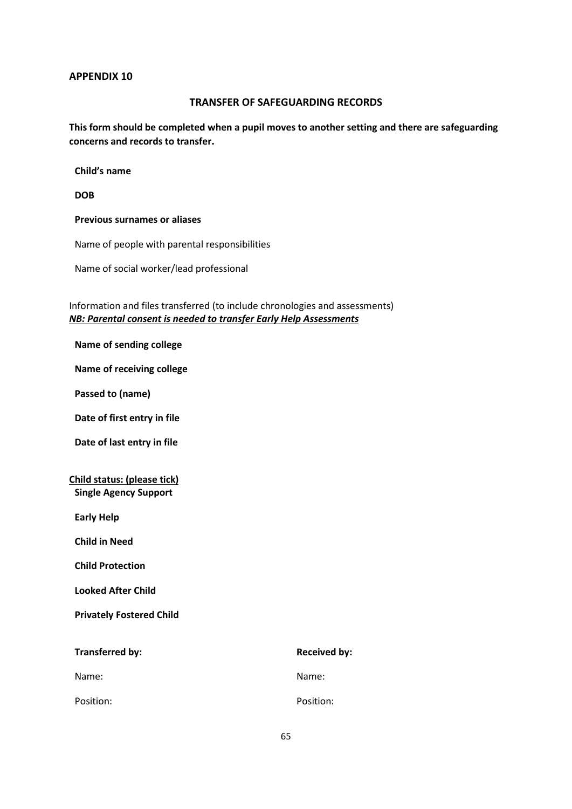### **TRANSFER OF SAFEGUARDING RECORDS**

**This form should be completed when a pupil moves to another setting and there are safeguarding concerns and records to transfer.**

**Child's name**

**DOB**

**Previous surnames or aliases**

Name of people with parental responsibilities

Name of social worker/lead professional

Information and files transferred (to include chronologies and assessments) *NB: Parental consent is needed to transfer Early Help Assessments*

#### **Name of sending college**

**Name of receiving college**

**Passed to (name)**

**Date of first entry in file**

**Date of last entry in file**

### **Child status: (please tick) Single Agency Support**

**Early Help**

**Child in Need**

**Child Protection**

**Looked After Child**

**Privately Fostered Child**

| Transferred by: | <b>Received by:</b> |
|-----------------|---------------------|
| Name:           | Name:               |
| Position:       | Position:           |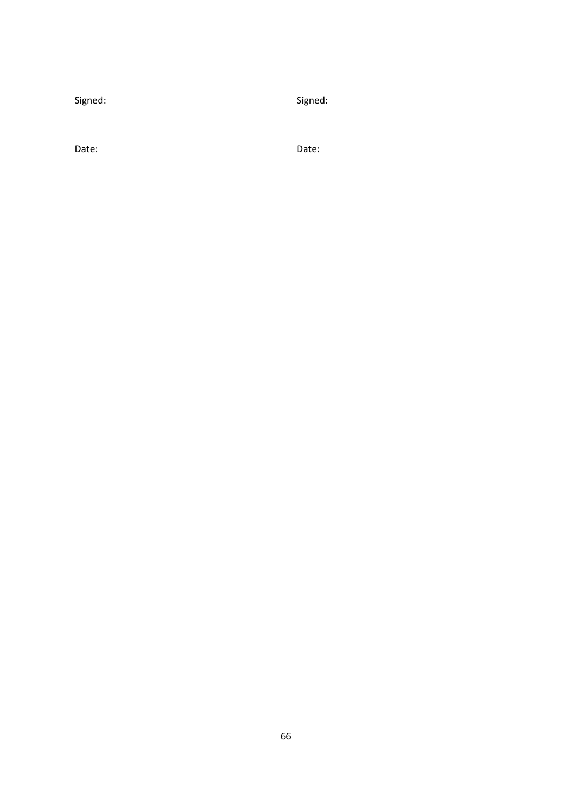Signed:

Signed:

Date:

Date: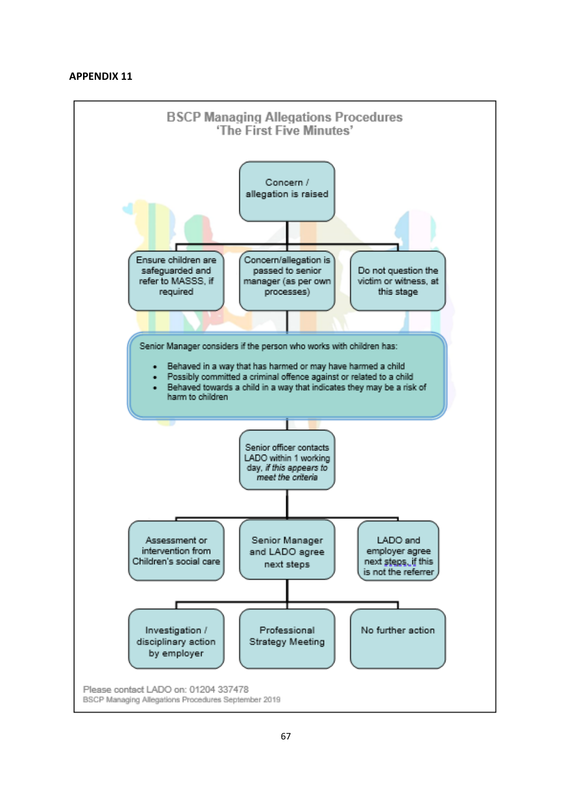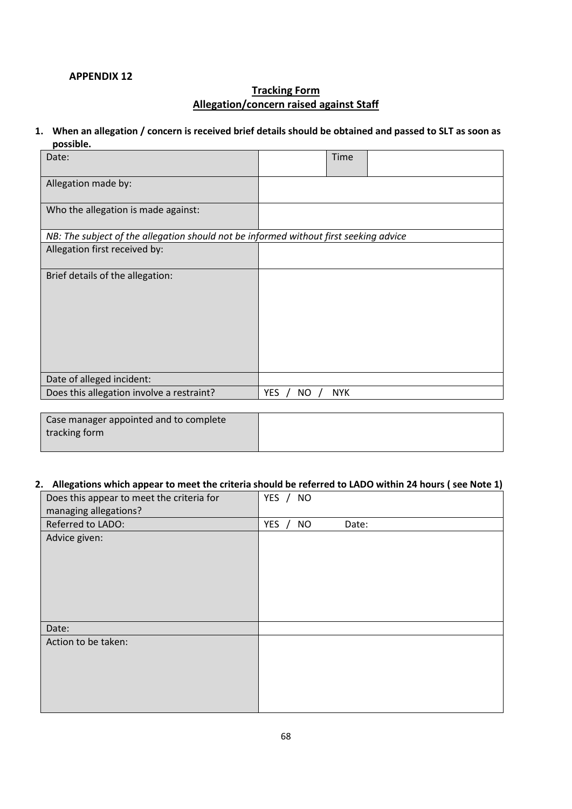# **Tracking Form Allegation/concern raised against Staff**

#### **1. When an allegation / concern is received brief details should be obtained and passed to SLT as soon as possible.**

| Date:                                                                                 |              | Time       |  |
|---------------------------------------------------------------------------------------|--------------|------------|--|
| Allegation made by:                                                                   |              |            |  |
| Who the allegation is made against:                                                   |              |            |  |
| NB: The subject of the allegation should not be informed without first seeking advice |              |            |  |
| Allegation first received by:                                                         |              |            |  |
| Brief details of the allegation:                                                      |              |            |  |
| Date of alleged incident:                                                             |              |            |  |
| Does this allegation involve a restraint?                                             | YES /<br>NO. | <b>NYK</b> |  |

Case manager appointed and to complete tracking form

### **2. Allegations which appear to meet the criteria should be referred to LADO within 24 hours ( see Note 1)**

| Does this appear to meet the criteria for<br>managing allegations? | YES / NO                      |
|--------------------------------------------------------------------|-------------------------------|
| Referred to LADO:                                                  | YES $/$<br><b>NO</b><br>Date: |
| Advice given:                                                      |                               |
| Date:                                                              |                               |
| Action to be taken:                                                |                               |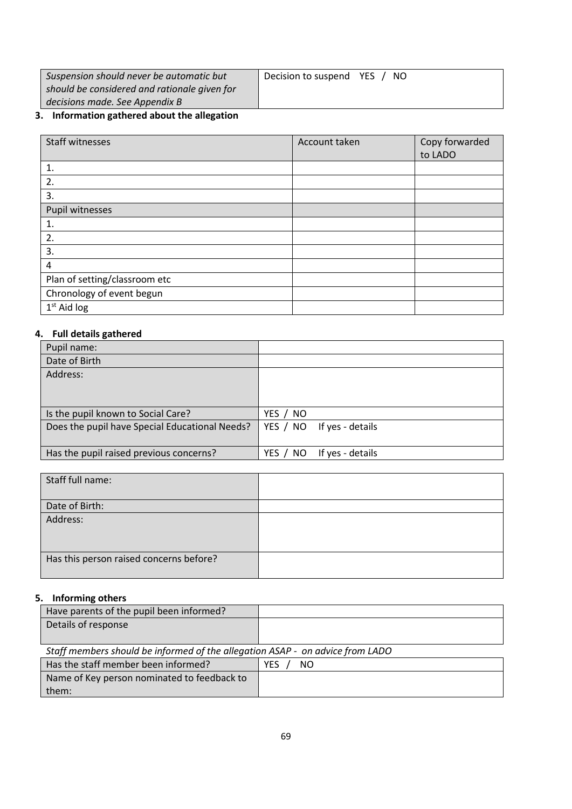| Suspension should never be automatic but     | Decision to suspend YES<br>-NO |
|----------------------------------------------|--------------------------------|
| should be considered and rationale given for |                                |
| decisions made. See Appendix B               |                                |

# **3. Information gathered about the allegation**

| <b>Staff witnesses</b>        | Account taken | Copy forwarded |
|-------------------------------|---------------|----------------|
|                               |               | to LADO        |
| 1.                            |               |                |
| 2.                            |               |                |
| 3.                            |               |                |
| Pupil witnesses               |               |                |
| 1.                            |               |                |
| 2.                            |               |                |
| 3.                            |               |                |
| 4                             |               |                |
| Plan of setting/classroom etc |               |                |
| Chronology of event begun     |               |                |
| $1st$ Aid log                 |               |                |

# **4. Full details gathered**

| Pupil name:                                    |                              |
|------------------------------------------------|------------------------------|
| Date of Birth                                  |                              |
| Address:                                       |                              |
|                                                |                              |
|                                                |                              |
| Is the pupil known to Social Care?             | YES / NO                     |
| Does the pupil have Special Educational Needs? | YES / NO If yes - details    |
|                                                |                              |
| Has the pupil raised previous concerns?        | If yes - details<br>YES / NO |

| Staff full name:                        |  |
|-----------------------------------------|--|
| Date of Birth:                          |  |
| Address:                                |  |
| Has this person raised concerns before? |  |

# **5. Informing others**

| Have parents of the pupil been informed?                                      |                   |
|-------------------------------------------------------------------------------|-------------------|
| Details of response                                                           |                   |
|                                                                               |                   |
| Staff members should be informed of the allegation ASAP - on advice from LADO |                   |
| Has the staff member been informed?                                           | YES.<br><b>NO</b> |
| Name of Key person nominated to feedback to                                   |                   |
| them:                                                                         |                   |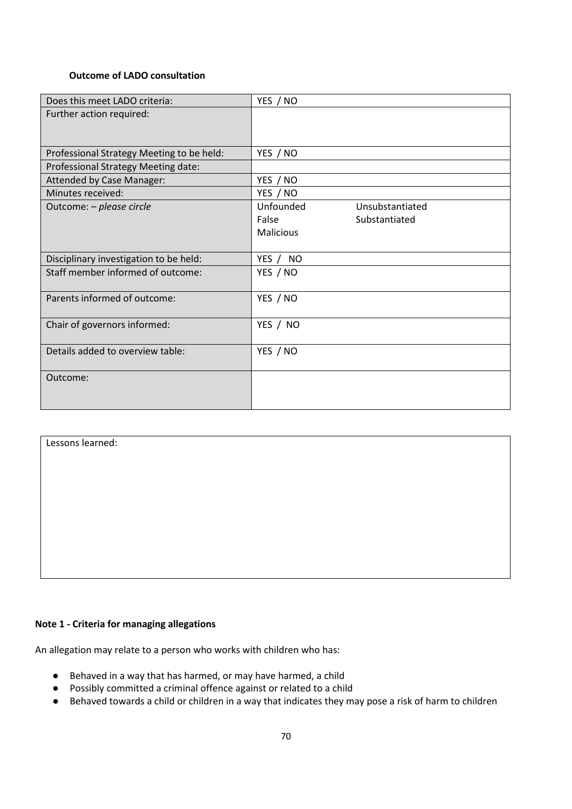#### **Outcome of LADO consultation**

| Does this meet LADO criteria:             | YES / NO                     |
|-------------------------------------------|------------------------------|
| Further action required:                  |                              |
|                                           |                              |
|                                           |                              |
| Professional Strategy Meeting to be held: | YES / NO                     |
| Professional Strategy Meeting date:       |                              |
| Attended by Case Manager:                 | YES / NO                     |
| Minutes received:                         | YES / NO                     |
| Outcome: - please circle                  | Unfounded<br>Unsubstantiated |
|                                           | False<br>Substantiated       |
|                                           | <b>Malicious</b>             |
|                                           |                              |
| Disciplinary investigation to be held:    | YES / NO                     |
| Staff member informed of outcome:         | YES / NO                     |
|                                           |                              |
| Parents informed of outcome:              | YES / NO                     |
|                                           |                              |
| Chair of governors informed:              | YES / NO                     |
|                                           |                              |
| Details added to overview table:          | YES / NO                     |
|                                           |                              |
| Outcome:                                  |                              |
|                                           |                              |
|                                           |                              |

Lessons learned:

### **Note 1 - Criteria for managing allegations**

An allegation may relate to a person who works with children who has:

- Behaved in a way that has harmed, or may have harmed, a child
- Possibly committed a criminal offence against or related to a child
- Behaved towards a child or children in a way that indicates they may pose a risk of harm to children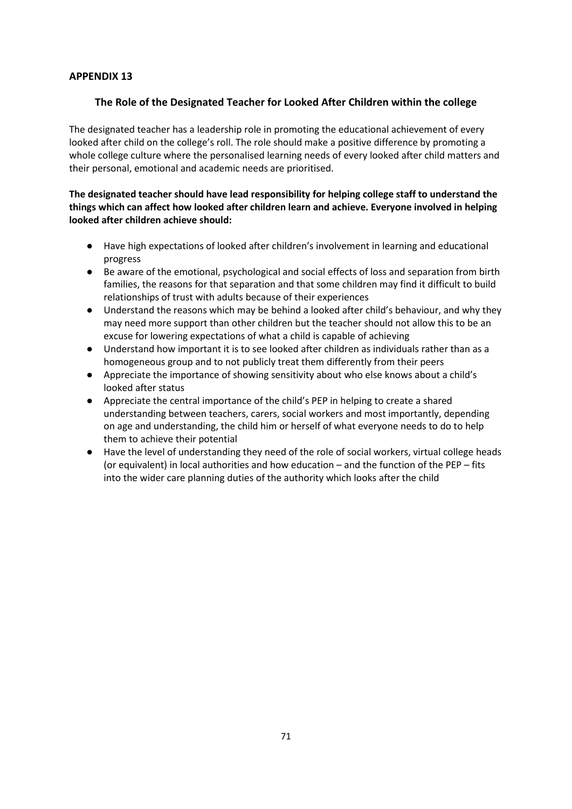### **The Role of the Designated Teacher for Looked After Children within the college**

The designated teacher has a leadership role in promoting the educational achievement of every looked after child on the college's roll. The role should make a positive difference by promoting a whole college culture where the personalised learning needs of every looked after child matters and their personal, emotional and academic needs are prioritised.

### **The designated teacher should have lead responsibility for helping college staff to understand the things which can affect how looked after children learn and achieve. Everyone involved in helping looked after children achieve should:**

- Have high expectations of looked after children's involvement in learning and educational progress
- Be aware of the emotional, psychological and social effects of loss and separation from birth families, the reasons for that separation and that some children may find it difficult to build relationships of trust with adults because of their experiences
- Understand the reasons which may be behind a looked after child's behaviour, and why they may need more support than other children but the teacher should not allow this to be an excuse for lowering expectations of what a child is capable of achieving
- Understand how important it is to see looked after children as individuals rather than as a homogeneous group and to not publicly treat them differently from their peers
- Appreciate the importance of showing sensitivity about who else knows about a child's looked after status
- Appreciate the central importance of the child's PEP in helping to create a shared understanding between teachers, carers, social workers and most importantly, depending on age and understanding, the child him or herself of what everyone needs to do to help them to achieve their potential
- Have the level of understanding they need of the role of social workers, virtual college heads (or equivalent) in local authorities and how education – and the function of the PEP – fits into the wider care planning duties of the authority which looks after the child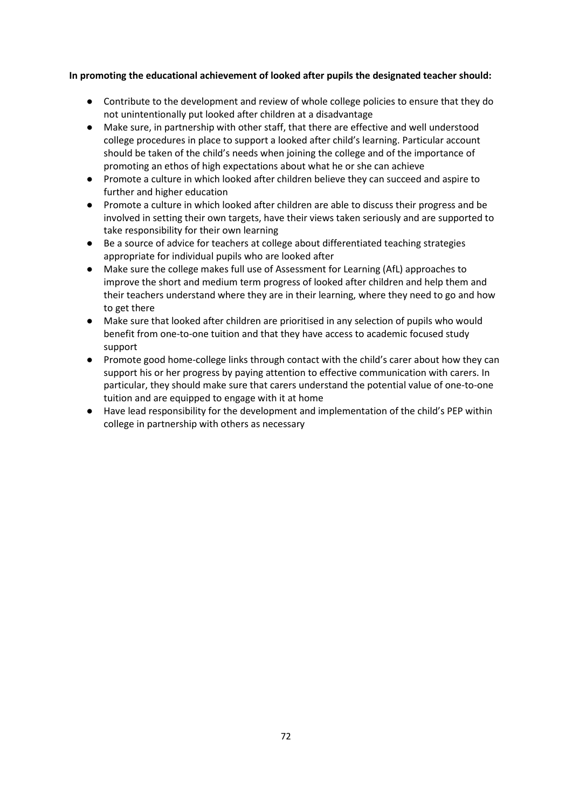### **In promoting the educational achievement of looked after pupils the designated teacher should:**

- Contribute to the development and review of whole college policies to ensure that they do not unintentionally put looked after children at a disadvantage
- Make sure, in partnership with other staff, that there are effective and well understood college procedures in place to support a looked after child's learning. Particular account should be taken of the child's needs when joining the college and of the importance of promoting an ethos of high expectations about what he or she can achieve
- Promote a culture in which looked after children believe they can succeed and aspire to further and higher education
- Promote a culture in which looked after children are able to discuss their progress and be involved in setting their own targets, have their views taken seriously and are supported to take responsibility for their own learning
- Be a source of advice for teachers at college about differentiated teaching strategies appropriate for individual pupils who are looked after
- Make sure the college makes full use of Assessment for Learning (AfL) approaches to improve the short and medium term progress of looked after children and help them and their teachers understand where they are in their learning, where they need to go and how to get there
- Make sure that looked after children are prioritised in any selection of pupils who would benefit from one-to-one tuition and that they have access to academic focused study support
- Promote good home-college links through contact with the child's carer about how they can support his or her progress by paying attention to effective communication with carers. In particular, they should make sure that carers understand the potential value of one-to-one tuition and are equipped to engage with it at home
- Have lead responsibility for the development and implementation of the child's PEP within college in partnership with others as necessary